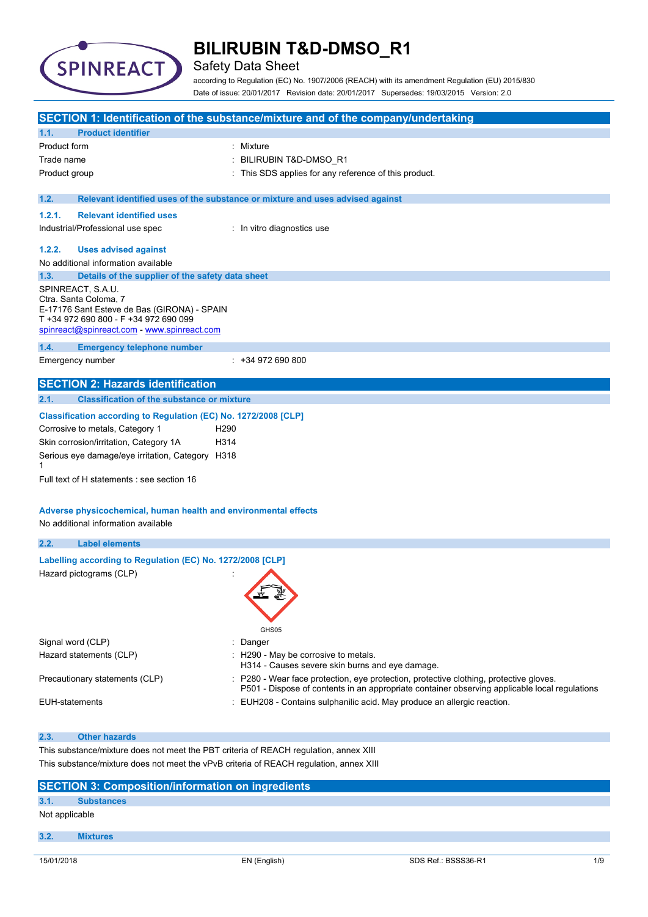

### Safety Data Sheet

according to Regulation (EC) No. 1907/2006 (REACH) with its amendment Regulation (EU) 2015/830 Date of issue: 20/01/2017 Revision date: 20/01/2017 Supersedes: 19/03/2015 Version: 2.0

|                                                                                        | SECTION 1: Identification of the substance/mixture and of the company/undertaking                                                                                                     |
|----------------------------------------------------------------------------------------|---------------------------------------------------------------------------------------------------------------------------------------------------------------------------------------|
| <b>Product identifier</b><br>1.1.                                                      |                                                                                                                                                                                       |
| Product form                                                                           | Mixture                                                                                                                                                                               |
| Trade name                                                                             | BILIRUBIN T&D-DMSO_R1                                                                                                                                                                 |
| Product group                                                                          | This SDS applies for any reference of this product.                                                                                                                                   |
|                                                                                        |                                                                                                                                                                                       |
| 1.2.                                                                                   | Relevant identified uses of the substance or mixture and uses advised against                                                                                                         |
| 1.2.1.<br><b>Relevant identified uses</b>                                              |                                                                                                                                                                                       |
| Industrial/Professional use spec                                                       | : In vitro diagnostics use                                                                                                                                                            |
|                                                                                        |                                                                                                                                                                                       |
| 1.2.2.<br><b>Uses advised against</b><br>No additional information available           |                                                                                                                                                                                       |
| Details of the supplier of the safety data sheet<br>1.3.                               |                                                                                                                                                                                       |
| SPINREACT, S.A.U.                                                                      |                                                                                                                                                                                       |
| Ctra. Santa Coloma, 7                                                                  |                                                                                                                                                                                       |
| E-17176 Sant Esteve de Bas (GIRONA) - SPAIN                                            |                                                                                                                                                                                       |
| T +34 972 690 800 - F +34 972 690 099<br>spinreact@spinreact.com - www.spinreact.com   |                                                                                                                                                                                       |
|                                                                                        |                                                                                                                                                                                       |
| 1.4.<br><b>Emergency telephone number</b>                                              |                                                                                                                                                                                       |
| Emergency number                                                                       | $: +34972690800$                                                                                                                                                                      |
| <b>SECTION 2: Hazards identification</b>                                               |                                                                                                                                                                                       |
| <b>Classification of the substance or mixture</b><br>2.1.                              |                                                                                                                                                                                       |
|                                                                                        |                                                                                                                                                                                       |
| Classification according to Regulation (EC) No. 1272/2008 [CLP]                        |                                                                                                                                                                                       |
| Corrosive to metals, Category 1<br>H <sub>290</sub>                                    |                                                                                                                                                                                       |
| Skin corrosion/irritation, Category 1A<br>H314                                         |                                                                                                                                                                                       |
| Serious eye damage/eye irritation, Category H318<br>1                                  |                                                                                                                                                                                       |
| Full text of H statements : see section 16                                             |                                                                                                                                                                                       |
|                                                                                        |                                                                                                                                                                                       |
|                                                                                        |                                                                                                                                                                                       |
| Adverse physicochemical, human health and environmental effects                        |                                                                                                                                                                                       |
| No additional information available                                                    |                                                                                                                                                                                       |
| 2.2.<br><b>Label elements</b>                                                          |                                                                                                                                                                                       |
| Labelling according to Regulation (EC) No. 1272/2008 [CLP]                             |                                                                                                                                                                                       |
| Hazard pictograms (CLP)                                                                |                                                                                                                                                                                       |
|                                                                                        |                                                                                                                                                                                       |
|                                                                                        |                                                                                                                                                                                       |
|                                                                                        |                                                                                                                                                                                       |
|                                                                                        | GHS05                                                                                                                                                                                 |
| Signal word (CLP)                                                                      | Danger                                                                                                                                                                                |
| Hazard statements (CLP)                                                                | : H290 - May be corrosive to metals.                                                                                                                                                  |
|                                                                                        | H314 - Causes severe skin burns and eye damage.                                                                                                                                       |
| Precautionary statements (CLP)                                                         | P280 - Wear face protection, eye protection, protective clothing, protective gloves.<br>P501 - Dispose of contents in an appropriate container observing applicable local regulations |
| <b>EUH-statements</b>                                                                  | : EUH208 - Contains sulphanilic acid. May produce an allergic reaction.                                                                                                               |
|                                                                                        |                                                                                                                                                                                       |
| 2.3.<br><b>Other hazards</b>                                                           |                                                                                                                                                                                       |
| This substance/mixture does not meet the PBT criteria of REACH regulation, annex XIII  |                                                                                                                                                                                       |
| This substance/mixture does not meet the vPvB criteria of REACH regulation, annex XIII |                                                                                                                                                                                       |

|                | <b>SECTION 3: Composition/information on ingredients</b> |
|----------------|----------------------------------------------------------|
| 3.1.           | <b>Substances</b>                                        |
| Not applicable |                                                          |
|                |                                                          |
| 3.2.           | <b>Mixtures</b>                                          |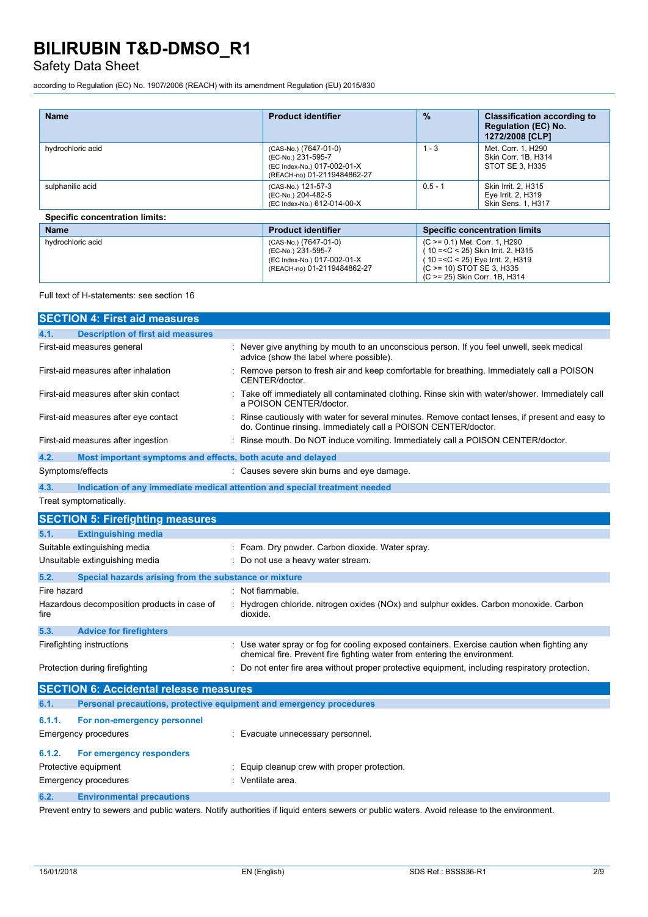### Safety Data Sheet

according to Regulation (EC) No. 1907/2006 (REACH) with its amendment Regulation (EU) 2015/830

| <b>Name</b>                           | <b>Product identifier</b>                                                                                 | $\frac{9}{6}$                                                                                            | <b>Classification according to</b><br><b>Regulation (EC) No.</b><br>1272/2008 [CLP] |
|---------------------------------------|-----------------------------------------------------------------------------------------------------------|----------------------------------------------------------------------------------------------------------|-------------------------------------------------------------------------------------|
| hydrochloric acid                     | (CAS-No.) (7647-01-0)<br>(EC-No.) 231-595-7<br>(EC Index-No.) 017-002-01-X<br>(REACH-no) 01-2119484862-27 | $1 - 3$                                                                                                  | Met. Corr. 1, H290<br>Skin Corr. 1B. H314<br>STOT SE 3, H335                        |
| sulphanilic acid                      | (CAS-No.) 121-57-3<br>(EC-No.) 204-482-5<br>(EC Index-No.) 612-014-00-X                                   | $0.5 - 1$                                                                                                | Skin Irrit. 2. H315<br>Eye Irrit. 2, H319<br>Skin Sens. 1, H317                     |
| <b>Specific concentration limits:</b> |                                                                                                           |                                                                                                          |                                                                                     |
| <b>Name</b>                           | <b>Product identifier</b>                                                                                 |                                                                                                          | <b>Specific concentration limits</b>                                                |
| hydrochloric acid                     | (CAS-No.) (7647-01-0)<br>(EC-No.) 231-595-7<br>(EC Index-No.) 017-002-01-X                                | (C >= 0.1) Met. Corr. 1, H290<br>10 = < C < 25) Skin Irrit. 2, H315<br>10 = < C < 25) Eye Irrit. 2, H319 |                                                                                     |

(REACH-no) 01-2119484862-27

Full text of H-statements: see section 16

|                                | <b>SECTION 4: First aid measures</b>                                       |                                                                                                                                                                        |
|--------------------------------|----------------------------------------------------------------------------|------------------------------------------------------------------------------------------------------------------------------------------------------------------------|
| 4.1.                           | <b>Description of first aid measures</b>                                   |                                                                                                                                                                        |
|                                | First-aid measures general                                                 | Never give anything by mouth to an unconscious person. If you feel unwell, seek medical<br>advice (show the label where possible).                                     |
|                                | First-aid measures after inhalation                                        | Remove person to fresh air and keep comfortable for breathing. Immediately call a POISON<br>CENTER/doctor.                                                             |
|                                | First-aid measures after skin contact                                      | Take off immediately all contaminated clothing. Rinse skin with water/shower. Immediately call<br>a POISON CENTER/doctor.                                              |
|                                | First-aid measures after eye contact                                       | : Rinse cautiously with water for several minutes. Remove contact lenses, if present and easy to<br>do. Continue rinsing. Immediately call a POISON CENTER/doctor.     |
|                                | First-aid measures after ingestion                                         | Rinse mouth. Do NOT induce vomiting. Immediately call a POISON CENTER/doctor.                                                                                          |
| 4.2.                           | Most important symptoms and effects, both acute and delayed                |                                                                                                                                                                        |
|                                | Symptoms/effects                                                           | : Causes severe skin burns and eye damage.                                                                                                                             |
| 4.3.                           | Indication of any immediate medical attention and special treatment needed |                                                                                                                                                                        |
|                                | Treat symptomatically.                                                     |                                                                                                                                                                        |
|                                | <b>SECTION 5: Firefighting measures</b>                                    |                                                                                                                                                                        |
| 5.1.                           | <b>Extinguishing media</b>                                                 |                                                                                                                                                                        |
|                                | Suitable extinguishing media                                               | Foam. Dry powder. Carbon dioxide. Water spray.                                                                                                                         |
| Unsuitable extinguishing media |                                                                            | Do not use a heavy water stream.                                                                                                                                       |
| 5.2.                           | Special hazards arising from the substance or mixture                      |                                                                                                                                                                        |
| Fire hazard                    |                                                                            | Not flammable.                                                                                                                                                         |
| fire                           | Hazardous decomposition products in case of                                | Hydrogen chloride. nitrogen oxides (NOx) and sulphur oxides. Carbon monoxide. Carbon<br>dioxide.                                                                       |
| 5.3.                           | <b>Advice for firefighters</b>                                             |                                                                                                                                                                        |
|                                | Firefighting instructions                                                  | Use water spray or fog for cooling exposed containers. Exercise caution when fighting any<br>chemical fire. Prevent fire fighting water from entering the environment. |
|                                | Protection during firefighting                                             | : Do not enter fire area without proper protective equipment, including respiratory protection.                                                                        |
|                                | <b>SECTION 6: Accidental release measures</b>                              |                                                                                                                                                                        |
| 6.1.                           | Personal precautions, protective equipment and emergency procedures        |                                                                                                                                                                        |
| 6.1.1.                         | For non-emergency personnel                                                |                                                                                                                                                                        |
|                                | Emergency procedures                                                       | : Evacuate unnecessary personnel.                                                                                                                                      |
| 6.1.2.                         | For emergency responders                                                   |                                                                                                                                                                        |
| Protective equipment           |                                                                            | Equip cleanup crew with proper protection.                                                                                                                             |
|                                | <b>Emergency procedures</b>                                                | Ventilate area.                                                                                                                                                        |
| 6.2.                           | <b>Environmental precautions</b>                                           |                                                                                                                                                                        |

Prevent entry to sewers and public waters. Notify authorities if liquid enters sewers or public waters. Avoid release to the environment.

(C >= 10) STOT SE 3, H335 (C >= 25) Skin Corr. 1B, H314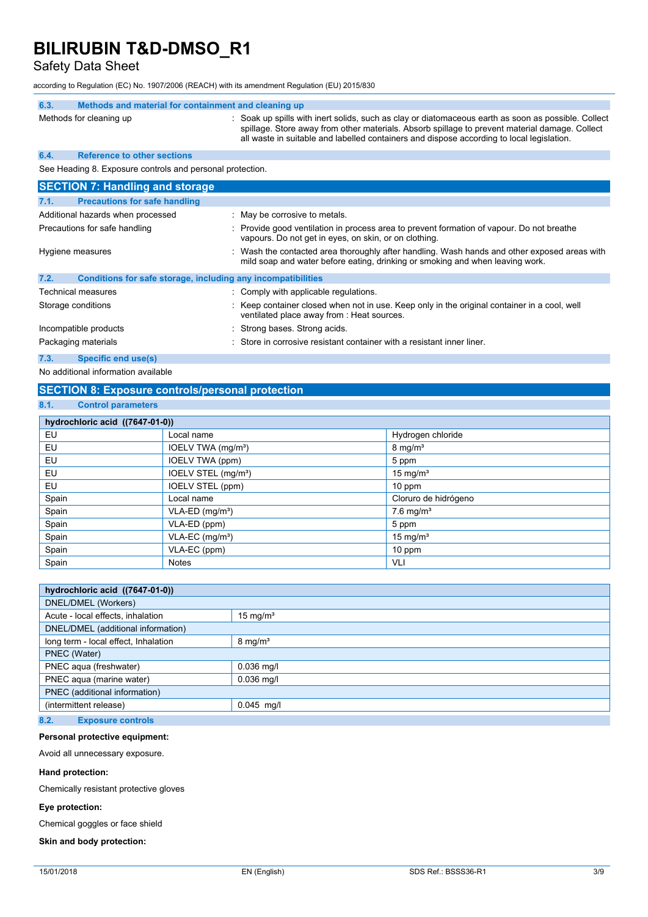Safety Data Sheet

according to Regulation (EC) No. 1907/2006 (REACH) with its amendment Regulation (EU) 2015/830

| 6.3. | Methods and material for containment and cleaning up         |                                                                                                                                                                                                                                                                                                    |
|------|--------------------------------------------------------------|----------------------------------------------------------------------------------------------------------------------------------------------------------------------------------------------------------------------------------------------------------------------------------------------------|
|      | Methods for cleaning up                                      | : Soak up spills with inert solids, such as clay or diatomaceous earth as soon as possible. Collect<br>spillage. Store away from other materials. Absorb spillage to prevent material damage. Collect<br>all waste in suitable and labelled containers and dispose according to local legislation. |
| 6.4. | <b>Reference to other sections</b>                           |                                                                                                                                                                                                                                                                                                    |
|      | See Heading 8. Exposure controls and personal protection.    |                                                                                                                                                                                                                                                                                                    |
|      | <b>SECTION 7: Handling and storage</b>                       |                                                                                                                                                                                                                                                                                                    |
| 7.1. | <b>Precautions for safe handling</b>                         |                                                                                                                                                                                                                                                                                                    |
|      | Additional hazards when processed                            | : May be corrosive to metals.                                                                                                                                                                                                                                                                      |
|      | Precautions for safe handling                                | : Provide good ventilation in process area to prevent formation of vapour. Do not breathe<br>vapours. Do not get in eyes, on skin, or on clothing.                                                                                                                                                 |
|      | Hygiene measures                                             | Wash the contacted area thoroughly after handling. Wash hands and other exposed areas with<br>mild soap and water before eating, drinking or smoking and when leaving work.                                                                                                                        |
| 7.2. | Conditions for safe storage, including any incompatibilities |                                                                                                                                                                                                                                                                                                    |
|      | <b>Technical measures</b>                                    | : Comply with applicable regulations.                                                                                                                                                                                                                                                              |
|      | Storage conditions                                           | Keep container closed when not in use. Keep only in the original container in a cool, well<br>ventilated place away from : Heat sources.                                                                                                                                                           |
|      | Incompatible products                                        | Strong bases. Strong acids.                                                                                                                                                                                                                                                                        |
|      | Packaging materials                                          | Store in corrosive resistant container with a resistant inner liner.                                                                                                                                                                                                                               |
| 7.3. | <b>Specific end use(s)</b>                                   |                                                                                                                                                                                                                                                                                                    |

No additional information available

### **SECTION 8: Exposure controls/personal protection**

### **8.1. Control parameters**

| hydrochloric acid ((7647-01-0)) |                                 |                         |  |  |  |
|---------------------------------|---------------------------------|-------------------------|--|--|--|
| EU                              | Local name                      | Hydrogen chloride       |  |  |  |
| EU                              | IOELV TWA (mg/m <sup>3</sup> )  | $8 \text{ mg/m}^3$      |  |  |  |
| EU                              | IOELV TWA (ppm)                 | 5 ppm                   |  |  |  |
| EU                              | IOELV STEL (mg/m <sup>3</sup> ) | 15 mg/ $m3$             |  |  |  |
| EU                              | IOELV STEL (ppm)                | $10$ ppm                |  |  |  |
| Spain                           | Local name                      | Cloruro de hidrógeno    |  |  |  |
| Spain                           | $VLA-ED$ (mg/m <sup>3</sup> )   | $7.6$ mg/m <sup>3</sup> |  |  |  |
| Spain                           | VLA-ED (ppm)                    | 5 ppm                   |  |  |  |
| Spain                           | $VLA-EC$ (mg/m <sup>3</sup> )   | 15 mg/ $m3$             |  |  |  |
| Spain                           | VLA-EC (ppm)                    | $10$ ppm                |  |  |  |
| Spain                           | <b>Notes</b>                    | VLI                     |  |  |  |

| hydrochloric acid ((7647-01-0))      |                     |  |
|--------------------------------------|---------------------|--|
| DNEL/DMEL (Workers)                  |                     |  |
| Acute - local effects, inhalation    | $15 \text{ mg/m}^3$ |  |
| DNEL/DMEL (additional information)   |                     |  |
| long term - local effect, Inhalation | $8 \text{ mg/m}^3$  |  |
| PNEC (Water)                         |                     |  |
| PNEC aqua (freshwater)               | $0.036$ mg/l        |  |
| PNEC aqua (marine water)             | $0.036$ mg/l        |  |
| PNEC (additional information)        |                     |  |
| (intermittent release)               | $0.045$ mg/l        |  |
|                                      |                     |  |

### **8.2. Exposure controls**

#### **Personal protective equipment:**

Avoid all unnecessary exposure.

#### **Hand protection:**

Chemically resistant protective gloves

#### **Eye protection:**

Chemical goggles or face shield

### **Skin and body protection:**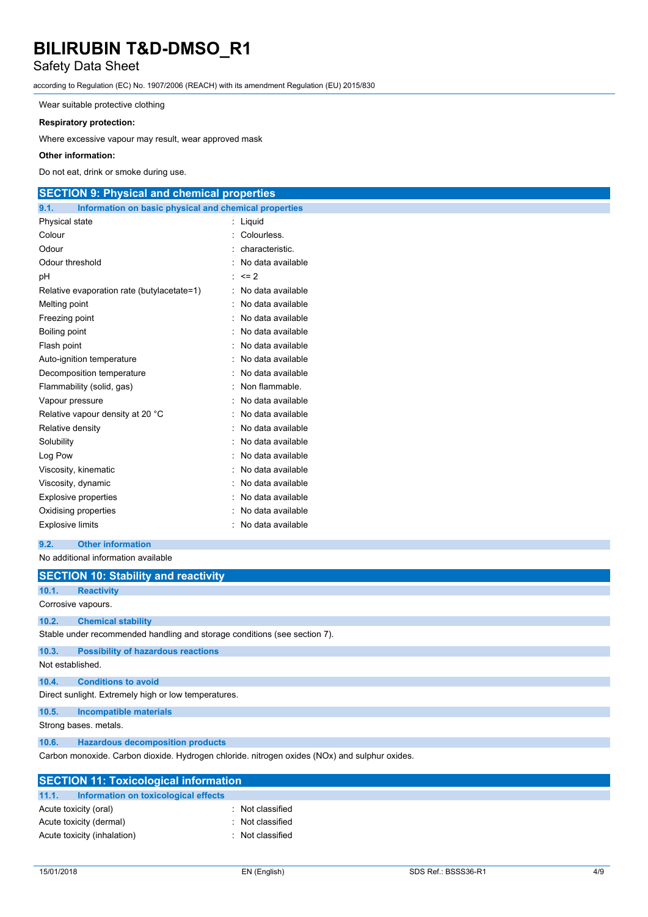### Safety Data Sheet

according to Regulation (EC) No. 1907/2006 (REACH) with its amendment Regulation (EU) 2015/830

Wear suitable protective clothing

#### **Respiratory protection:**

Where excessive vapour may result, wear approved mask

#### **Other information:**

Do not eat, drink or smoke during use.

### **SECTION 9: Physical and chemical properties**

| 9.1.<br>Information on basic physical and chemical properties |   |                   |
|---------------------------------------------------------------|---|-------------------|
| Physical state                                                | t | Liquid            |
| Colour                                                        |   | Colourless.       |
| Odour                                                         |   | characteristic.   |
| Odour threshold                                               |   | No data available |
| рH                                                            |   | $= 2$             |
| Relative evaporation rate (butylacetate=1)                    |   | No data available |
| Melting point                                                 |   | No data available |
| Freezing point                                                |   | No data available |
| Boiling point                                                 |   | No data available |
| Flash point                                                   |   | No data available |
| Auto-ignition temperature                                     |   | No data available |
| Decomposition temperature                                     |   | No data available |
| Flammability (solid, gas)                                     |   | Non flammable.    |
| Vapour pressure                                               |   | No data available |
| Relative vapour density at 20 °C                              |   | No data available |
| Relative density                                              |   | No data available |
| Solubility                                                    |   | No data available |
| Log Pow                                                       |   | No data available |
| Viscosity, kinematic                                          |   | No data available |
| Viscosity, dynamic                                            |   | No data available |
| <b>Explosive properties</b>                                   |   | No data available |
| Oxidising properties                                          |   | No data available |
| <b>Explosive limits</b>                                       |   | No data available |

**9.2. Other information**

No additional information available

|                  | <b>SECTION 10: Stability and reactivity</b>                                                   |
|------------------|-----------------------------------------------------------------------------------------------|
| 10.1.            | <b>Reactivity</b>                                                                             |
|                  | Corrosive vapours.                                                                            |
| 10.2.            | <b>Chemical stability</b>                                                                     |
|                  | Stable under recommended handling and storage conditions (see section 7).                     |
| 10.3.            | <b>Possibility of hazardous reactions</b>                                                     |
| Not established. |                                                                                               |
| 10.4.            | <b>Conditions to avoid</b>                                                                    |
|                  | Direct sunlight. Extremely high or low temperatures.                                          |
| 10.5.            | <b>Incompatible materials</b>                                                                 |
|                  | Strong bases, metals.                                                                         |
| 10.6.            | <b>Hazardous decomposition products</b>                                                       |
|                  | Carbon monoxide. Carbon dioxide. Hydrogen chloride. nitrogen oxides (NOx) and sulphur oxides. |
|                  | <b>SECTION 11: Toxicological information</b>                                                  |
| 11.1.            | Information on toxicological effects                                                          |

|       | SECTION 11: TOXICOlOGICAL INTORMATION |                |
|-------|---------------------------------------|----------------|
| 11.1. | Information on toxicological effects  |                |
|       | Acute toxicity (oral)                 | Not classified |
|       | Acute toxicity (dermal)               | Not classified |
|       | Acute toxicity (inhalation)           | Not classified |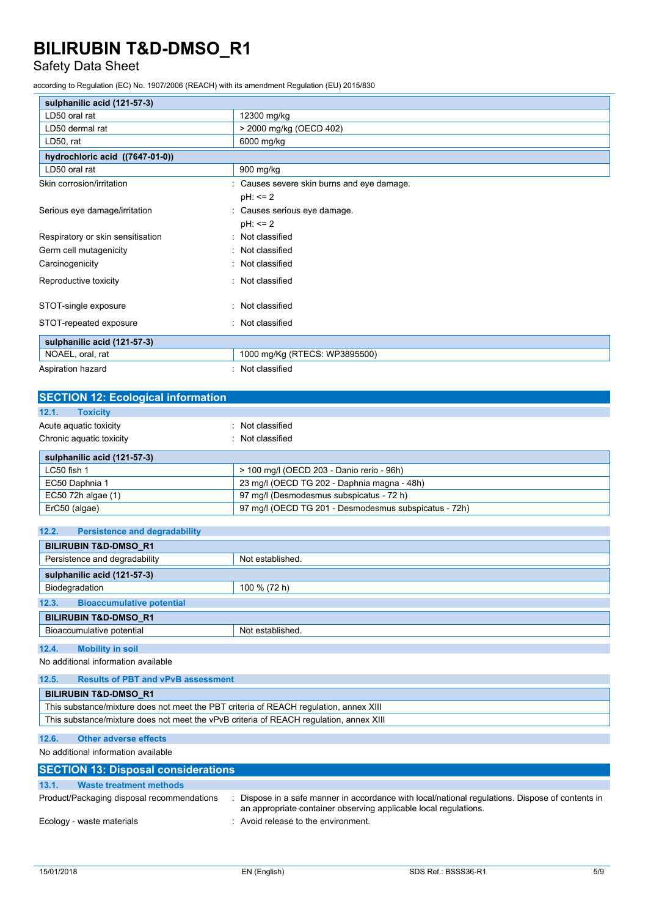### Safety Data Sheet

according to Regulation (EC) No. 1907/2006 (REACH) with its amendment Regulation (EU) 2015/830

| sulphanilic acid (121-57-3)       |                                            |
|-----------------------------------|--------------------------------------------|
| LD50 oral rat                     | 12300 mg/kg                                |
| LD50 dermal rat                   | > 2000 mg/kg (OECD 402)                    |
| LD50, rat                         | 6000 mg/kg                                 |
| hydrochloric acid ((7647-01-0))   |                                            |
| LD50 oral rat                     | 900 mg/kg                                  |
| Skin corrosion/irritation         | : Causes severe skin burns and eye damage. |
|                                   | $pH: \leq 2$                               |
| Serious eye damage/irritation     | : Causes serious eye damage.               |
|                                   | $pH: \leq 2$                               |
| Respiratory or skin sensitisation | : Not classified                           |
| Germ cell mutagenicity            | Not classified                             |
| Carcinogenicity                   | : Not classified                           |
| Reproductive toxicity             | : Not classified                           |
|                                   |                                            |
| STOT-single exposure              | Not classified                             |
| STOT-repeated exposure            | : Not classified                           |
| sulphanilic acid (121-57-3)       |                                            |
| NOAEL, oral, rat                  | 1000 mg/Kg (RTECS: WP3895500)              |
| Aspiration hazard                 | Not classified                             |

| <b>SECTION 12: Ecological information</b> |                                                       |
|-------------------------------------------|-------------------------------------------------------|
| 12.1.<br><b>Toxicity</b>                  |                                                       |
| Acute aguatic toxicity                    | Not classified                                        |
| Chronic aquatic toxicity                  | : Not classified                                      |
| sulphanilic acid (121-57-3)               |                                                       |
| LC50 fish 1                               | > 100 mg/l (OECD 203 - Danio rerio - 96h)             |
| EC50 Daphnia 1                            | 23 mg/l (OECD TG 202 - Daphnia magna - 48h)           |
| EC50 72h algae (1)                        | 97 mg/l (Desmodesmus subspicatus - 72 h)              |
| ErC50 (algae)                             | 97 mg/l (OECD TG 201 - Desmodesmus subspicatus - 72h) |

| 12.2.<br><b>Persistence and degradability</b> |                  |  |
|-----------------------------------------------|------------------|--|
| <b>BILIRUBIN T&amp;D-DMSO R1</b>              |                  |  |
| Persistence and degradability                 | Not established. |  |
| sulphanilic acid (121-57-3)                   |                  |  |
| Biodegradation                                | 100 % (72 h)     |  |
| 12.3.<br><b>Bioaccumulative potential</b>     |                  |  |
| <b>BILIRUBIN T&amp;D-DMSO R1</b>              |                  |  |
| Bioaccumulative potential                     | Not established. |  |
| 12.4.<br><b>Mobility in soil</b>              |                  |  |

No additional information available

| 12.5. | <b>Results of PBT and vPvB assessment</b>                                              |  |  |
|-------|----------------------------------------------------------------------------------------|--|--|
|       | <b>BILIRUBIN T&amp;D-DMSO R1</b>                                                       |  |  |
|       | This substance/mixture does not meet the PBT criteria of REACH regulation, annex XIII  |  |  |
|       | This substance/mixture does not meet the vPvB criteria of REACH regulation, annex XIII |  |  |

### **12.6. Other adverse effects**

No additional information available

| <b>SECTION 13: Disposal considerations</b> |                                                                                                                                                                    |  |  |
|--------------------------------------------|--------------------------------------------------------------------------------------------------------------------------------------------------------------------|--|--|
| 13.1.<br>Waste treatment methods           |                                                                                                                                                                    |  |  |
| Product/Packaging disposal recommendations | Dispose in a safe manner in accordance with local/national regulations. Dispose of contents in<br>an appropriate container observing applicable local regulations. |  |  |
| Ecology - waste materials                  | : Avoid release to the environment.                                                                                                                                |  |  |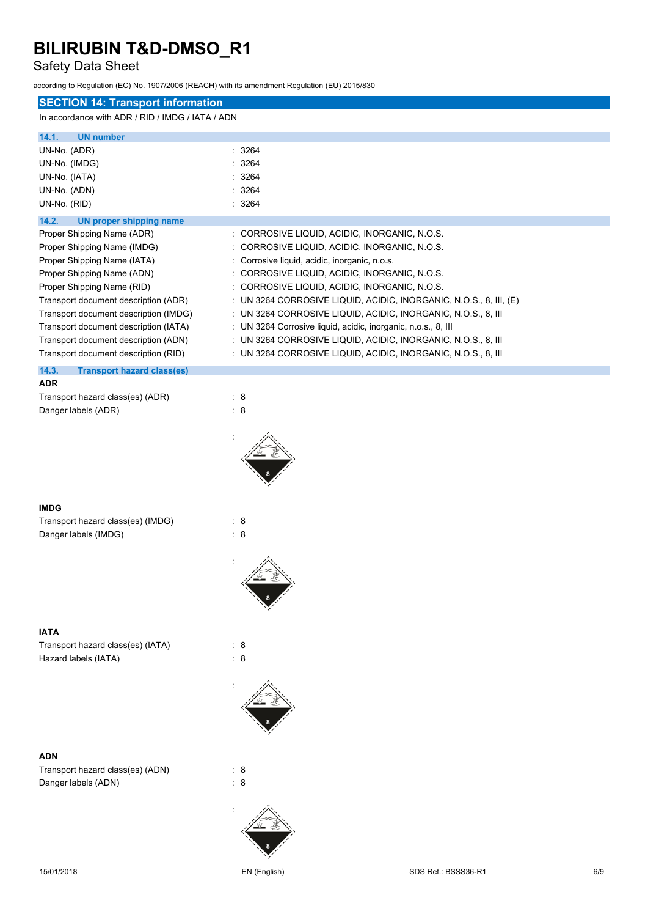### Safety Data Sheet

|                                                  | according to Regulation (EC) No. 1907/2006 (REACH) with its amendment Regulation (EU) 2015/830 |  |  |  |
|--------------------------------------------------|------------------------------------------------------------------------------------------------|--|--|--|
| <b>SECTION 14: Transport information</b>         |                                                                                                |  |  |  |
| In accordance with ADR / RID / IMDG / IATA / ADN |                                                                                                |  |  |  |
| 14.1.<br><b>UN number</b>                        |                                                                                                |  |  |  |
| UN-No. (ADR)                                     | 3264                                                                                           |  |  |  |
| UN-No. (IMDG)                                    | 3264                                                                                           |  |  |  |
| UN-No. (IATA)                                    | 3264                                                                                           |  |  |  |
| UN-No. (ADN)                                     | : 3264                                                                                         |  |  |  |
| UN-No. (RID)                                     | : 3264                                                                                         |  |  |  |
| 14.2.<br><b>UN proper shipping name</b>          |                                                                                                |  |  |  |
| Proper Shipping Name (ADR)                       | : CORROSIVE LIQUID, ACIDIC, INORGANIC, N.O.S.                                                  |  |  |  |
| Proper Shipping Name (IMDG)                      | : CORROSIVE LIQUID, ACIDIC, INORGANIC, N.O.S.                                                  |  |  |  |
| Proper Shipping Name (IATA)                      | : Corrosive liquid, acidic, inorganic, n.o.s.                                                  |  |  |  |
| Proper Shipping Name (ADN)                       | : CORROSIVE LIQUID, ACIDIC, INORGANIC, N.O.S.                                                  |  |  |  |
| Proper Shipping Name (RID)                       | : CORROSIVE LIQUID, ACIDIC, INORGANIC, N.O.S.                                                  |  |  |  |
| Transport document description (ADR)             | : UN 3264 CORROSIVE LIQUID, ACIDIC, INORGANIC, N.O.S., 8, III, (E)                             |  |  |  |
| Transport document description (IMDG)            | : UN 3264 CORROSIVE LIQUID, ACIDIC, INORGANIC, N.O.S., 8, III                                  |  |  |  |
| Transport document description (IATA)            | : UN 3264 Corrosive liquid, acidic, inorganic, n.o.s., 8, III                                  |  |  |  |
| Transport document description (ADN)             | : UN 3264 CORROSIVE LIQUID, ACIDIC, INORGANIC, N.O.S., 8, III                                  |  |  |  |
| Transport document description (RID)             | : UN 3264 CORROSIVE LIQUID, ACIDIC, INORGANIC, N.O.S., 8, III                                  |  |  |  |
| 14.3.<br><b>Transport hazard class(es)</b>       |                                                                                                |  |  |  |
| <b>ADR</b>                                       |                                                                                                |  |  |  |
| Transport hazard class(es) (ADR)                 | : 8                                                                                            |  |  |  |
| Danger labels (ADR)                              | : 8                                                                                            |  |  |  |
|                                                  |                                                                                                |  |  |  |
|                                                  |                                                                                                |  |  |  |
| <b>IMDG</b>                                      |                                                                                                |  |  |  |
| Transport hazard class(es) (IMDG)                | : 8                                                                                            |  |  |  |
| Danger labels (IMDG)                             | : 8                                                                                            |  |  |  |
|                                                  |                                                                                                |  |  |  |
|                                                  |                                                                                                |  |  |  |
| <b>IATA</b>                                      |                                                                                                |  |  |  |
| Transport hazard class(es) (IATA)                | : 8                                                                                            |  |  |  |
| Hazard labels (IATA)                             | $\therefore$ 8                                                                                 |  |  |  |
|                                                  |                                                                                                |  |  |  |

### **ADN**

Transport hazard class(es) (ADN) : 8 Danger labels (ADN)  $\qquad \qquad : 8$ 

:

: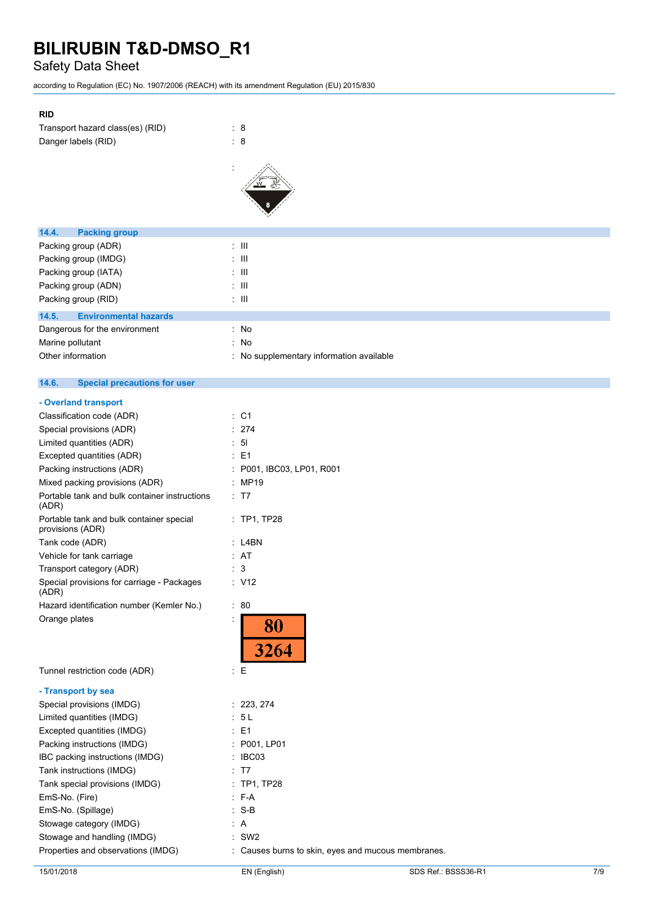### Safety Data Sheet

according to Regulation (EC) No. 1907/2006 (REACH) with its amendment Regulation (EU) 2015/830

### **RID**

| Transport hazard class(es) (RID) | : 8 |  |
|----------------------------------|-----|--|
| Danger labels (RID)              | : 8 |  |



| <b>Packing group</b><br>14.4.         |                                          |
|---------------------------------------|------------------------------------------|
| Packing group (ADR)                   | : III                                    |
| Packing group (IMDG)                  | : III                                    |
| Packing group (IATA)                  | : III                                    |
| Packing group (ADN)                   | : III                                    |
| Packing group (RID)                   | : III                                    |
| 14.5.<br><b>Environmental hazards</b> |                                          |
| Dangerous for the environment         | : No                                     |
| Marine pollutant                      | : No                                     |
| Other information                     | : No supplementary information available |
|                                       |                                          |

#### $14.6.$ **14.6. Special precautions for user**

| : C1                                               |
|----------------------------------------------------|
| 274                                                |
| 5 <sub>l</sub>                                     |
| E <sub>1</sub>                                     |
| P001, IBC03, LP01, R001                            |
| <b>MP19</b>                                        |
| : T7                                               |
| : TP1, TP28                                        |
| L4BN                                               |
| AT                                                 |
| 3                                                  |
| : V12                                              |
| $\pm$<br>80                                        |
| <u>80</u><br>3264                                  |
| t.<br>Е                                            |
|                                                    |
| 223, 274                                           |
| 5L                                                 |
| E <sub>1</sub>                                     |
| P001, LP01                                         |
| IBC03                                              |
| T7                                                 |
| <b>TP1, TP28</b>                                   |
| $F-A$                                              |
| $S-B$                                              |
| A                                                  |
| SW <sub>2</sub>                                    |
| : Causes burns to skin, eyes and mucous membranes. |
|                                                    |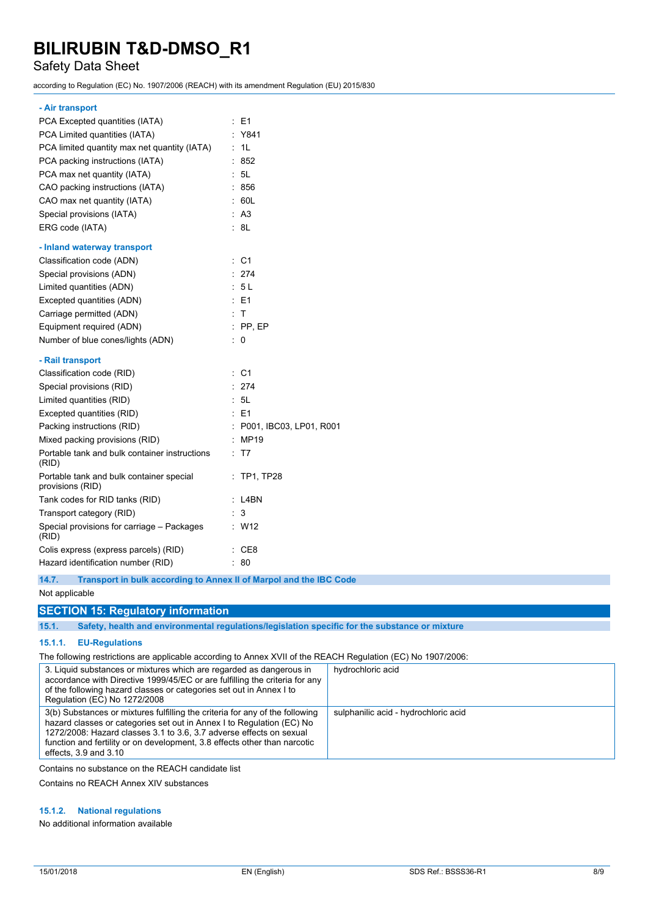### Safety Data Sheet

according to Regulation (EC) No. 1907/2006 (REACH) with its amendment Regulation (EU) 2015/830

#### **- Air transport**

| PCA Excepted quantities (IATA)                               | : E1                         |
|--------------------------------------------------------------|------------------------------|
| PCA Limited quantities (IATA)                                | Y841                         |
| PCA limited quantity max net quantity (IATA)                 | 1L<br>÷.                     |
| PCA packing instructions (IATA)                              | 852                          |
| PCA max net quantity (IATA)                                  | : 5L                         |
| CAO packing instructions (IATA)                              | : 856                        |
| CAO max net quantity (IATA)                                  | 60L                          |
| Special provisions (IATA)                                    | : A3                         |
| ERG code (IATA)                                              | : 8L                         |
| - Inland waterway transport                                  |                              |
| Classification code (ADN)                                    | C <sub>1</sub><br>÷.         |
| Special provisions (ADN)                                     | : 274                        |
| Limited quantities (ADN)                                     | : 5L                         |
| Excepted quantities (ADN)                                    | $E = 51$                     |
| Carriage permitted (ADN)                                     | $\cdot$ T                    |
| Equipment required (ADN)                                     | $:$ PP, EP                   |
| Number of blue cones/lights (ADN)                            | ÷<br>0                       |
| - Rail transport                                             |                              |
| Classification code (RID)                                    | $\therefore$ C1              |
| Special provisions (RID)                                     | : 274                        |
| Limited quantities (RID)                                     | : 5L                         |
| Excepted quantities (RID)                                    | $E = 1$                      |
| Packing instructions (RID)                                   | ċ<br>P001, IBC03, LP01, R001 |
| Mixed packing provisions (RID)                               | : MP19                       |
| Portable tank and bulk container instructions<br>(RID)       | T7                           |
| Portable tank and bulk container special<br>provisions (RID) | <b>TP1, TP28</b>             |
| Tank codes for RID tanks (RID)                               | : L4BN                       |
| Transport category (RID)                                     | 3                            |
| Special provisions for carriage - Packages<br>(RID)          | W12                          |
| Colis express (express parcels) (RID)                        | CE8                          |
| Hazard identification number (RID)                           | 80                           |

**14.7. Transport in bulk according to Annex II of Marpol and the IBC Code**

#### Not applicable

### **SECTION 15: Regulatory information**

**15.1. Safety, health and environmental regulations/legislation specific for the substance or mixture**

### **15.1.1. EU-Regulations**

The following restrictions are applicable according to Annex XVII of the REACH Regulation (EC) No 1907/2006:

| 3. Liquid substances or mixtures which are regarded as dangerous in<br>accordance with Directive 1999/45/EC or are fulfilling the criteria for any<br>of the following hazard classes or categories set out in Annex I to<br>Regulation (EC) No 1272/2008                                                                              | hydrochloric acid                    |
|----------------------------------------------------------------------------------------------------------------------------------------------------------------------------------------------------------------------------------------------------------------------------------------------------------------------------------------|--------------------------------------|
| 3(b) Substances or mixtures fulfilling the criteria for any of the following<br>hazard classes or categories set out in Annex I to Regulation (EC) No<br>1272/2008: Hazard classes 3.1 to 3.6, 3.7 adverse effects on sexual<br>function and fertility or on development, 3.8 effects other than narcotic<br>effects, $3.9$ and $3.10$ | sulphanilic acid - hydrochloric acid |

Contains no substance on the REACH candidate list

Contains no REACH Annex XIV substances

### **15.1.2. National regulations**

No additional information available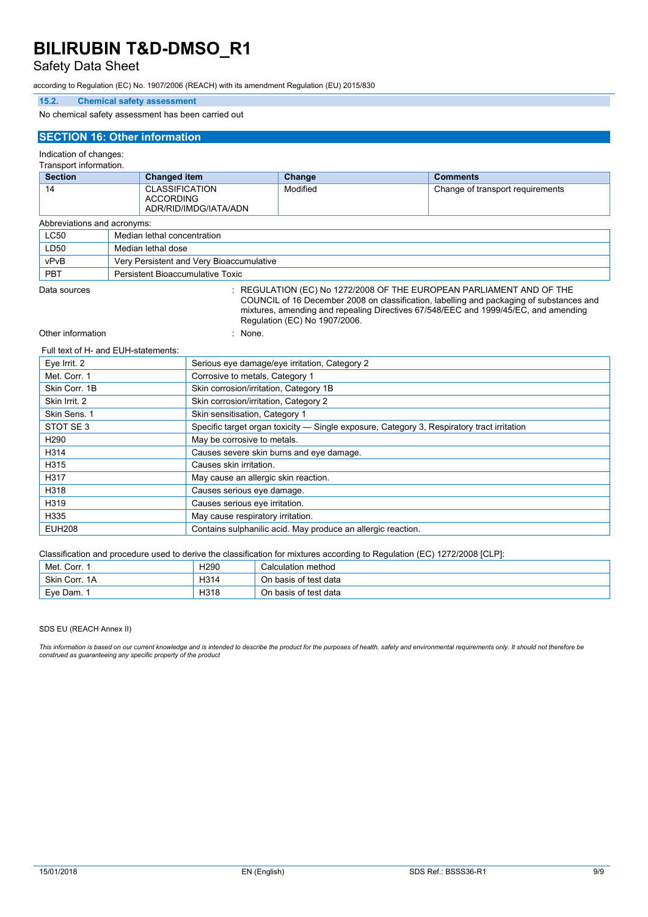### Safety Data Sheet

according to Regulation (EC) No. 1907/2006 (REACH) with its amendment Regulation (EU) 2015/830

### **15.2. Chemical safety assessment**

No chemical safety assessment has been carried out

#### **SECTION 16: Other information**

#### Indication of changes:

Transport information.

| <b>Section</b><br><b>Changed item</b> |                                  | Change                                                      | <b>Comments</b> |                                  |
|---------------------------------------|----------------------------------|-------------------------------------------------------------|-----------------|----------------------------------|
| 14                                    |                                  | <b>CLASSIFICATION</b><br>ACCORDING<br>ADR/RID/IMDG/IATA/ADN | Modified        | Change of transport requirements |
| Abbreviations and acronyms:           |                                  |                                                             |                 |                                  |
| <b>LC50</b>                           |                                  | Median lethal concentration                                 |                 |                                  |
| LD50                                  |                                  | Median lethal dose                                          |                 |                                  |
| vPvB                                  |                                  | Very Persistent and Very Bioaccumulative                    |                 |                                  |
| <b>PBT</b>                            | Persistent Bioaccumulative Toxic |                                                             |                 |                                  |

Data sources **Superint Studies : REGULATION (EC) No 1272/2008 OF THE EUROPEAN PARLIAMENT AND OF THE** 

COUNCIL of 16 December 2008 on classification, labelling and packaging of substances and mixtures, amending and repealing Directives 67/548/EEC and 1999/45/EC, and amending Regulation (EC) No 1907/2006.

Other information in the set of the set of the set of the set of the set of the set of the set of the set of the set of the set of the set of the set of the set of the set of the set of the set of the set of the set of the

#### Full text of H- and EUH-statements:

| Eye Irrit. 2     | Serious eye damage/eye irritation, Category 2                                              |
|------------------|--------------------------------------------------------------------------------------------|
| Met. Corr. 1     | Corrosive to metals, Category 1                                                            |
| Skin Corr. 1B    | Skin corrosion/irritation, Category 1B                                                     |
| Skin Irrit. 2    | Skin corrosion/irritation, Category 2                                                      |
| Skin Sens. 1     | Skin sensitisation, Category 1                                                             |
| STOT SE3         | Specific target organ toxicity — Single exposure, Category 3, Respiratory tract irritation |
| H <sub>290</sub> | May be corrosive to metals.                                                                |
| H314             | Causes severe skin burns and eye damage.                                                   |
| H315             | Causes skin irritation.                                                                    |
| H317             | May cause an allergic skin reaction.                                                       |
| H318             | Causes serious eye damage.                                                                 |
| H319             | Causes serious eye irritation.                                                             |
| H335             | May cause respiratory irritation.                                                          |
| <b>EUH208</b>    | Contains sulphanilic acid. May produce an allergic reaction.                               |

Classification and procedure used to derive the classification for mixtures according to Regulation (EC) 1272/2008 [CLP]:

| Met. Corr. 1  | H <sub>290</sub> | Calculation method        |
|---------------|------------------|---------------------------|
| Skin Corr, 1A | H314             | On basis of test data     |
| Eve Dam.      | H318             | h basis of test data<br>◡ |

SDS EU (REACH Annex II)

This information is based on our current knowledge and is intended to describe the product for the purposes of health, safety and environmental requirements only. It should not therefore be *construed as guaranteeing any specific property of the product*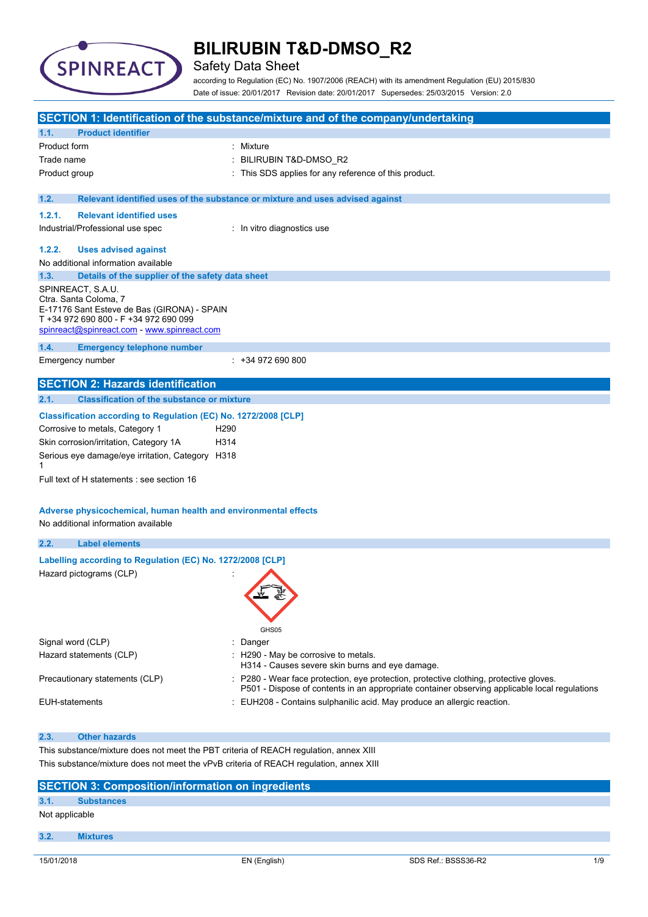

### Safety Data Sheet

according to Regulation (EC) No. 1907/2006 (REACH) with its amendment Regulation (EU) 2015/830 Date of issue: 20/01/2017 Revision date: 20/01/2017 Supersedes: 25/03/2015 Version: 2.0

|                                                                                       |                                                                                                                                                                                                                                                                                                                   | SECTION 1: Identification of the substance/mixture and of the company/undertaking                                                                                                       |  |
|---------------------------------------------------------------------------------------|-------------------------------------------------------------------------------------------------------------------------------------------------------------------------------------------------------------------------------------------------------------------------------------------------------------------|-----------------------------------------------------------------------------------------------------------------------------------------------------------------------------------------|--|
| 1.1.                                                                                  | <b>Product identifier</b>                                                                                                                                                                                                                                                                                         |                                                                                                                                                                                         |  |
| Product form                                                                          |                                                                                                                                                                                                                                                                                                                   | : Mixture                                                                                                                                                                               |  |
| Trade name                                                                            |                                                                                                                                                                                                                                                                                                                   | BILIRUBIN T&D-DMSO_R2                                                                                                                                                                   |  |
| Product group                                                                         |                                                                                                                                                                                                                                                                                                                   | This SDS applies for any reference of this product.                                                                                                                                     |  |
| 1.2.                                                                                  |                                                                                                                                                                                                                                                                                                                   | Relevant identified uses of the substance or mixture and uses advised against                                                                                                           |  |
| 1.2.1.                                                                                | <b>Relevant identified uses</b>                                                                                                                                                                                                                                                                                   |                                                                                                                                                                                         |  |
|                                                                                       | Industrial/Professional use spec                                                                                                                                                                                                                                                                                  | : In vitro diagnostics use                                                                                                                                                              |  |
| 1.2.2.                                                                                | <b>Uses advised against</b>                                                                                                                                                                                                                                                                                       |                                                                                                                                                                                         |  |
|                                                                                       | No additional information available                                                                                                                                                                                                                                                                               |                                                                                                                                                                                         |  |
| 1.3.                                                                                  | Details of the supplier of the safety data sheet                                                                                                                                                                                                                                                                  |                                                                                                                                                                                         |  |
|                                                                                       | SPINREACT, S.A.U.<br>Ctra. Santa Coloma, 7<br>E-17176 Sant Esteve de Bas (GIRONA) - SPAIN<br>T +34 972 690 800 - F +34 972 690 099<br>spinreact@spinreact.com - www.spinreact.com                                                                                                                                 |                                                                                                                                                                                         |  |
| 1.4.                                                                                  | <b>Emergency telephone number</b><br>Emergency number                                                                                                                                                                                                                                                             | $: +34972690800$                                                                                                                                                                        |  |
|                                                                                       | <b>SECTION 2: Hazards identification</b>                                                                                                                                                                                                                                                                          |                                                                                                                                                                                         |  |
| 2.1.                                                                                  | <b>Classification of the substance or mixture</b>                                                                                                                                                                                                                                                                 |                                                                                                                                                                                         |  |
| 1                                                                                     | Corrosive to metals, Category 1<br>H <sub>290</sub><br>Skin corrosion/irritation, Category 1A<br>H314<br>Serious eye damage/eye irritation, Category H318<br>Full text of H statements : see section 16<br>Adverse physicochemical, human health and environmental effects<br>No additional information available |                                                                                                                                                                                         |  |
| 2.2.                                                                                  | <b>Label elements</b>                                                                                                                                                                                                                                                                                             |                                                                                                                                                                                         |  |
|                                                                                       | Labelling according to Regulation (EC) No. 1272/2008 [CLP]<br>Hazard pictograms (CLP)                                                                                                                                                                                                                             | GHS05                                                                                                                                                                                   |  |
| Signal word (CLP)                                                                     |                                                                                                                                                                                                                                                                                                                   | : Danger                                                                                                                                                                                |  |
|                                                                                       | Hazard statements (CLP)                                                                                                                                                                                                                                                                                           | : H290 - May be corrosive to metals.<br>H314 - Causes severe skin burns and eye damage.                                                                                                 |  |
|                                                                                       | Precautionary statements (CLP)                                                                                                                                                                                                                                                                                    | : P280 - Wear face protection, eye protection, protective clothing, protective gloves.<br>P501 - Dispose of contents in an appropriate container observing applicable local regulations |  |
| <b>EUH-statements</b>                                                                 |                                                                                                                                                                                                                                                                                                                   | EUH208 - Contains sulphanilic acid. May produce an allergic reaction.                                                                                                                   |  |
| 2.3.                                                                                  | <b>Other hazards</b>                                                                                                                                                                                                                                                                                              |                                                                                                                                                                                         |  |
| This substance/mixture does not meet the PBT criteria of REACH regulation, annex XIII |                                                                                                                                                                                                                                                                                                                   |                                                                                                                                                                                         |  |
|                                                                                       | This substance/mixture does not meet the vPvB criteria of REACH regulation, annex XIII                                                                                                                                                                                                                            |                                                                                                                                                                                         |  |
| <b>SECTION 3: Composition/information on ingredients</b>                              |                                                                                                                                                                                                                                                                                                                   |                                                                                                                                                                                         |  |

### **3.1. Substances** Not applicable

**3.2. Mixtures**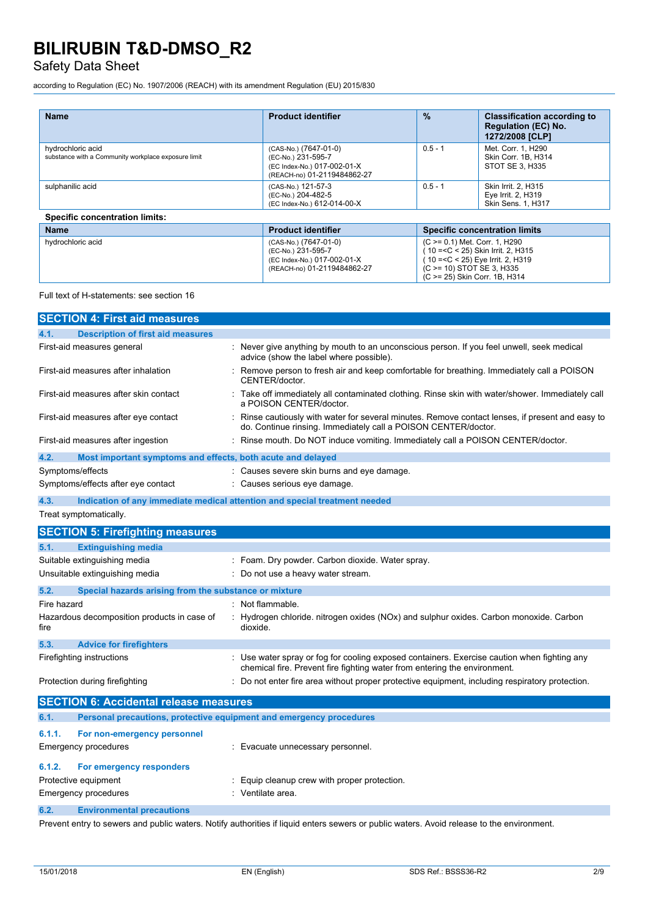### Safety Data Sheet

according to Regulation (EC) No. 1907/2006 (REACH) with its amendment Regulation (EU) 2015/830

| <b>Name</b>                                                              | <b>Product identifier</b>                                                                                 | $\frac{9}{6}$ | <b>Classification according to</b><br><b>Regulation (EC) No.</b><br>1272/2008 [CLP]                                                    |
|--------------------------------------------------------------------------|-----------------------------------------------------------------------------------------------------------|---------------|----------------------------------------------------------------------------------------------------------------------------------------|
| hydrochloric acid<br>substance with a Community workplace exposure limit | (CAS-No.) (7647-01-0)<br>(EC-No.) 231-595-7<br>(EC Index-No.) 017-002-01-X<br>(REACH-no) 01-2119484862-27 | $0.5 - 1$     | Met. Corr. 1. H290<br>Skin Corr. 1B. H314<br>STOT SE 3. H335                                                                           |
| sulphanilic acid                                                         | (CAS-No.) 121-57-3<br>(EC-No.) 204-482-5<br>(EC Index-No.) 612-014-00-X                                   | $0.5 - 1$     | Skin Irrit. 2, H315<br>Eye Irrit. 2, H319<br>Skin Sens. 1, H317                                                                        |
| <b>Specific concentration limits:</b>                                    |                                                                                                           |               |                                                                                                                                        |
| <b>Name</b>                                                              | <b>Product identifier</b>                                                                                 |               | <b>Specific concentration limits</b>                                                                                                   |
| hydrochloric acid                                                        | (CAS-No.) (7647-01-0)<br>(EC-No.) 231-595-7<br>(EC Index-No.) 017-002-01-X<br>(REACH-no) 01-2119484862-27 |               | (C >= 0.1) Met. Corr. 1, H290<br>10 = < C < 25) Skin Irrit. 2, H315<br>10 = < C < 25) Eye Irrit. 2, H319<br>(C > = 10) STOT SE 3, H335 |

Full text of H-statements: see section 16

|             | <b>SECTION 4: First aid measures</b>                                |                                                                                                                                                                          |
|-------------|---------------------------------------------------------------------|--------------------------------------------------------------------------------------------------------------------------------------------------------------------------|
| 4.1.        | <b>Description of first aid measures</b>                            |                                                                                                                                                                          |
|             | First-aid measures general                                          | Never give anything by mouth to an unconscious person. If you feel unwell, seek medical<br>advice (show the label where possible).                                       |
|             | First-aid measures after inhalation                                 | Remove person to fresh air and keep comfortable for breathing. Immediately call a POISON<br>CENTER/doctor.                                                               |
|             | First-aid measures after skin contact                               | : Take off immediately all contaminated clothing. Rinse skin with water/shower. Immediately call<br>a POISON CENTER/doctor.                                              |
|             | First-aid measures after eye contact                                | Rinse cautiously with water for several minutes. Remove contact lenses, if present and easy to<br>do. Continue rinsing. Immediately call a POISON CENTER/doctor.         |
|             | First-aid measures after ingestion                                  | : Rinse mouth. Do NOT induce vomiting. Immediately call a POISON CENTER/doctor.                                                                                          |
| 4.2.        | Most important symptoms and effects, both acute and delayed         |                                                                                                                                                                          |
|             | Symptoms/effects                                                    | Causes severe skin burns and eye damage.                                                                                                                                 |
|             | Symptoms/effects after eye contact                                  | Causes serious eye damage.                                                                                                                                               |
| 4.3.        |                                                                     | Indication of any immediate medical attention and special treatment needed                                                                                               |
|             | Treat symptomatically.                                              |                                                                                                                                                                          |
|             | <b>SECTION 5: Firefighting measures</b>                             |                                                                                                                                                                          |
| 5.1.        | <b>Extinguishing media</b>                                          |                                                                                                                                                                          |
|             | Suitable extinguishing media                                        | : Foam. Dry powder. Carbon dioxide. Water spray.                                                                                                                         |
|             | Unsuitable extinguishing media                                      | : Do not use a heavy water stream.                                                                                                                                       |
| 5.2.        | Special hazards arising from the substance or mixture               |                                                                                                                                                                          |
| Fire hazard |                                                                     | : Not flammable.                                                                                                                                                         |
| fire        | Hazardous decomposition products in case of                         | $\therefore$ Hydrogen chloride. nitrogen oxides (NOx) and sulphur oxides. Carbon monoxide. Carbon<br>dioxide.                                                            |
| 5.3.        | <b>Advice for firefighters</b>                                      |                                                                                                                                                                          |
|             | Firefighting instructions                                           | : Use water spray or fog for cooling exposed containers. Exercise caution when fighting any<br>chemical fire. Prevent fire fighting water from entering the environment. |
|             | Protection during firefighting                                      | Do not enter fire area without proper protective equipment, including respiratory protection.                                                                            |
|             | <b>SECTION 6: Accidental release measures</b>                       |                                                                                                                                                                          |
| 6.1.        | Personal precautions, protective equipment and emergency procedures |                                                                                                                                                                          |
| 6.1.1.      | For non-emergency personnel                                         |                                                                                                                                                                          |
|             | <b>Emergency procedures</b>                                         | : Evacuate unnecessary personnel.                                                                                                                                        |
| 6.1.2.      | For emergency responders                                            |                                                                                                                                                                          |
|             | Protective equipment                                                | Equip cleanup crew with proper protection.                                                                                                                               |
|             | <b>Emergency procedures</b>                                         | : Ventilate area.                                                                                                                                                        |
| 6.2.        | <b>Environmental precautions</b>                                    |                                                                                                                                                                          |

Prevent entry to sewers and public waters. Notify authorities if liquid enters sewers or public waters. Avoid release to the environment.

(C >= 25) Skin Corr. 1B, H314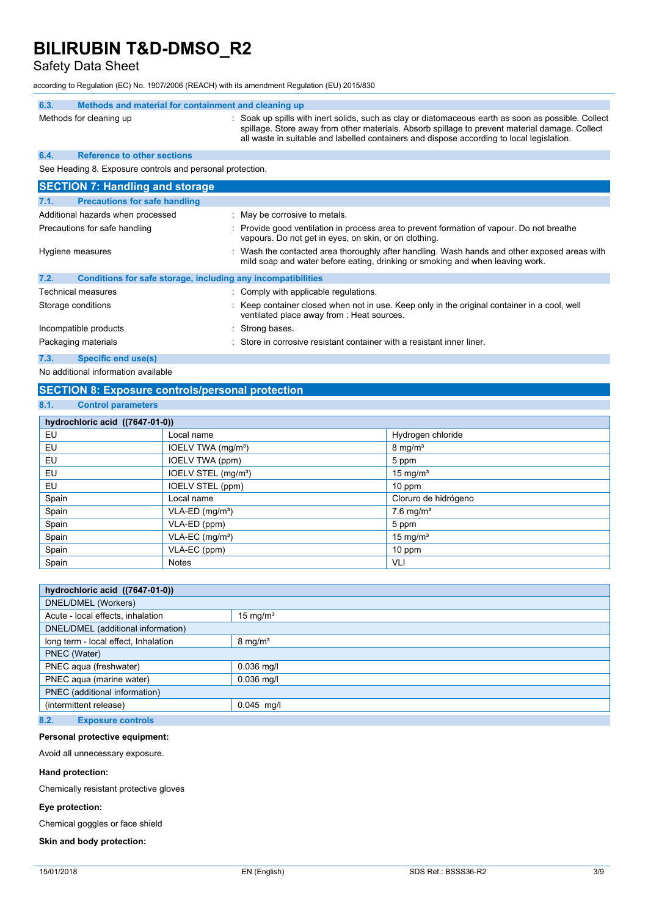Safety Data Sheet

according to Regulation (EC) No. 1907/2006 (REACH) with its amendment Regulation (EU) 2015/830

| 6.3.                              | Methods and material for containment and cleaning up         |                                                                                                                                                                                                                                                                                                    |
|-----------------------------------|--------------------------------------------------------------|----------------------------------------------------------------------------------------------------------------------------------------------------------------------------------------------------------------------------------------------------------------------------------------------------|
|                                   | Methods for cleaning up                                      | : Soak up spills with inert solids, such as clay or diatomaceous earth as soon as possible. Collect<br>spillage. Store away from other materials. Absorb spillage to prevent material damage. Collect<br>all waste in suitable and labelled containers and dispose according to local legislation. |
| 6.4.                              | <b>Reference to other sections</b>                           |                                                                                                                                                                                                                                                                                                    |
|                                   | See Heading 8. Exposure controls and personal protection.    |                                                                                                                                                                                                                                                                                                    |
|                                   | <b>SECTION 7: Handling and storage</b>                       |                                                                                                                                                                                                                                                                                                    |
| 7.1.                              | <b>Precautions for safe handling</b>                         |                                                                                                                                                                                                                                                                                                    |
| Additional hazards when processed |                                                              | : May be corrosive to metals.                                                                                                                                                                                                                                                                      |
| Precautions for safe handling     |                                                              | Provide good ventilation in process area to prevent formation of vapour. Do not breathe<br>vapours. Do not get in eyes, on skin, or on clothing.                                                                                                                                                   |
|                                   | Hygiene measures                                             | Wash the contacted area thoroughly after handling. Wash hands and other exposed areas with<br>mild soap and water before eating, drinking or smoking and when leaving work.                                                                                                                        |
| 7.2.                              | Conditions for safe storage, including any incompatibilities |                                                                                                                                                                                                                                                                                                    |
|                                   | Technical measures                                           | : Comply with applicable regulations.                                                                                                                                                                                                                                                              |
|                                   | Storage conditions                                           | : Keep container closed when not in use. Keep only in the original container in a cool, well<br>ventilated place away from : Heat sources.                                                                                                                                                         |
| Incompatible products             |                                                              | : Strong bases.                                                                                                                                                                                                                                                                                    |
|                                   | Packaging materials                                          | Store in corrosive resistant container with a resistant inner liner.                                                                                                                                                                                                                               |
| 7.3.                              | Specific end use(s)                                          |                                                                                                                                                                                                                                                                                                    |

No additional information available

### **SECTION 8: Exposure controls/personal protection**

### **8.1. Control parameters**

| hydrochloric acid ((7647-01-0)) |                                 |                         |  |  |
|---------------------------------|---------------------------------|-------------------------|--|--|
| EU                              | Local name                      | Hydrogen chloride       |  |  |
| EU                              | IOELV TWA (mg/m <sup>3</sup> )  | $8 \text{ mg/m}^3$      |  |  |
| EU                              | IOELV TWA (ppm)                 | 5 ppm                   |  |  |
| EU                              | IOELV STEL (mg/m <sup>3</sup> ) | 15 mg/ $m3$             |  |  |
| EU                              | IOELV STEL (ppm)                | $10$ ppm                |  |  |
| Spain                           | Local name                      | Cloruro de hidrógeno    |  |  |
| Spain                           | $VLA-ED$ (mg/m <sup>3</sup> )   | $7.6$ mg/m <sup>3</sup> |  |  |
| Spain                           | VLA-ED (ppm)                    | 5 ppm                   |  |  |
| Spain                           | $VLA-EC$ (mg/m <sup>3</sup> )   | 15 mg/ $m3$             |  |  |
| Spain                           | VLA-EC (ppm)                    | 10 ppm                  |  |  |
| Spain                           | <b>Notes</b>                    | VLI                     |  |  |

| hydrochloric acid ((7647-01-0))      |                    |  |  |
|--------------------------------------|--------------------|--|--|
| DNEL/DMEL (Workers)                  |                    |  |  |
| Acute - local effects, inhalation    | 15 mg/ $m3$        |  |  |
| DNEL/DMEL (additional information)   |                    |  |  |
| long term - local effect, Inhalation | $8 \text{ mg/m}^3$ |  |  |
| PNEC (Water)                         |                    |  |  |
| PNEC aqua (freshwater)               | $0.036$ mg/l       |  |  |
| PNEC agua (marine water)             | $0.036$ mg/l       |  |  |
| PNEC (additional information)        |                    |  |  |
| (intermittent release)               | $0.045$ mg/l       |  |  |
|                                      |                    |  |  |

### **8.2. Exposure controls**

#### **Personal protective equipment:**

Avoid all unnecessary exposure.

#### **Hand protection:**

Chemically resistant protective gloves

#### **Eye protection:**

Chemical goggles or face shield

### **Skin and body protection:**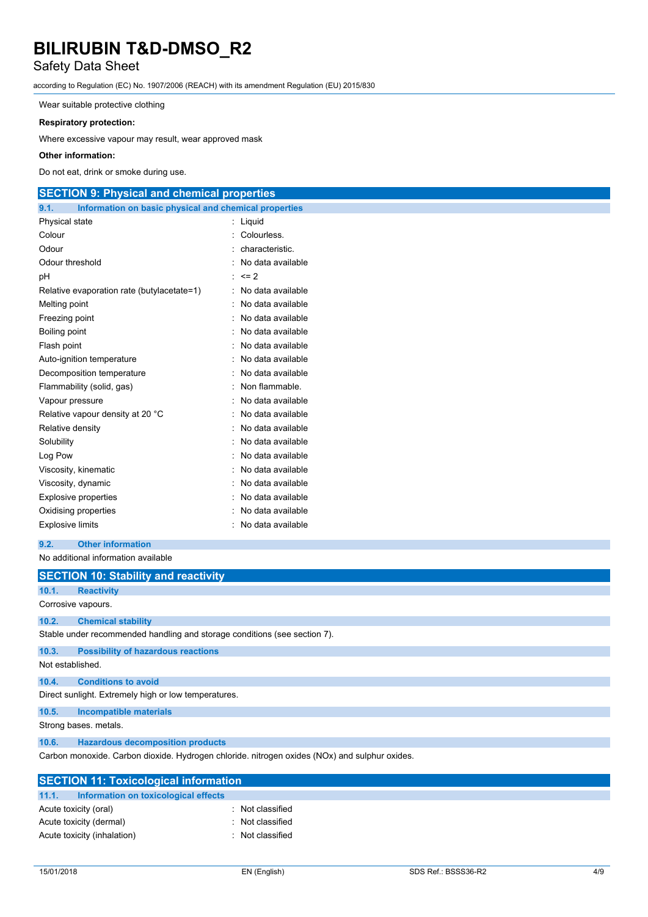### Safety Data Sheet

according to Regulation (EC) No. 1907/2006 (REACH) with its amendment Regulation (EU) 2015/830

Wear suitable protective clothing

#### **Respiratory protection:**

Where excessive vapour may result, wear approved mask

#### **Other information:**

Do not eat, drink or smoke during use.

### **SECTION 9: Physical and chemical properties**

| 9.1.<br>Information on basic physical and chemical properties |                   |
|---------------------------------------------------------------|-------------------|
| Physical state                                                | Liquid            |
| Colour                                                        | Colourless.       |
| Odour                                                         | characteristic.   |
| Odour threshold                                               | No data available |
| рH                                                            | $= 2$             |
| Relative evaporation rate (butylacetate=1)                    | No data available |
| Melting point                                                 | No data available |
| Freezing point                                                | No data available |
| Boiling point                                                 | No data available |
| Flash point                                                   | No data available |
| Auto-ignition temperature                                     | No data available |
| Decomposition temperature                                     | No data available |
| Flammability (solid, gas)                                     | Non flammable.    |
| Vapour pressure                                               | No data available |
| Relative vapour density at 20 °C                              | No data available |
| Relative density                                              | No data available |
| Solubility                                                    | No data available |
| Log Pow                                                       | No data available |
| Viscosity, kinematic                                          | No data available |
| Viscosity, dynamic                                            | No data available |
| <b>Explosive properties</b>                                   | No data available |
| Oxidising properties                                          | No data available |
| <b>Explosive limits</b>                                       | No data available |

**9.2. Other information**

No additional information available

|                  | <b>SECTION 10: Stability and reactivity</b>                                                   |  |  |  |  |
|------------------|-----------------------------------------------------------------------------------------------|--|--|--|--|
| 10.1.            | <b>Reactivity</b>                                                                             |  |  |  |  |
|                  | Corrosive vapours.                                                                            |  |  |  |  |
| 10.2.            | <b>Chemical stability</b>                                                                     |  |  |  |  |
|                  | Stable under recommended handling and storage conditions (see section 7).                     |  |  |  |  |
| 10.3.            | <b>Possibility of hazardous reactions</b>                                                     |  |  |  |  |
| Not established. |                                                                                               |  |  |  |  |
| 10.4.            | <b>Conditions to avoid</b>                                                                    |  |  |  |  |
|                  | Direct sunlight. Extremely high or low temperatures.                                          |  |  |  |  |
| 10.5.            | <b>Incompatible materials</b>                                                                 |  |  |  |  |
|                  | Strong bases, metals.                                                                         |  |  |  |  |
| 10.6.            | <b>Hazardous decomposition products</b>                                                       |  |  |  |  |
|                  | Carbon monoxide. Carbon dioxide. Hydrogen chloride. nitrogen oxides (NOx) and sulphur oxides. |  |  |  |  |
|                  | <b>SECTION 11: Toxicological information</b>                                                  |  |  |  |  |
| 11.1.            | Information on toxicological effects                                                          |  |  |  |  |

| <b>PLUTION TE TUAICOIUGICAI IIIIUI IIIAUUII</b> |                |  |  |
|-------------------------------------------------|----------------|--|--|
| Information on toxicological effects            |                |  |  |
| Acute toxicity (oral)                           | Not classified |  |  |
| Acute toxicity (dermal)                         | Not classified |  |  |
| Acute toxicity (inhalation)                     | Not classified |  |  |
|                                                 |                |  |  |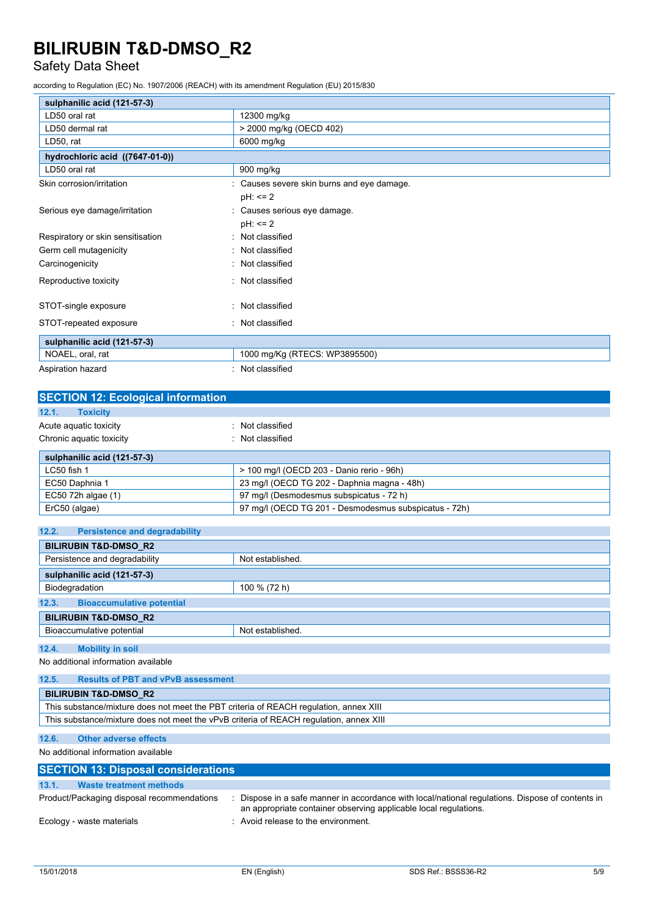### Safety Data Sheet

according to Regulation (EC) No. 1907/2006 (REACH) with its amendment Regulation (EU) 2015/830

| sulphanilic acid (121-57-3)       |                                            |  |  |
|-----------------------------------|--------------------------------------------|--|--|
| LD50 oral rat                     | 12300 mg/kg                                |  |  |
| LD50 dermal rat                   | > 2000 mg/kg (OECD 402)                    |  |  |
| LD50, rat                         | 6000 mg/kg                                 |  |  |
| hydrochloric acid ((7647-01-0))   |                                            |  |  |
| LD50 oral rat                     | 900 mg/kg                                  |  |  |
| Skin corrosion/irritation         | : Causes severe skin burns and eye damage. |  |  |
|                                   | $pH: \leq 2$                               |  |  |
| Serious eye damage/irritation     | Causes serious eye damage.                 |  |  |
|                                   | $pH: \leq 2$                               |  |  |
| Respiratory or skin sensitisation | Not classified                             |  |  |
| Germ cell mutagenicity            | Not classified                             |  |  |
| Carcinogenicity                   | Not classified                             |  |  |
| Reproductive toxicity             | Not classified                             |  |  |
| STOT-single exposure              | Not classified                             |  |  |
| STOT-repeated exposure            | : Not classified                           |  |  |
| sulphanilic acid (121-57-3)       |                                            |  |  |
| NOAEL, oral, rat                  | 1000 mg/Kg (RTECS: WP3895500)              |  |  |
| Aspiration hazard                 | : Not classified                           |  |  |

| <b>SECTION 12: Ecological information</b> |                                                       |  |  |  |
|-------------------------------------------|-------------------------------------------------------|--|--|--|
| 12.1.<br><b>Toxicity</b>                  |                                                       |  |  |  |
| Acute aguatic toxicity                    | Not classified                                        |  |  |  |
| Chronic aquatic toxicity                  | Not classified                                        |  |  |  |
| sulphanilic acid (121-57-3)               |                                                       |  |  |  |
| LC50 fish 1                               | > 100 mg/l (OECD 203 - Danio rerio - 96h)             |  |  |  |
| EC50 Daphnia 1                            | 23 mg/l (OECD TG 202 - Daphnia magna - 48h)           |  |  |  |
| EC50 72h algae (1)                        | 97 mg/l (Desmodesmus subspicatus - 72 h)              |  |  |  |
| ErC50 (algae)                             | 97 mg/l (OECD TG 201 - Desmodesmus subspicatus - 72h) |  |  |  |

| 12.2.<br><b>Persistence and degradability</b> |                  |  |  |  |
|-----------------------------------------------|------------------|--|--|--|
| <b>BILIRUBIN T&amp;D-DMSO R2</b>              |                  |  |  |  |
| Persistence and degradability                 | Not established. |  |  |  |
| sulphanilic acid (121-57-3)                   |                  |  |  |  |
| Biodegradation                                | 100 % (72 h)     |  |  |  |
| 12.3.<br><b>Bioaccumulative potential</b>     |                  |  |  |  |
| <b>BILIRUBIN T&amp;D-DMSO R2</b>              |                  |  |  |  |
| Bioaccumulative potential                     | Not established. |  |  |  |
| 12.4.<br><b>Mobility in soil</b>              |                  |  |  |  |

No additional information available

| 12.5.                                                                                  | <b>Results of PBT and vPvB assessment</b> |  |
|----------------------------------------------------------------------------------------|-------------------------------------------|--|
|                                                                                        | <b>BILIRUBIN T&amp;D-DMSO R2</b>          |  |
| This substance/mixture does not meet the PBT criteria of REACH regulation, annex XIII  |                                           |  |
| This substance/mixture does not meet the vPvB criteria of REACH regulation, annex XIII |                                           |  |

### **12.6. Other adverse effects**

No additional information available

| <b>SECTION 13: Disposal considerations</b> |                                                                                                                                                                    |  |  |
|--------------------------------------------|--------------------------------------------------------------------------------------------------------------------------------------------------------------------|--|--|
| 13.1.<br>Waste treatment methods           |                                                                                                                                                                    |  |  |
| Product/Packaging disposal recommendations | Dispose in a safe manner in accordance with local/national regulations. Dispose of contents in<br>an appropriate container observing applicable local regulations. |  |  |
| Ecology - waste materials                  | Avoid release to the environment.                                                                                                                                  |  |  |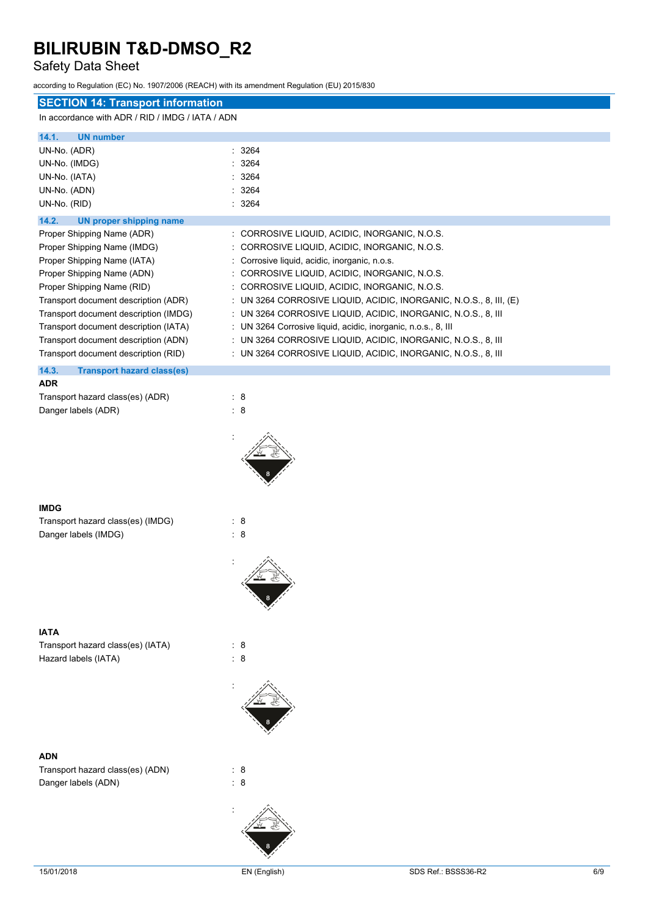### Safety Data Sheet

according to Regulation (EC) No. 1907/2006 (REACH) with its amendment Regulation (EU) 2015/830

| <b>SECTION 14: Transport information</b>         |                                                                    |
|--------------------------------------------------|--------------------------------------------------------------------|
| In accordance with ADR / RID / IMDG / IATA / ADN |                                                                    |
| 14.1.<br><b>UN number</b>                        |                                                                    |
| UN-No. (ADR)                                     | 3264<br>t.                                                         |
| UN-No. (IMDG)                                    | 3264                                                               |
| UN-No. (IATA)                                    | 3264                                                               |
| UN-No. (ADN)                                     | 3264                                                               |
| UN-No. (RID)                                     | : 3264                                                             |
| 14.2.<br>UN proper shipping name                 |                                                                    |
| Proper Shipping Name (ADR)                       | : CORROSIVE LIQUID, ACIDIC, INORGANIC, N.O.S.                      |
| Proper Shipping Name (IMDG)                      | : CORROSIVE LIQUID, ACIDIC, INORGANIC, N.O.S.                      |
| Proper Shipping Name (IATA)                      | : Corrosive liquid, acidic, inorganic, n.o.s.                      |
| Proper Shipping Name (ADN)                       | : CORROSIVE LIQUID, ACIDIC, INORGANIC, N.O.S.                      |
| Proper Shipping Name (RID)                       | : CORROSIVE LIQUID, ACIDIC, INORGANIC, N.O.S.                      |
| Transport document description (ADR)             | : UN 3264 CORROSIVE LIQUID, ACIDIC, INORGANIC, N.O.S., 8, III, (E) |
| Transport document description (IMDG)            | : UN 3264 CORROSIVE LIQUID, ACIDIC, INORGANIC, N.O.S., 8, III      |
| Transport document description (IATA)            | : UN 3264 Corrosive liquid, acidic, inorganic, n.o.s., 8, III      |
| Transport document description (ADN)             | : UN 3264 CORROSIVE LIQUID, ACIDIC, INORGANIC, N.O.S., 8, III      |
| Transport document description (RID)             | : UN 3264 CORROSIVE LIQUID, ACIDIC, INORGANIC, N.O.S., 8, III      |
| 14.3.<br><b>Transport hazard class(es)</b>       |                                                                    |
| <b>ADR</b>                                       |                                                                    |
| Transport hazard class(es) (ADR)                 | : 8                                                                |
| Danger labels (ADR)                              | : 8                                                                |
|                                                  |                                                                    |
|                                                  |                                                                    |
| <b>IMDG</b>                                      |                                                                    |
| Transport hazard class(es) (IMDG)                | : 8                                                                |
| Danger labels (IMDG)                             | : 8                                                                |
|                                                  |                                                                    |
|                                                  |                                                                    |
| <b>IATA</b>                                      |                                                                    |
| Transport hazard class(es) (IATA)                | : 8                                                                |

Hazard labels (IATA) : 8

### **ADN**

Transport hazard class(es) (ADN) : 8 Danger labels (ADN)  $\qquad \qquad : 8$ 

:

: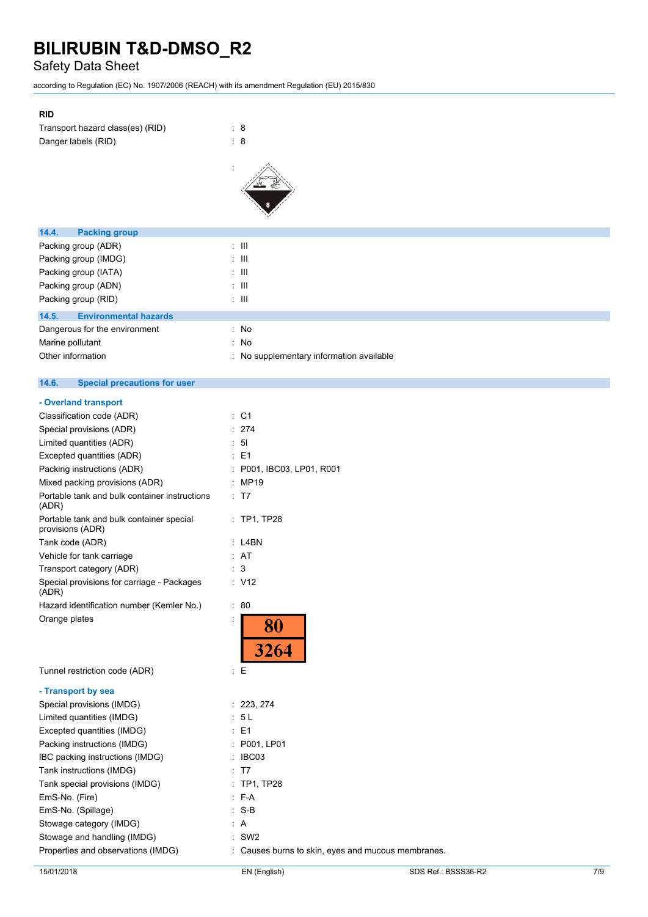### Safety Data Sheet

according to Regulation (EC) No. 1907/2006 (REACH) with its amendment Regulation (EU) 2015/830

### **RID**

| Transport hazard class(es) (RID) | : 8 |  |
|----------------------------------|-----|--|
| Danger labels (RID)              | : 8 |  |



| <b>Packing group</b><br>14.4.         |                                          |
|---------------------------------------|------------------------------------------|
| Packing group (ADR)                   | : III                                    |
| Packing group (IMDG)                  | : III                                    |
| Packing group (IATA)                  | : III                                    |
| Packing group (ADN)                   | : III                                    |
| Packing group (RID)                   | : III                                    |
| 14.5.<br><b>Environmental hazards</b> |                                          |
| Dangerous for the environment         | : No                                     |
| Marine pollutant                      | : No                                     |
| Other information                     | : No supplementary information available |
|                                       |                                          |

#### $14.6.$ **14.6. Special precautions for user**

| : C1                                               |
|----------------------------------------------------|
| 274                                                |
| 51                                                 |
| E <sub>1</sub>                                     |
| P001, IBC03, LP01, R001                            |
| <b>MP19</b>                                        |
| : T7                                               |
| : TP1, TP28                                        |
| L4BN                                               |
| <b>AT</b>                                          |
| 3                                                  |
| : V12                                              |
| ÷<br>80                                            |
| <b>80</b><br>3264                                  |
| : E                                                |
|                                                    |
| 223, 274                                           |
| 5L                                                 |
| E <sub>1</sub>                                     |
| P001, LP01                                         |
| IBC03                                              |
| T7                                                 |
| <b>TP1, TP28</b>                                   |
| F-A                                                |
| $S-B$                                              |
| A                                                  |
| SW <sub>2</sub>                                    |
| : Causes burns to skin, eyes and mucous membranes. |
|                                                    |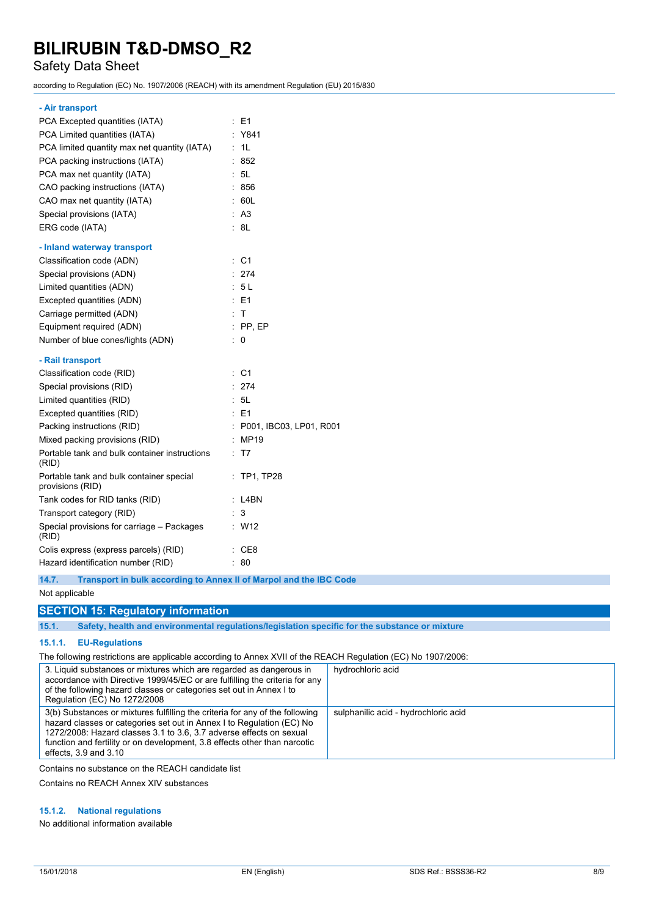### Safety Data Sheet

according to Regulation (EC) No. 1907/2006 (REACH) with its amendment Regulation (EU) 2015/830

#### **- Air transport**

| PCA Excepted quantities (IATA)                               | : E1                         |
|--------------------------------------------------------------|------------------------------|
| PCA Limited quantities (IATA)                                | Y841                         |
| PCA limited quantity max net quantity (IATA)                 | 1L<br>÷.                     |
| PCA packing instructions (IATA)                              | 852                          |
| PCA max net quantity (IATA)                                  | : 5L                         |
| CAO packing instructions (IATA)                              | : 856                        |
| CAO max net quantity (IATA)                                  | 60L                          |
| Special provisions (IATA)                                    | : A3                         |
| ERG code (IATA)                                              | : 8L                         |
| - Inland waterway transport                                  |                              |
| Classification code (ADN)                                    | C <sub>1</sub><br>÷.         |
| Special provisions (ADN)                                     | : 274                        |
| Limited quantities (ADN)                                     | : 5L                         |
| Excepted quantities (ADN)                                    | $E = 51$                     |
| Carriage permitted (ADN)                                     | $+T$                         |
| Equipment required (ADN)                                     | $:$ PP, EP                   |
| Number of blue cones/lights (ADN)                            | ÷<br>0                       |
| - Rail transport                                             |                              |
| Classification code (RID)                                    | $\therefore$ C1              |
| Special provisions (RID)                                     | : 274                        |
| Limited quantities (RID)                                     | : 5L                         |
| Excepted quantities (RID)                                    | $E = 1$                      |
| Packing instructions (RID)                                   | ċ<br>P001, IBC03, LP01, R001 |
| Mixed packing provisions (RID)                               | : MP19                       |
| Portable tank and bulk container instructions<br>(RID)       | T7                           |
| Portable tank and bulk container special<br>provisions (RID) | <b>TP1, TP28</b>             |
| Tank codes for RID tanks (RID)                               | : L4BN                       |
| Transport category (RID)                                     | 3                            |
| Special provisions for carriage - Packages<br>(RID)          | W12                          |
| Colis express (express parcels) (RID)                        | CE8                          |
| Hazard identification number (RID)                           | 80                           |

**14.7. Transport in bulk according to Annex II of Marpol and the IBC Code**

#### Not applicable

### **SECTION 15: Regulatory information**

**15.1. Safety, health and environmental regulations/legislation specific for the substance or mixture**

### **15.1.1. EU-Regulations**

The following restrictions are applicable according to Annex XVII of the REACH Regulation (EC) No 1907/2006:

| 3. Liquid substances or mixtures which are regarded as dangerous in<br>accordance with Directive 1999/45/EC or are fulfilling the criteria for any<br>of the following hazard classes or categories set out in Annex I to<br>Regulation (EC) No 1272/2008                                                                              | hydrochloric acid                    |
|----------------------------------------------------------------------------------------------------------------------------------------------------------------------------------------------------------------------------------------------------------------------------------------------------------------------------------------|--------------------------------------|
| 3(b) Substances or mixtures fulfilling the criteria for any of the following<br>hazard classes or categories set out in Annex I to Regulation (EC) No<br>1272/2008: Hazard classes 3.1 to 3.6, 3.7 adverse effects on sexual<br>function and fertility or on development, 3.8 effects other than narcotic<br>effects, $3.9$ and $3.10$ | sulphanilic acid - hydrochloric acid |

Contains no substance on the REACH candidate list

Contains no REACH Annex XIV substances

### **15.1.2. National regulations**

No additional information available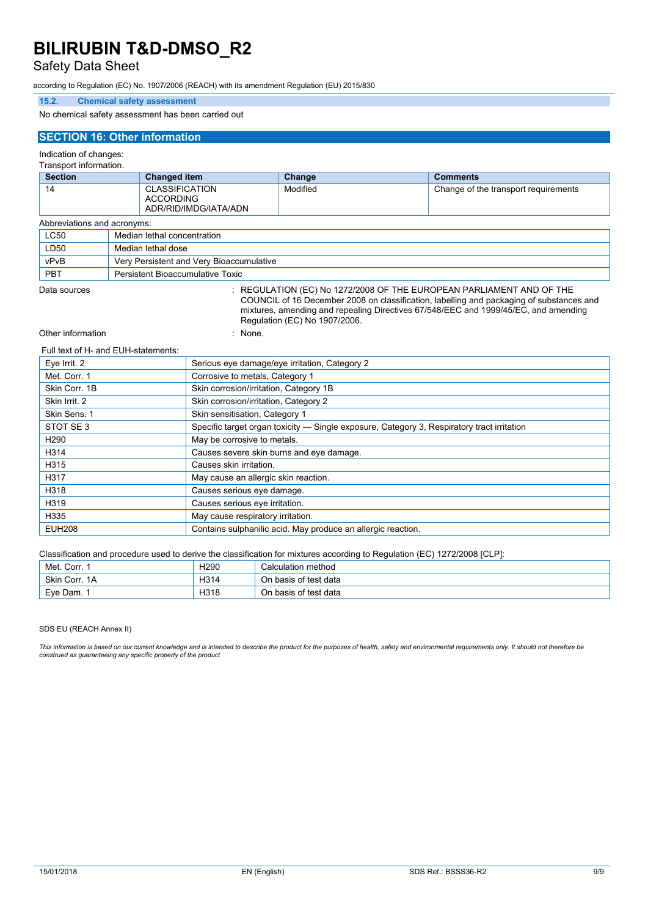### Safety Data Sheet

according to Regulation (EC) No. 1907/2006 (REACH) with its amendment Regulation (EU) 2015/830

### **15.2. Chemical safety assessment**

No chemical safety assessment has been carried out

### **SECTION 16: Other information**

#### Indication of changes:

Transport information.

| <b>Section</b>              |  | <b>Changed item</b>                                                | Change   | <b>Comments</b>                      |
|-----------------------------|--|--------------------------------------------------------------------|----------|--------------------------------------|
| 14                          |  | <b>CLASSIFICATION</b><br><b>ACCORDING</b><br>ADR/RID/IMDG/IATA/ADN | Modified | Change of the transport requirements |
| Abbreviations and acronyms: |  |                                                                    |          |                                      |
| <b>LC50</b>                 |  | Median lethal concentration                                        |          |                                      |
| LD50                        |  | Median lethal dose                                                 |          |                                      |
| vPvB                        |  | Very Persistent and Very Bioaccumulative                           |          |                                      |
| PBT                         |  | Persistent Bioaccumulative Toxic                                   |          |                                      |

Data sources : REGULATION (EC) No 1272/2008 OF THE EUROPEAN PARLIAMENT AND OF THE

COUNCIL of 16 December 2008 on classification, labelling and packaging of substances and mixtures, amending and repealing Directives 67/548/EEC and 1999/45/EC, and amending Regulation (EC) No 1907/2006.

#### Other information in the set of the set of the set of the set of the set of the set of the set of the set of the set of the set of the set of the set of the set of the set of the set of the set of the set of the set of the

#### Full text of H- and EUH-statements:

| Eye Irrit. 2     | Serious eye damage/eye irritation, Category 2                                              |
|------------------|--------------------------------------------------------------------------------------------|
| Met. Corr. 1     | Corrosive to metals, Category 1                                                            |
| Skin Corr. 1B    | Skin corrosion/irritation, Category 1B                                                     |
| Skin Irrit. 2    | Skin corrosion/irritation, Category 2                                                      |
| Skin Sens. 1     | Skin sensitisation, Category 1                                                             |
| STOT SE 3        | Specific target organ toxicity — Single exposure, Category 3, Respiratory tract irritation |
| H <sub>290</sub> | May be corrosive to metals.                                                                |
| H314             | Causes severe skin burns and eye damage.                                                   |
| H315             | Causes skin irritation.                                                                    |
| H317             | May cause an allergic skin reaction.                                                       |
| H318             | Causes serious eye damage.                                                                 |
| H319             | Causes serious eve irritation.                                                             |
| H335             | May cause respiratory irritation.                                                          |
| <b>EUH208</b>    | Contains sulphanilic acid. May produce an allergic reaction.                               |

Classification and procedure used to derive the classification for mixtures according to Regulation (EC) 1272/2008 [CLP]:

| Met. Corr. 1  | H <sub>290</sub> | Calculation method      |
|---------------|------------------|-------------------------|
| Skin Corr, 1A | H314             | On basis of test data   |
| Eve Dam.      | H318             | basis of test data<br>◡ |

#### SDS EU (REACH Annex II)

This information is based on our current knowledge and is intended to describe the product for the purposes of health, safety and environmental requirements only. It should not therefore be *construed as guaranteeing any specific property of the product*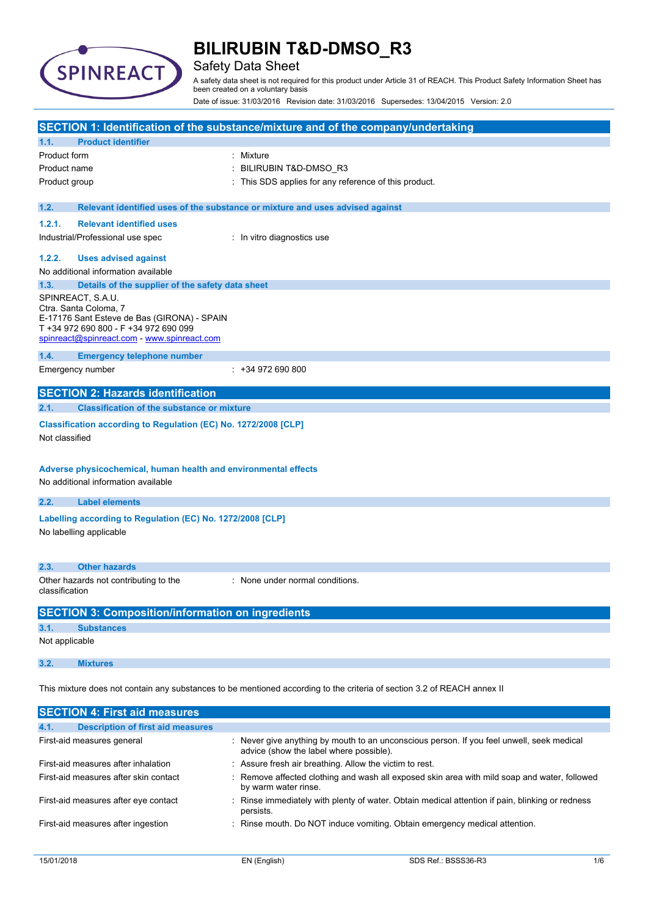

### Safety Data Sheet

A safety data sheet is not required for this product under Article 31 of REACH. This Product Safety Information Sheet has been created on a voluntary basis

Date of issue: 31/03/2016 Revision date: 31/03/2016 Supersedes: 13/04/2015 Version: 2.0

|                |                                                                                                        | SECTION 1: Identification of the substance/mixture and of the company/undertaking                                       |
|----------------|--------------------------------------------------------------------------------------------------------|-------------------------------------------------------------------------------------------------------------------------|
| 1.1.           | <b>Product identifier</b>                                                                              |                                                                                                                         |
| Product form   |                                                                                                        | Mixture                                                                                                                 |
| Product name   |                                                                                                        | BILIRUBIN T&D-DMSO_R3                                                                                                   |
| Product group  |                                                                                                        | This SDS applies for any reference of this product.                                                                     |
| 1.2.           |                                                                                                        | Relevant identified uses of the substance or mixture and uses advised against                                           |
| 1.2.1.         | <b>Relevant identified uses</b>                                                                        |                                                                                                                         |
|                | Industrial/Professional use spec                                                                       | In vitro diagnostics use                                                                                                |
| 1.2.2.         | <b>Uses advised against</b>                                                                            |                                                                                                                         |
|                | No additional information available                                                                    |                                                                                                                         |
| 1.3.           | Details of the supplier of the safety data sheet                                                       |                                                                                                                         |
|                | SPINREACT, S.A.U.<br>Ctra. Santa Coloma, 7                                                             |                                                                                                                         |
|                | E-17176 Sant Esteve de Bas (GIRONA) - SPAIN                                                            |                                                                                                                         |
|                | T +34 972 690 800 - F +34 972 690 099<br>spinreact@spinreact.com - www.spinreact.com                   |                                                                                                                         |
| 1.4.           | <b>Emergency telephone number</b>                                                                      |                                                                                                                         |
|                | Emergency number                                                                                       | $: +34972690800$                                                                                                        |
|                | <b>SECTION 2: Hazards identification</b>                                                               |                                                                                                                         |
| 2.1.           | <b>Classification of the substance or mixture</b>                                                      |                                                                                                                         |
| Not classified | Classification according to Regulation (EC) No. 1272/2008 [CLP]                                        |                                                                                                                         |
|                | Adverse physicochemical, human health and environmental effects<br>No additional information available |                                                                                                                         |
| 2.2.           | <b>Label elements</b>                                                                                  |                                                                                                                         |
|                | Labelling according to Regulation (EC) No. 1272/2008 [CLP]                                             |                                                                                                                         |
|                | No labelling applicable                                                                                |                                                                                                                         |
|                |                                                                                                        |                                                                                                                         |
| 2.3.           | <b>Other hazards</b>                                                                                   |                                                                                                                         |
| classification | Other hazards not contributing to the                                                                  | : None under normal conditions.                                                                                         |
|                | <b>SECTION 3: Composition/information on ingredients</b>                                               |                                                                                                                         |
| 3.1.           | <b>Substances</b>                                                                                      |                                                                                                                         |
| Not applicable |                                                                                                        |                                                                                                                         |
| 3.2.           | <b>Mixtures</b>                                                                                        |                                                                                                                         |
|                |                                                                                                        | This mixture does not contain any substances to be mentioned according to the criteria of section 3.2 of REACH annex II |
|                | <b>SECTION 4: First aid measures</b>                                                                   |                                                                                                                         |
|                | Description of first aid moasures                                                                      |                                                                                                                         |

| <b>The Latin</b><br><b>Description of mist ald incasures</b> |                                                                                                                                      |
|--------------------------------------------------------------|--------------------------------------------------------------------------------------------------------------------------------------|
| First-aid measures general                                   | : Never give anything by mouth to an unconscious person. If you feel unwell, seek medical<br>advice (show the label where possible). |
| First-aid measures after inhalation                          | : Assure fresh air breathing. Allow the victim to rest.                                                                              |
| First-aid measures after skin contact                        | : Remove affected clothing and wash all exposed skin area with mild soap and water, followed<br>by warm water rinse.                 |
| First-aid measures after eye contact                         | : Rinse immediately with plenty of water. Obtain medical attention if pain, blinking or redness<br>persists.                         |
| First-aid measures after ingestion                           | : Rinse mouth. Do NOT induce vomiting. Obtain emergency medical attention.                                                           |
|                                                              |                                                                                                                                      |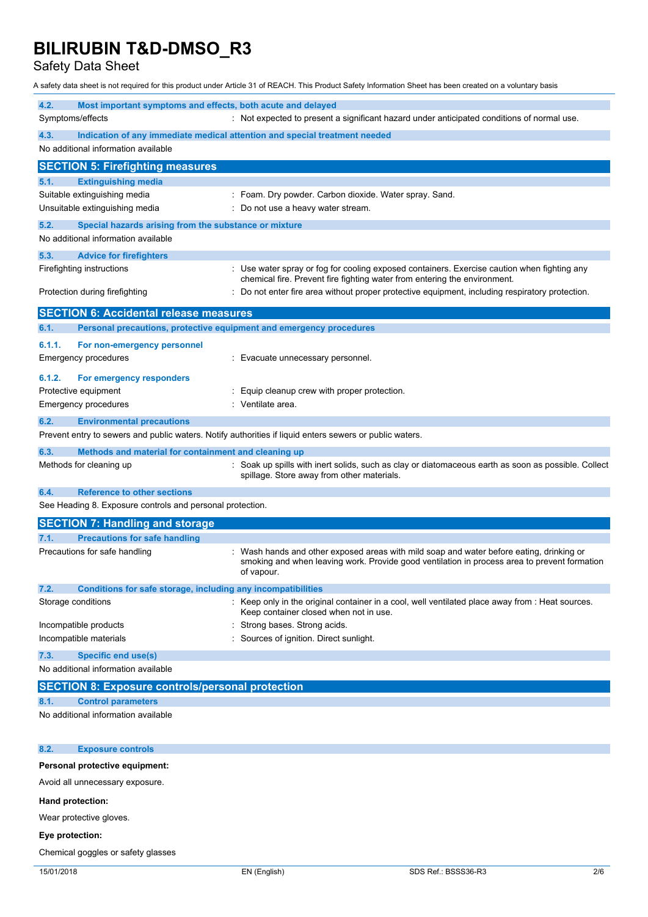Safety Data Sheet

A safety data sheet is not required for this product under Article 31 of REACH. This Product Safety Information Sheet has been created on a voluntary basis

| 4.2.                                                                                                           | Most important symptoms and effects, both acute and delayed         |                                                                                                                                                                                                        |
|----------------------------------------------------------------------------------------------------------------|---------------------------------------------------------------------|--------------------------------------------------------------------------------------------------------------------------------------------------------------------------------------------------------|
| Symptoms/effects<br>: Not expected to present a significant hazard under anticipated conditions of normal use. |                                                                     |                                                                                                                                                                                                        |
| 4.3.                                                                                                           |                                                                     | Indication of any immediate medical attention and special treatment needed                                                                                                                             |
|                                                                                                                | No additional information available                                 |                                                                                                                                                                                                        |
|                                                                                                                | <b>SECTION 5: Firefighting measures</b>                             |                                                                                                                                                                                                        |
| 5.1.                                                                                                           | <b>Extinguishing media</b>                                          |                                                                                                                                                                                                        |
|                                                                                                                | Suitable extinguishing media                                        | : Foam. Dry powder. Carbon dioxide. Water spray. Sand.                                                                                                                                                 |
|                                                                                                                | Unsuitable extinguishing media                                      | Do not use a heavy water stream.                                                                                                                                                                       |
| 5.2.                                                                                                           | Special hazards arising from the substance or mixture               |                                                                                                                                                                                                        |
|                                                                                                                | No additional information available                                 |                                                                                                                                                                                                        |
| 5.3.                                                                                                           | <b>Advice for firefighters</b>                                      |                                                                                                                                                                                                        |
|                                                                                                                | Firefighting instructions                                           | : Use water spray or fog for cooling exposed containers. Exercise caution when fighting any<br>chemical fire. Prevent fire fighting water from entering the environment.                               |
|                                                                                                                | Protection during firefighting                                      | : Do not enter fire area without proper protective equipment, including respiratory protection.                                                                                                        |
|                                                                                                                | <b>SECTION 6: Accidental release measures</b>                       |                                                                                                                                                                                                        |
| 6.1.                                                                                                           | Personal precautions, protective equipment and emergency procedures |                                                                                                                                                                                                        |
| 6.1.1.                                                                                                         | For non-emergency personnel                                         |                                                                                                                                                                                                        |
|                                                                                                                | <b>Emergency procedures</b>                                         | Evacuate unnecessary personnel.                                                                                                                                                                        |
| 6.1.2.                                                                                                         | For emergency responders                                            |                                                                                                                                                                                                        |
|                                                                                                                | Protective equipment                                                | Equip cleanup crew with proper protection.                                                                                                                                                             |
|                                                                                                                | <b>Emergency procedures</b>                                         | Ventilate area.                                                                                                                                                                                        |
| 6.2.                                                                                                           | <b>Environmental precautions</b>                                    |                                                                                                                                                                                                        |
|                                                                                                                |                                                                     | Prevent entry to sewers and public waters. Notify authorities if liquid enters sewers or public waters.                                                                                                |
| 6.3.                                                                                                           | Methods and material for containment and cleaning up                |                                                                                                                                                                                                        |
|                                                                                                                | Methods for cleaning up                                             | Soak up spills with inert solids, such as clay or diatomaceous earth as soon as possible. Collect<br>spillage. Store away from other materials.                                                        |
| 6.4.                                                                                                           | <b>Reference to other sections</b>                                  |                                                                                                                                                                                                        |
|                                                                                                                | See Heading 8. Exposure controls and personal protection.           |                                                                                                                                                                                                        |
|                                                                                                                | <b>SECTION 7: Handling and storage</b>                              |                                                                                                                                                                                                        |
| 7.1.                                                                                                           | <b>Precautions for safe handling</b>                                |                                                                                                                                                                                                        |
|                                                                                                                | Precautions for safe handling                                       | : Wash hands and other exposed areas with mild soap and water before eating, drinking or<br>smoking and when leaving work. Provide good ventilation in process area to prevent formation<br>of vapour. |
| 7.2.                                                                                                           | Conditions for safe storage, including any incompatibilities        |                                                                                                                                                                                                        |
|                                                                                                                | Storage conditions                                                  | : Keep only in the original container in a cool, well ventilated place away from : Heat sources.<br>Keep container closed when not in use.                                                             |
|                                                                                                                | Incompatible products                                               | Strong bases. Strong acids.                                                                                                                                                                            |
|                                                                                                                | Incompatible materials                                              | Sources of ignition. Direct sunlight.                                                                                                                                                                  |
| 7.3.                                                                                                           | <b>Specific end use(s)</b>                                          |                                                                                                                                                                                                        |
|                                                                                                                | No additional information available                                 |                                                                                                                                                                                                        |
|                                                                                                                | <b>SECTION 8: Exposure controls/personal protection</b>             |                                                                                                                                                                                                        |
| 8.1.                                                                                                           | <b>Control parameters</b>                                           |                                                                                                                                                                                                        |
|                                                                                                                | No additional information available                                 |                                                                                                                                                                                                        |
| 8.2.                                                                                                           | <b>Exposure controls</b>                                            |                                                                                                                                                                                                        |
|                                                                                                                | Personal protective equipment:                                      |                                                                                                                                                                                                        |
|                                                                                                                | Avoid all unnecessary exposure.                                     |                                                                                                                                                                                                        |

**Hand protection:**

Wear protective gloves.

### **Eye protection:**

Chemical goggles or safety glasses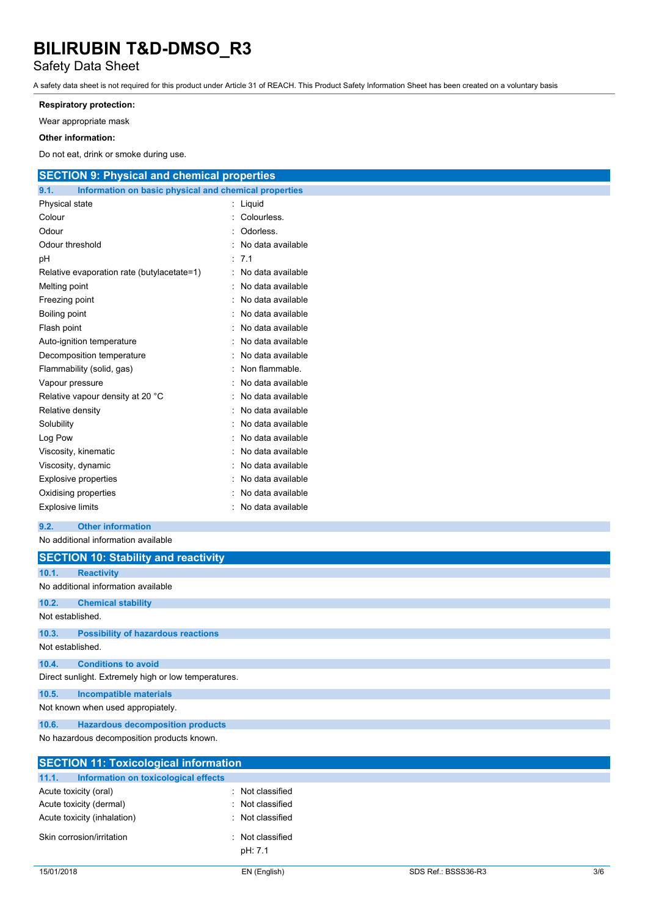### Safety Data Sheet

A safety data sheet is not required for this product under Article 31 of REACH. This Product Safety Information Sheet has been created on a voluntary basis

### **Respiratory protection:**

Wear appropriate mask

### **Other information:**

Do not eat, drink or smoke during use.

| <b>SECTION 9: Physical and chemical properties</b>            |                     |
|---------------------------------------------------------------|---------------------|
| 9.1.<br>Information on basic physical and chemical properties |                     |
| Physical state                                                | : Liquid            |
| Colour                                                        | : Colourless.       |
| Odour                                                         | Odorless.           |
| Odour threshold                                               | No data available   |
| рH                                                            | : 7.1               |
| Relative evaporation rate (butylacetate=1)                    | : No data available |
| Melting point                                                 | No data available   |
| Freezing point                                                | No data available   |
| Boiling point                                                 | No data available   |
| Flash point                                                   | No data available   |
| Auto-ignition temperature                                     | No data available   |
| Decomposition temperature                                     | No data available   |
| Flammability (solid, gas)                                     | Non flammable.      |
| Vapour pressure                                               | No data available   |
| Relative vapour density at 20 °C                              | No data available   |
| Relative density                                              | No data available   |
| Solubility                                                    | No data available   |
| Log Pow                                                       | No data available   |
| Viscosity, kinematic                                          | No data available   |
| Viscosity, dynamic                                            | No data available   |
| Explosive properties                                          | No data available   |
| Oxidising properties                                          | No data available   |
| <b>Explosive limits</b>                                       | : No data available |
| 9.2.<br><b>Other information</b>                              |                     |
| No additional information available                           |                     |
| <b>SECTION 10: Stability and reactivity</b>                   |                     |
| 10.1.<br><b>Reactivity</b>                                    |                     |
| No additional information available                           |                     |
| 10.2.<br><b>Chemical stability</b>                            |                     |

Not established.

### **10.3. Possibility of hazardous reactions** Not established.

**10.4. Conditions to avoid**

Direct sunlight. Extremely high or low temperatures.

**10.5. Incompatible materials**

Not known when used appropiately.

**10.6. Hazardous decomposition products**

No hazardous decomposition products known.

| <b>SECTION 11: Toxicological information</b> |
|----------------------------------------------|
| Information on toxicological effects         |
| Not classified<br>٠.                         |
| Not classified                               |
| Not classified                               |
| Not classified<br>$\bullet$<br>pH: 7.1       |
|                                              |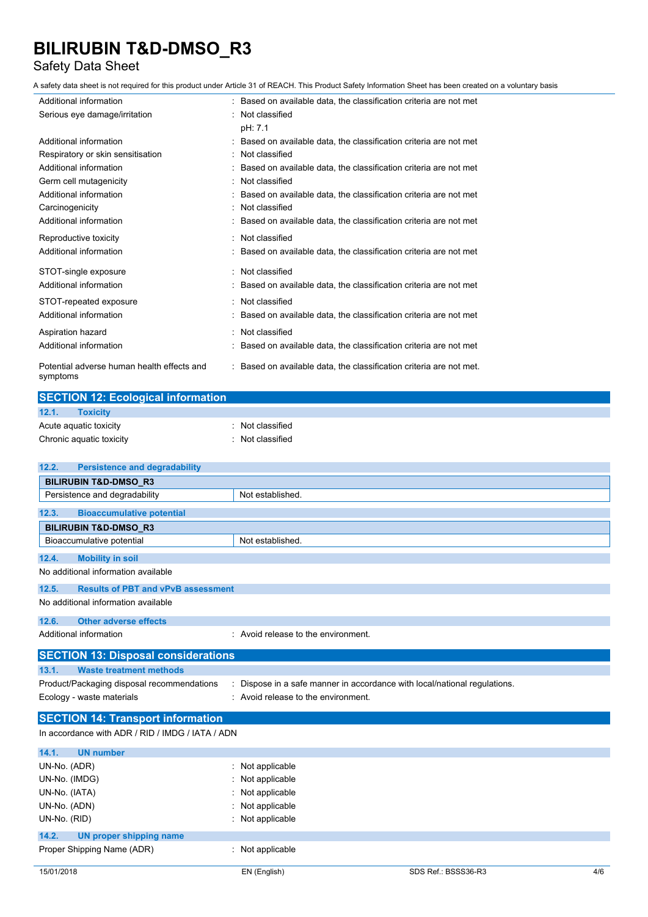### Safety Data Sheet

A safety data sheet is not required for this product under Article 31 of REACH. This Product Safety Information Sheet has been created on a voluntary basis

| Additional information                                 | : Based on available data, the classification criteria are not met  |
|--------------------------------------------------------|---------------------------------------------------------------------|
| Serious eye damage/irritation                          | Not classified                                                      |
|                                                        | pH: 7.1                                                             |
| Additional information                                 | Based on available data, the classification criteria are not met    |
| Respiratory or skin sensitisation                      | Not classified                                                      |
| Additional information                                 | Based on available data, the classification criteria are not met    |
| Germ cell mutagenicity                                 | Not classified                                                      |
| Additional information                                 | Based on available data, the classification criteria are not met    |
| Carcinogenicity                                        | Not classified                                                      |
| Additional information                                 | Based on available data, the classification criteria are not met    |
| Reproductive toxicity                                  | : Not classified                                                    |
| Additional information                                 | Based on available data, the classification criteria are not met    |
| STOT-single exposure                                   | : Not classified                                                    |
| Additional information                                 | Based on available data, the classification criteria are not met    |
| STOT-repeated exposure                                 | : Not classified                                                    |
| Additional information                                 | Based on available data, the classification criteria are not met    |
| Aspiration hazard                                      | Not classified                                                      |
| Additional information                                 | Based on available data, the classification criteria are not met    |
| Potential adverse human health effects and<br>symptoms | : Based on available data, the classification criteria are not met. |

| <b>SECTION 12: Ecological information</b> |                |  |  |
|-------------------------------------------|----------------|--|--|
| 12.1.<br><b>Toxicity</b>                  |                |  |  |
| Acute aguatic toxicity                    | Not classified |  |  |
| Chronic aquatic toxicity                  | Not classified |  |  |

| 12.2.                                      | <b>Persistence and degradability</b>                                      |
|--------------------------------------------|---------------------------------------------------------------------------|
| <b>BILIRUBIN T&amp;D-DMSO R3</b>           |                                                                           |
| Persistence and degradability              | Not established.                                                          |
| 12.3.                                      | <b>Bioaccumulative potential</b>                                          |
| <b>BILIRUBIN T&amp;D-DMSO_R3</b>           |                                                                           |
| Bioaccumulative potential                  | Not established.                                                          |
| 12.4.<br><b>Mobility in soil</b>           |                                                                           |
| No additional information available        |                                                                           |
| 12.5.                                      | <b>Results of PBT and vPvB assessment</b>                                 |
| No additional information available        |                                                                           |
| <b>Other adverse effects</b><br>12.6.      |                                                                           |
| Additional information                     | : Avoid release to the environment.                                       |
|                                            | <b>SECTION 13: Disposal considerations</b>                                |
| 13.1.                                      | <b>Waste treatment methods</b>                                            |
| Product/Packaging disposal recommendations | : Dispose in a safe manner in accordance with local/national regulations. |
| Ecology - waste materials                  | : Avoid release to the environment.                                       |
|                                            |                                                                           |
|                                            | <b>SECTION 14: Transport information</b>                                  |
|                                            | In accordance with ADR / RID / IMDG / IATA / ADN                          |
| 14.1.<br><b>UN number</b>                  |                                                                           |
| UN-No. (ADR)                               | Not applicable                                                            |
| UN-No. (IMDG)                              | Not applicable                                                            |
| UN-No. (IATA)                              | Not applicable                                                            |
| UN-No. (ADN)                               | Not applicable                                                            |
| UN-No. (RID)                               | Not applicable                                                            |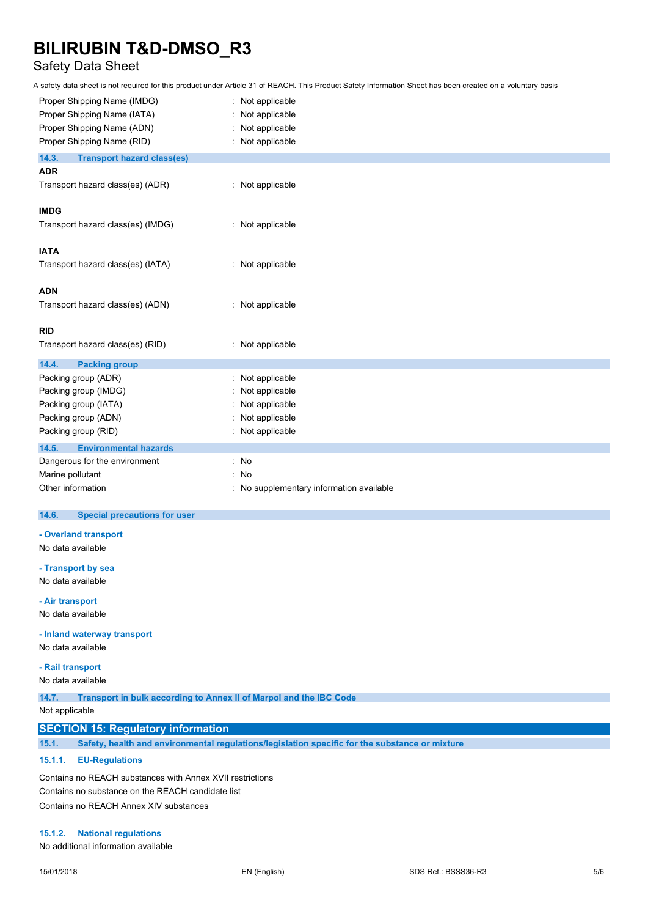### Safety Data Sheet

A safety data sheet is not required for this product under Article 31 of REACH. This Product Safety Information Sheet has been created on a voluntary basis

| Proper Shipping Name (IMDG)                | Not applicable                         |
|--------------------------------------------|----------------------------------------|
| Proper Shipping Name (IATA)                | Not applicable                         |
| Proper Shipping Name (ADN)                 | Not applicable                         |
| Proper Shipping Name (RID)                 | : Not applicable                       |
| 14.3.<br><b>Transport hazard class(es)</b> |                                        |
| <b>ADR</b>                                 |                                        |
| Transport hazard class(es) (ADR)           | : Not applicable                       |
| <b>IMDG</b>                                |                                        |
| Transport hazard class(es) (IMDG)          | : Not applicable                       |
| <b>IATA</b>                                |                                        |
| Transport hazard class(es) (IATA)          | : Not applicable                       |
| <b>ADN</b>                                 |                                        |
| Transport hazard class(es) (ADN)           | : Not applicable                       |
| <b>RID</b>                                 |                                        |
| Transport hazard class(es) (RID)           | Not applicable                         |
| 14.4.<br><b>Packing group</b>              |                                        |
| Packing group (ADR)                        | Not applicable                         |
| Packing group (IMDG)                       | Not applicable                         |
| Packing group (IATA)                       | Not applicable                         |
| Packing group (ADN)                        | Not applicable                         |
| Packing group (RID)                        | Not applicable                         |
| 14.5.<br><b>Environmental hazards</b>      |                                        |
| Dangerous for the environment              | : No                                   |
| Marine pollutant                           | No                                     |
| Other information                          | No supplementary information available |

#### $14.6.$ **14.6. Special precautions for user**

**- Overland transport**

No data available

**- Transport by sea**

No data available

**- Air transport**

No data available

**- Inland waterway transport**

No data available

**- Rail transport**

No data available

**14.7. Transport in bulk according to Annex II of Marpol and the IBC Code**

Not applicable

### **SECTION 15: Regulatory information**

**15.1. Safety, health and environmental regulations/legislation specific for the substance or mixture**

#### **15.1.1. EU-Regulations**

Contains no REACH substances with Annex XVII restrictions Contains no substance on the REACH candidate list Contains no REACH Annex XIV substances

#### **15.1.2. National regulations**

No additional information available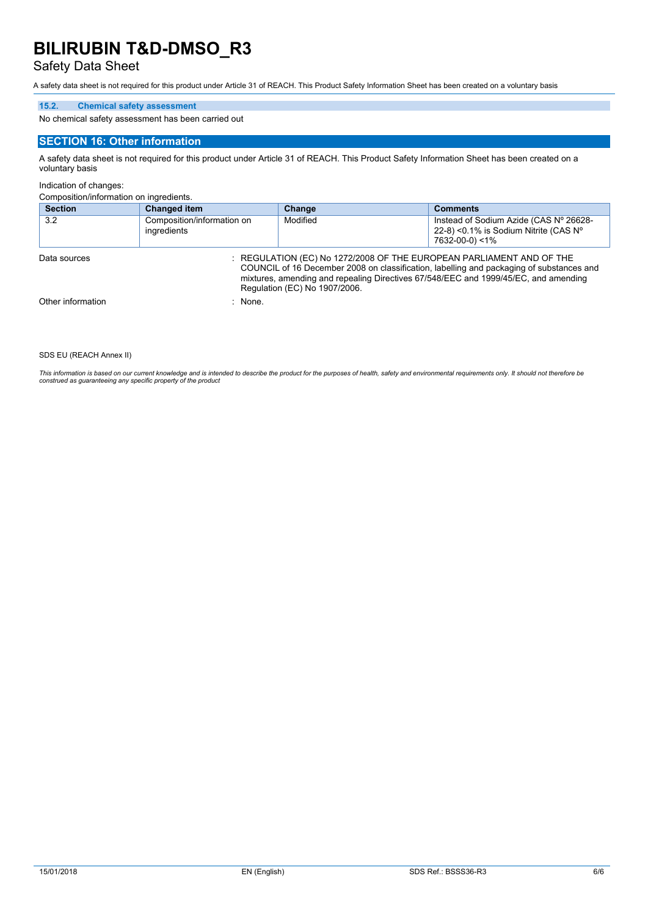### Safety Data Sheet

A safety data sheet is not required for this product under Article 31 of REACH. This Product Safety Information Sheet has been created on a voluntary basis

### **15.2. Chemical safety assessment**

No chemical safety assessment has been carried out

#### **SECTION 16: Other information**

A safety data sheet is not required for this product under Article 31 of REACH. This Product Safety Information Sheet has been created on a voluntary basis

#### Indication of changes:

Composition/information on ingredients.

| <b>Section</b>    | <b>Changed item</b>                                                                                                                                                                                                                                                                      | Change   | <b>Comments</b>                                                                                   |
|-------------------|------------------------------------------------------------------------------------------------------------------------------------------------------------------------------------------------------------------------------------------------------------------------------------------|----------|---------------------------------------------------------------------------------------------------|
| 3.2               | Composition/information on<br>ingredients                                                                                                                                                                                                                                                | Modified | Instead of Sodium Azide (CAS Nº 26628-<br>22-8) <0.1% is Sodium Nitrite (CAS N°<br>7632-00-0) <1% |
| Data sources      | : REGULATION (EC) No 1272/2008 OF THE EUROPEAN PARLIAMENT AND OF THE<br>COUNCIL of 16 December 2008 on classification, labelling and packaging of substances and<br>mixtures, amending and repealing Directives 67/548/EEC and 1999/45/EC, and amending<br>Regulation (EC) No 1907/2006. |          |                                                                                                   |
| Other information | : None.                                                                                                                                                                                                                                                                                  |          |                                                                                                   |

SDS EU (REACH Annex II)

This information is based on our current knowledge and is intended to describe the product for the purposes of health, safety and environmental requirements only. It should not therefore be<br>construed as guaranteeing any sp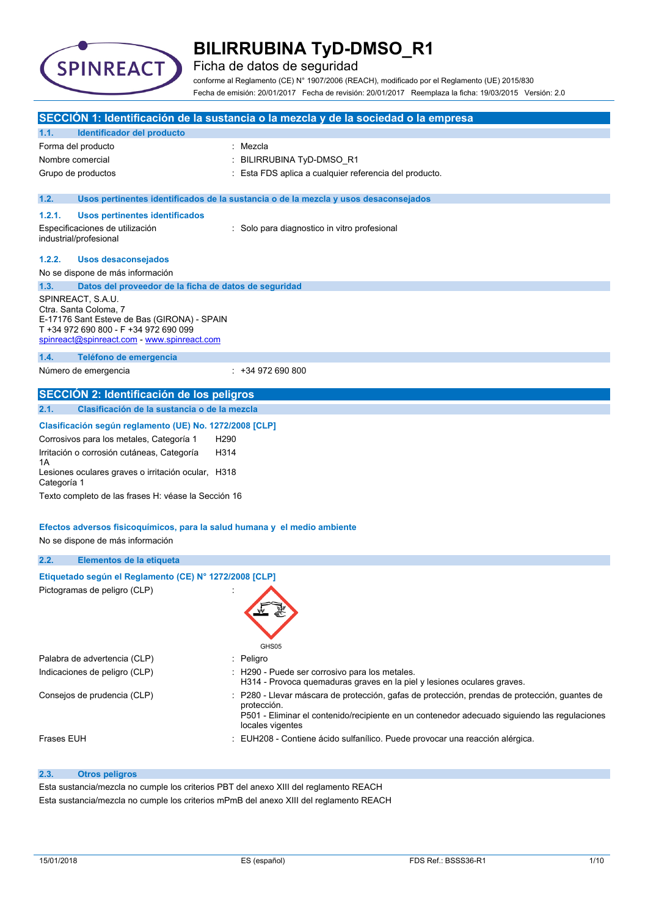

Ficha de datos de seguridad

conforme al Reglamento (CE) N° 1907/2006 (REACH), modificado por el Reglamento (UE) 2015/830 Fecha de emisión: 20/01/2017 Fecha de revisión: 20/01/2017 Reemplaza la ficha: 19/03/2015 Versión: 2.0

|                   |                                                                                      |                  | SECCIÓN 1: Identificación de la sustancia o la mezcla y de la sociedad o la empresa                                       |
|-------------------|--------------------------------------------------------------------------------------|------------------|---------------------------------------------------------------------------------------------------------------------------|
| 1.1.              | Identificador del producto                                                           |                  |                                                                                                                           |
|                   | Forma del producto                                                                   |                  | Mezcla                                                                                                                    |
| Nombre comercial  |                                                                                      |                  | BILIRRUBINA TyD-DMSO_R1                                                                                                   |
|                   | Grupo de productos                                                                   |                  | Esta FDS aplica a cualquier referencia del producto.                                                                      |
|                   |                                                                                      |                  |                                                                                                                           |
| 1.2.              |                                                                                      |                  | Usos pertinentes identificados de la sustancia o de la mezcla y usos desaconsejados                                       |
| 1.2.1.            | Usos pertinentes identificados                                                       |                  |                                                                                                                           |
|                   | Especificaciones de utilización                                                      |                  | : Solo para diagnostico in vitro profesional                                                                              |
|                   | industrial/profesional                                                               |                  |                                                                                                                           |
| 1.2.2.            | <b>Usos desaconsejados</b>                                                           |                  |                                                                                                                           |
|                   | No se dispone de más información                                                     |                  |                                                                                                                           |
| 1.3.              | Datos del proveedor de la ficha de datos de seguridad                                |                  |                                                                                                                           |
|                   | SPINREACT, S.A.U.                                                                    |                  |                                                                                                                           |
|                   | Ctra. Santa Coloma, 7                                                                |                  |                                                                                                                           |
|                   | E-17176 Sant Esteve de Bas (GIRONA) - SPAIN<br>T +34 972 690 800 - F +34 972 690 099 |                  |                                                                                                                           |
|                   | spinreact@spinreact.com - www.spinreact.com                                          |                  |                                                                                                                           |
| 1.4.              | Teléfono de emergencia                                                               |                  |                                                                                                                           |
|                   | Número de emergencia                                                                 |                  | $: +34972690800$                                                                                                          |
|                   |                                                                                      |                  |                                                                                                                           |
|                   | <b>SECCIÓN 2: Identificación de los peligros</b>                                     |                  |                                                                                                                           |
| 2.1.              | Clasificación de la sustancia o de la mezcla                                         |                  |                                                                                                                           |
|                   | Clasificación según reglamento (UE) No. 1272/2008 [CLP]                              |                  |                                                                                                                           |
|                   | Corrosivos para los metales, Categoría 1                                             | H <sub>290</sub> |                                                                                                                           |
|                   | Irritación o corrosión cutáneas, Categoría                                           | H314             |                                                                                                                           |
| 1Α                |                                                                                      |                  |                                                                                                                           |
| Categoría 1       | Lesiones oculares graves o irritación ocular, H318                                   |                  |                                                                                                                           |
|                   | Texto completo de las frases H: véase la Sección 16                                  |                  |                                                                                                                           |
|                   |                                                                                      |                  |                                                                                                                           |
|                   | Efectos adversos fisicoquímicos, para la salud humana y el medio ambiente            |                  |                                                                                                                           |
|                   | No se dispone de más información                                                     |                  |                                                                                                                           |
| 2.2.              | Elementos de la etiqueta                                                             |                  |                                                                                                                           |
|                   |                                                                                      |                  |                                                                                                                           |
|                   | Etiquetado según el Reglamento (CE) Nº 1272/2008 [CLP]                               |                  |                                                                                                                           |
|                   | Pictogramas de peligro (CLP)                                                         |                  |                                                                                                                           |
|                   |                                                                                      |                  |                                                                                                                           |
|                   |                                                                                      |                  |                                                                                                                           |
|                   |                                                                                      |                  |                                                                                                                           |
|                   |                                                                                      |                  | GHS05                                                                                                                     |
|                   | Palabra de advertencia (CLP)                                                         | ÷                | Peligro                                                                                                                   |
|                   | Indicaciones de peligro (CLP)                                                        |                  | : H290 - Puede ser corrosivo para los metales.<br>H314 - Provoca quemaduras graves en la piel y lesiones oculares graves. |
|                   | Consejos de prudencia (CLP)                                                          |                  | P280 - Llevar máscara de protección, gafas de protección, prendas de protección, guantes de                               |
|                   |                                                                                      |                  | protección.                                                                                                               |
|                   |                                                                                      |                  | P501 - Eliminar el contenido/recipiente en un contenedor adecuado siguiendo las regulaciones<br>locales vigentes          |
| <b>Frases EUH</b> |                                                                                      |                  | EUH208 - Contiene ácido sulfanílico. Puede provocar una reacción alérgica.                                                |
|                   |                                                                                      |                  |                                                                                                                           |

### **2.3. Otros peligros**

Esta sustancia/mezcla no cumple los criterios PBT del anexo XIII del reglamento REACH Esta sustancia/mezcla no cumple los criterios mPmB del anexo XIII del reglamento REACH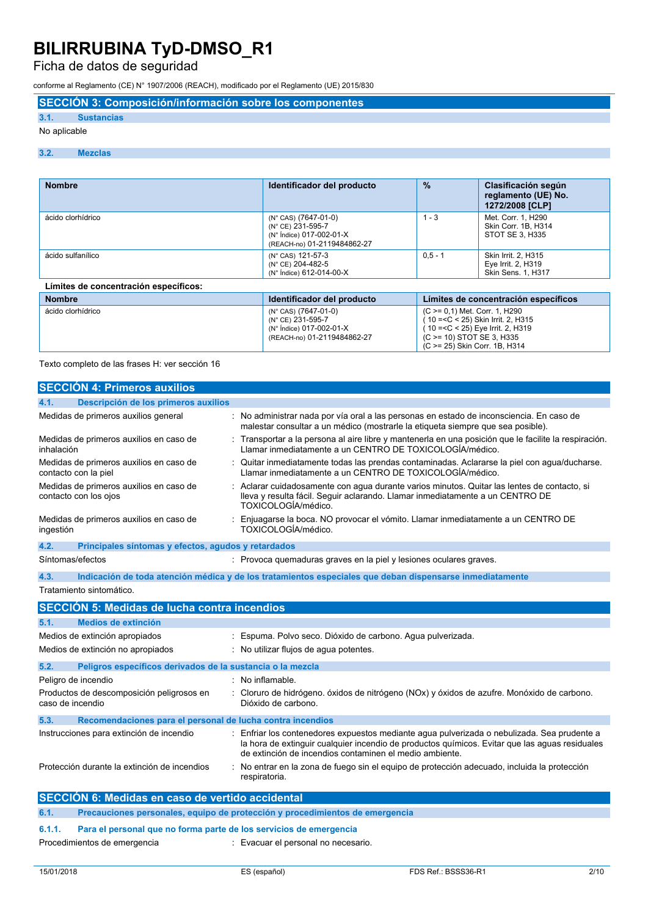Ficha de datos de seguridad

conforme al Reglamento (CE) N° 1907/2006 (REACH), modificado por el Reglamento (UE) 2015/830

**SECCIÓN 3: Composición/información sobre los componentes**

### **3.1. Sustancias**

#### No aplicable

#### **3.2. Mezclas**

| <b>Nombre</b>                         | Identificador del producto                                                                           | $\frac{9}{6}$                                                        | Clasificación según<br>reglamento (UE) No.<br>1272/2008 [CLP]          |
|---------------------------------------|------------------------------------------------------------------------------------------------------|----------------------------------------------------------------------|------------------------------------------------------------------------|
| ácido clorhídrico                     | (N° CAS) (7647-01-0)<br>(N° CE) 231-595-7<br>(N° Índice) 017-002-01-X<br>(REACH-no) 01-2119484862-27 | $1 - 3$                                                              | Met. Corr. 1. H290<br>Skin Corr. 1B. H314<br>STOT SE 3, H335           |
| ácido sulfanílico                     | (N° CAS) 121-57-3<br>(N° CE) 204-482-5<br>(N° Índice) 612-014-00-X                                   | $0.5 - 1$                                                            | <b>Skin Irrit. 2. H315</b><br>Eye Irrit. 2, H319<br>Skin Sens. 1, H317 |
| Límites de concentración específicos: |                                                                                                      |                                                                      |                                                                        |
| <b>Nombre</b>                         | Identificador del producto                                                                           | Límites de concentración específicos                                 |                                                                        |
| ácido clorhídrico                     | (N° CAS) (7647-01-0)<br>(N° CE) 231-595-7                                                            | (C >= 0,1) Met. Corr. 1, H290<br>(10 = < C < 25) Skin Irrit. 2. H315 |                                                                        |

(N° Índice) 017-002-01-X (REACH-no) 01-2119484862-27

Texto completo de las frases H: ver sección 16

| <b>SECCIÓN 4: Primeros auxilios</b>                                |                                                                                                                                                                                                                                                        |
|--------------------------------------------------------------------|--------------------------------------------------------------------------------------------------------------------------------------------------------------------------------------------------------------------------------------------------------|
| Descripción de los primeros auxilios<br>4.1.                       |                                                                                                                                                                                                                                                        |
| Medidas de primeros auxilios general                               | : No administrar nada por vía oral a las personas en estado de inconsciencia. En caso de<br>malestar consultar a un médico (mostrarle la etiqueta siempre que sea posible).                                                                            |
| Medidas de primeros auxilios en caso de<br>inhalación              | Transportar a la persona al aire libre y mantenerla en una posición que le facilite la respiración.<br>Llamar inmediatamente a un CENTRO DE TOXICOLOGÍA/médico.                                                                                        |
| Medidas de primeros auxilios en caso de<br>contacto con la piel    | Quitar inmediatamente todas las prendas contaminadas. Aclararse la piel con agua/ducharse.<br>Llamar inmediatamente a un CENTRO DE TOXICOLOGÍA/médico.                                                                                                 |
| Medidas de primeros auxilios en caso de<br>contacto con los ojos   | Aclarar cuidadosamente con agua durante varios minutos. Quitar las lentes de contacto, si<br>Ileva y resulta fácil. Seguir aclarando. Llamar inmediatamente a un CENTRO DE<br>TOXICOLOGÍA/médico.                                                      |
| Medidas de primeros auxilios en caso de<br>ingestión               | Enjuagarse la boca. NO provocar el vómito. Llamar inmediatamente a un CENTRO DE<br>TOXICOLOGÍA/médico.                                                                                                                                                 |
| 4.2.<br>Principales síntomas y efectos, agudos y retardados        |                                                                                                                                                                                                                                                        |
| Síntomas/efectos                                                   | : Provoca quemaduras graves en la piel y lesiones oculares graves.                                                                                                                                                                                     |
| 4.3.                                                               | Indicación de toda atención médica y de los tratamientos especiales que deban dispensarse inmediatamente                                                                                                                                               |
| Tratamiento sintomático.                                           |                                                                                                                                                                                                                                                        |
| <b>SECCIÓN 5: Medidas de lucha contra incendios</b>                |                                                                                                                                                                                                                                                        |
| 5.1.<br>Medios de extinción                                        |                                                                                                                                                                                                                                                        |
| Medios de extinción apropiados                                     | Espuma. Polvo seco. Dióxido de carbono. Agua pulverizada.                                                                                                                                                                                              |
| Medios de extinción no apropiados                                  | : No utilizar flujos de agua potentes.                                                                                                                                                                                                                 |
| 5.2.<br>Peligros específicos derivados de la sustancia o la mezcla |                                                                                                                                                                                                                                                        |
| Peligro de incendio                                                | No inflamable.                                                                                                                                                                                                                                         |
| Productos de descomposición peligrosos en<br>caso de incendio      | Cloruro de hidrógeno. óxidos de nitrógeno (NOx) y óxidos de azufre. Monóxido de carbono.<br>Dióxido de carbono.                                                                                                                                        |
| Recomendaciones para el personal de lucha contra incendios<br>5.3. |                                                                                                                                                                                                                                                        |
| Instrucciones para extinción de incendio                           | Enfriar los contenedores expuestos mediante agua pulverizada o nebulizada. Sea prudente a<br>la hora de extinguir cualquier incendio de productos químicos. Evitar que las aguas residuales<br>de extinción de incendios contaminen el medio ambiente. |
| Protección durante la extinción de incendios                       | No entrar en la zona de fuego sin el equipo de protección adecuado, incluida la protección<br>respiratoria.                                                                                                                                            |
|                                                                    |                                                                                                                                                                                                                                                        |

**6.1. Precauciones personales, equipo de protección y procedimientos de emergencia**

### **6.1.1. Para el personal que no forma parte de los servicios de emergencia**

Procedimientos de emergencia : Evacuar el personal no necesario.

( 10 =<C < 25) Eye Irrit. 2, H319 (C >= 10) STOT SE 3, H335 (C >= 25) Skin Corr. 1B, H314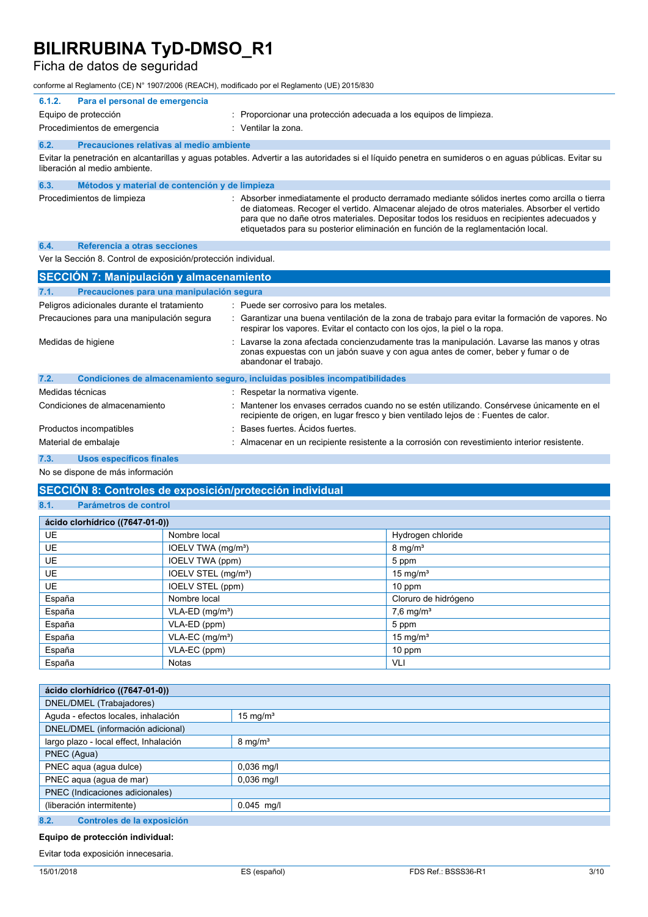### Ficha de datos de seguridad

conforme al Reglamento (CE) N° 1907/2006 (REACH), modificado por el Reglamento (UE) 2015/830

| 6.1.2.                                                                                                                                                                                 | Para el personal de emergencia                 |                                                                                                                                                                                                                                                                                                                                                                                  |
|----------------------------------------------------------------------------------------------------------------------------------------------------------------------------------------|------------------------------------------------|----------------------------------------------------------------------------------------------------------------------------------------------------------------------------------------------------------------------------------------------------------------------------------------------------------------------------------------------------------------------------------|
|                                                                                                                                                                                        | Equipo de protección                           | : Proporcionar una protección adecuada a los equipos de limpieza.                                                                                                                                                                                                                                                                                                                |
|                                                                                                                                                                                        | Procedimientos de emergencia                   | : Ventilar la zona.                                                                                                                                                                                                                                                                                                                                                              |
| 6.2.                                                                                                                                                                                   | Precauciones relativas al medio ambiente       |                                                                                                                                                                                                                                                                                                                                                                                  |
| Evitar la penetración en alcantarillas y aguas potables. Advertir a las autoridades si el líquido penetra en sumideros o en aguas públicas. Evitar su<br>liberación al medio ambiente. |                                                |                                                                                                                                                                                                                                                                                                                                                                                  |
| 6.3.                                                                                                                                                                                   | Métodos y material de contención y de limpieza |                                                                                                                                                                                                                                                                                                                                                                                  |
|                                                                                                                                                                                        | Procedimientos de limpieza                     | : Absorber inmediatamente el producto derramado mediante sólidos inertes como arcilla o tierra<br>de diatomeas. Recoger el vertido. Almacenar alejado de otros materiales. Absorber el vertido<br>para que no dañe otros materiales. Depositar todos los residuos en recipientes adecuados y<br>etiquetados para su posterior eliminación en función de la reglamentación local. |
| 6.4.                                                                                                                                                                                   | Referencia a otras secciones                   |                                                                                                                                                                                                                                                                                                                                                                                  |

Ver la Sección 8. Control de exposición/protección individual.

| <b>SECCIÓN 7: Manipulación y almacenamiento</b>   |                                                                                                                                                                                                          |  |  |  |
|---------------------------------------------------|----------------------------------------------------------------------------------------------------------------------------------------------------------------------------------------------------------|--|--|--|
| Precauciones para una manipulación segura<br>7.1. |                                                                                                                                                                                                          |  |  |  |
| Peligros adicionales durante el tratamiento       | : Puede ser corrosivo para los metales.                                                                                                                                                                  |  |  |  |
| Precauciones para una manipulación segura         | : Garantizar una buena ventilación de la zona de trabajo para evitar la formación de vapores. No<br>respirar los vapores. Evitar el contacto con los ojos, la piel o la ropa.                            |  |  |  |
| Medidas de higiene                                | : Lavarse la zona afectada concienzudamente tras la manipulación. Lavarse las manos y otras<br>zonas expuestas con un jabón suave y con aqua antes de comer, beber y fumar o de<br>abandonar el trabajo. |  |  |  |
| 7.2.                                              | Condiciones de almacenamiento seguro, incluidas posibles incompatibilidades                                                                                                                              |  |  |  |
| Medidas técnicas                                  | : Respetar la normativa vigente.                                                                                                                                                                         |  |  |  |
| Condiciones de almacenamiento                     | : Mantener los envases cerrados cuando no se estén utilizando. Consérvese únicamente en el<br>recipiente de origen, en lugar fresco y bien ventilado lejos de : Fuentes de calor.                        |  |  |  |
| Productos incompatibles                           | : Bases fuertes, Ácidos fuertes,                                                                                                                                                                         |  |  |  |
| Material de embalaie                              | : Almacenar en un recipiente resistente a la corrosión con revestimiento interior resistente.                                                                                                            |  |  |  |

**7.3. Usos específicos finales**

No se dispone de más información

### **SECCIÓN 8: Controles de exposición/protección individual**

**8.1. Parámetros de control**

| ácido clorhídrico ((7647-01-0)) |                                 |                         |
|---------------------------------|---------------------------------|-------------------------|
| <b>UE</b>                       | Nombre local                    | Hydrogen chloride       |
| <b>UE</b>                       | IOELV TWA (mg/m <sup>3</sup> )  | $8 \text{ mg/m}^3$      |
| <b>UE</b>                       | IOELV TWA (ppm)                 | 5 ppm                   |
| <b>UE</b>                       | IOELV STEL (mg/m <sup>3</sup> ) | 15 mg/ $m3$             |
| <b>UE</b>                       | IOELV STEL (ppm)                | 10 ppm                  |
| España                          | Nombre local                    | Cloruro de hidrógeno    |
| España                          | $VLA-ED$ (mg/m <sup>3</sup> )   | $7,6$ mg/m <sup>3</sup> |
| España                          | VLA-ED (ppm)                    | 5 ppm                   |
| España                          | $VLA-EC$ (mg/m <sup>3</sup> )   | 15 mg/m <sup>3</sup>    |
| España                          | VLA-EC (ppm)                    | 10 ppm                  |
| España                          | <b>Notas</b>                    | VLI                     |

| ácido clorhídrico ((7647-01-0))        |                    |
|----------------------------------------|--------------------|
| DNEL/DMEL (Trabajadores)               |                    |
| Aguda - efectos locales, inhalación    | 15 mg/ $m3$        |
| DNEL/DMEL (información adicional)      |                    |
| largo plazo - local effect, Inhalación | $8 \text{ mg/m}^3$ |
| PNEC (Agua)                            |                    |
| PNEC aqua (agua dulce)                 | $0,036$ mg/l       |
| PNEC aqua (agua de mar)                | $0,036$ mg/l       |
| PNEC (Indicaciones adicionales)        |                    |
| (liberación intermitente)              | $0.045$ mg/l       |
| 8.2.<br>Controles de la exposición     |                    |

**Equipo de protección individual:**

Evitar toda exposición innecesaria.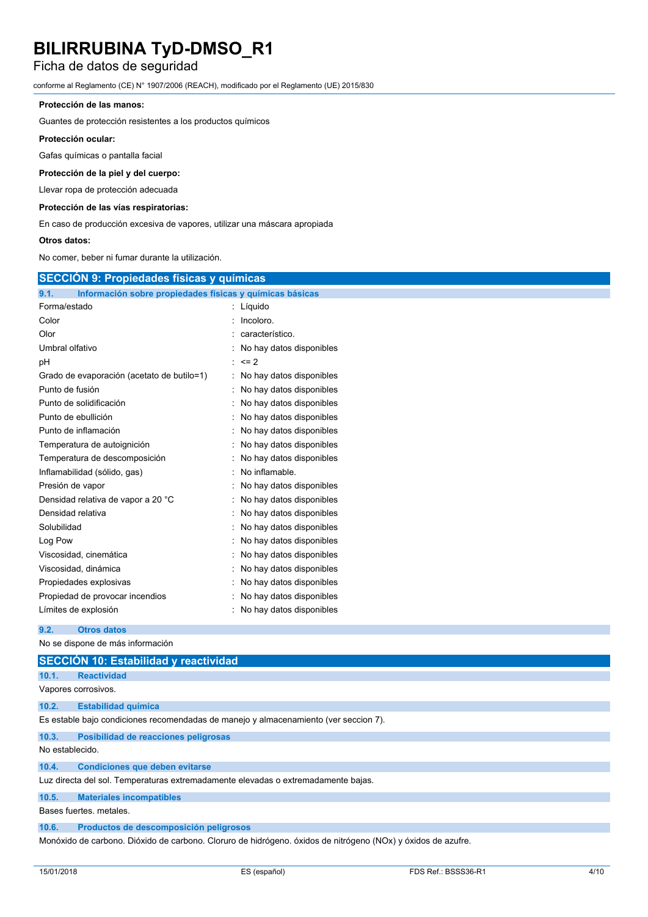### Ficha de datos de seguridad

conforme al Reglamento (CE) N° 1907/2006 (REACH), modificado por el Reglamento (UE) 2015/830

### **Protección de las manos:**

Guantes de protección resistentes a los productos químicos

#### **Protección ocular:**

Gafas químicas o pantalla facial

### **Protección de la piel y del cuerpo:**

Llevar ropa de protección adecuada

### **Protección de las vías respiratorias:**

En caso de producción excesiva de vapores, utilizar una máscara apropiada

#### **Otros datos:**

No comer, beber ni fumar durante la utilización.

|                                                                  | <b>SECCIÓN 9: Propiedades físicas y químicas</b> |  |  |
|------------------------------------------------------------------|--------------------------------------------------|--|--|
| Información sobre propiedades físicas y químicas básicas<br>9.1. |                                                  |  |  |
| Forma/estado                                                     | : Líquido                                        |  |  |
| Color                                                            | Incoloro.                                        |  |  |
| Olor                                                             | característico.                                  |  |  |
| Umbral olfativo                                                  | No hay datos disponibles                         |  |  |
| рH                                                               | $\leq$ 2                                         |  |  |
| Grado de evaporación (acetato de butilo=1)                       | No hay datos disponibles                         |  |  |
| Punto de fusión                                                  | No hay datos disponibles                         |  |  |
| Punto de solidificación                                          | No hay datos disponibles                         |  |  |
| Punto de ebullición                                              | No hay datos disponibles                         |  |  |
| Punto de inflamación                                             | No hay datos disponibles                         |  |  |
| Temperatura de autoignición                                      | No hay datos disponibles                         |  |  |
| Temperatura de descomposición                                    | No hay datos disponibles                         |  |  |
| Inflamabilidad (sólido, gas)                                     | No inflamable.                                   |  |  |
| Presión de vapor                                                 | No hay datos disponibles                         |  |  |
| Densidad relativa de vapor a 20 °C                               | No hay datos disponibles                         |  |  |
| Densidad relativa                                                | No hay datos disponibles                         |  |  |
| Solubilidad                                                      | No hay datos disponibles                         |  |  |
| Log Pow                                                          | No hay datos disponibles                         |  |  |
| Viscosidad, cinemática                                           | No hay datos disponibles                         |  |  |
| Viscosidad, dinámica                                             | No hay datos disponibles                         |  |  |
| Propiedades explosivas                                           | No hay datos disponibles                         |  |  |
| Propiedad de provocar incendios                                  | No hay datos disponibles                         |  |  |
| Límites de explosión                                             | No hay datos disponibles                         |  |  |
| <b>Otros datos</b><br>9.2.                                       |                                                  |  |  |
| No se dispone de más información                                 |                                                  |  |  |

|                                                                                                              | SECCIÓN 10: Estabilidad y reactividad                                                |  |  |  |
|--------------------------------------------------------------------------------------------------------------|--------------------------------------------------------------------------------------|--|--|--|
| 10.1.                                                                                                        | <b>Reactividad</b>                                                                   |  |  |  |
|                                                                                                              | Vapores corrosivos.                                                                  |  |  |  |
| 10.2.                                                                                                        | <b>Estabilidad química</b>                                                           |  |  |  |
|                                                                                                              | Es estable bajo condiciones recomendadas de manejo y almacenamiento (ver seccion 7). |  |  |  |
| 10.3.                                                                                                        | Posibilidad de reacciones peligrosas                                                 |  |  |  |
|                                                                                                              | No establecido.                                                                      |  |  |  |
| 10.4.                                                                                                        | <b>Condiciones que deben evitarse</b>                                                |  |  |  |
|                                                                                                              | Luz directa del sol. Temperaturas extremadamente elevadas o extremadamente bajas.    |  |  |  |
| 10.5.                                                                                                        | <b>Materiales incompatibles</b>                                                      |  |  |  |
| Bases fuertes, metales.                                                                                      |                                                                                      |  |  |  |
| 10.6.                                                                                                        | Productos de descomposición peligrosos                                               |  |  |  |
| Monóxido de carbono. Dióxido de carbono. Cloruro de hidrógeno. óxidos de nitrógeno (NOx) y óxidos de azufre. |                                                                                      |  |  |  |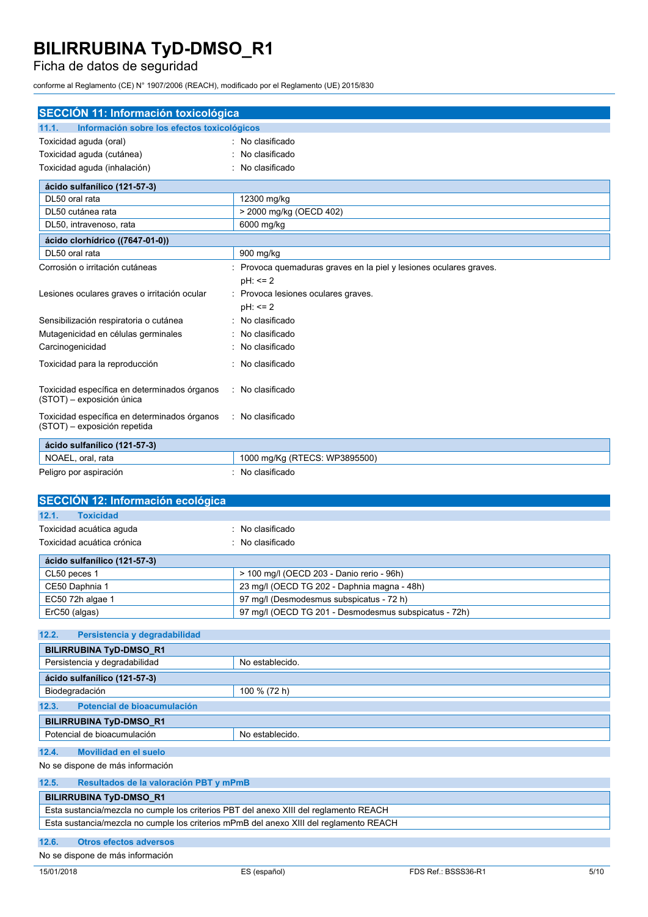### Ficha de datos de seguridad

conforme al Reglamento (CE) N° 1907/2006 (REACH), modificado por el Reglamento (UE) 2015/830

| <b>SECCIÓN 11: Información toxicológica</b>                                  |                                                                  |  |  |
|------------------------------------------------------------------------------|------------------------------------------------------------------|--|--|
| Información sobre los efectos toxicológicos<br>11.1.                         |                                                                  |  |  |
| Toxicidad aguda (oral)                                                       | No clasificado                                                   |  |  |
| Toxicidad aguda (cutánea)                                                    | No clasificado                                                   |  |  |
| Toxicidad aguda (inhalación)                                                 | No clasificado                                                   |  |  |
| ácido sulfanílico (121-57-3)                                                 |                                                                  |  |  |
| DL50 oral rata                                                               | 12300 mg/kg                                                      |  |  |
| DL50 cutánea rata                                                            | > 2000 mg/kg (OECD 402)                                          |  |  |
| DL50, intravenoso, rata                                                      | 6000 mg/kg                                                       |  |  |
| ácido clorhídrico ((7647-01-0))                                              |                                                                  |  |  |
| DL50 oral rata                                                               | 900 mg/kg                                                        |  |  |
| Corrosión o irritación cutáneas                                              | Provoca quemaduras graves en la piel y lesiones oculares graves. |  |  |
|                                                                              | $pH: \leq 2$                                                     |  |  |
| Lesiones oculares graves o irritación ocular                                 | Provoca lesiones oculares graves.                                |  |  |
|                                                                              | $pH: \leq 2$                                                     |  |  |
| Sensibilización respiratoria o cutánea                                       | No clasificado                                                   |  |  |
| Mutagenicidad en células germinales                                          | No clasificado                                                   |  |  |
| Carcinogenicidad                                                             | No clasificado                                                   |  |  |
| Toxicidad para la reproducción                                               | No clasificado                                                   |  |  |
| Toxicidad específica en determinados órganos<br>(STOT) - exposición única    | No clasificado                                                   |  |  |
| Toxicidad específica en determinados órganos<br>(STOT) - exposición repetida | : No clasificado                                                 |  |  |
| ácido sulfanílico (121-57-3)                                                 |                                                                  |  |  |
| NOAEL, oral, rata                                                            | 1000 mg/Kg (RTECS: WP3895500)                                    |  |  |
| Peligro por aspiración                                                       | No clasificado                                                   |  |  |
| SECCIÓN 12: Información ecológica                                            |                                                                  |  |  |
| <b>Toxicidad</b><br>12.1.                                                    |                                                                  |  |  |
| Toxicidad acuática aguda                                                     | No clasificado                                                   |  |  |
| Toxicidad acuática crónica                                                   | No clasificado                                                   |  |  |
| ácido sulfanílico (121-57-3)                                                 |                                                                  |  |  |
| CL50 peces 1                                                                 | > 100 mg/l (OECD 203 - Danio rerio - 96h)                        |  |  |

| <b>ULUU DEUGS 1</b> | $>100$ High (OLCD 200 - Dallio Ferro - Sort)          |
|---------------------|-------------------------------------------------------|
| CE50 Daphnia 1      | 23 mg/l (OECD TG 202 - Daphnia magna - 48h)           |
| EC50 72h algae 1    | 97 mg/l (Desmodesmus subspicatus - 72 h)              |
| ErC50 (algas)       | 97 mg/l (OECD TG 201 - Desmodesmus subspicatus - 72h) |
|                     |                                                       |

| 12.2.<br>Persistencia y degradabilidad |                 |  |
|----------------------------------------|-----------------|--|
| <b>BILIRRUBINA TyD-DMSO_R1</b>         |                 |  |
| Persistencia y degradabilidad          | No establecido. |  |
| ácido sulfanílico (121-57-3)           |                 |  |
| Biodegradación                         | 100 % (72 h)    |  |
| 12.3.<br>Potencial de bioacumulación   |                 |  |
| <b>BILIRRUBINA TyD-DMSO R1</b>         |                 |  |
| Potencial de bioacumulación            | No establecido. |  |
| 12.4.<br>Movilidad en el suelo         |                 |  |

No se dispone de más información

| 12.5.                                                                                  | Resultados de la valoración PBT y mPmB |  |
|----------------------------------------------------------------------------------------|----------------------------------------|--|
| <b>BILIRRUBINA TyD-DMSO R1</b>                                                         |                                        |  |
| Esta sustancia/mezcla no cumple los criterios PBT del anexo XIII del reglamento REACH  |                                        |  |
| Esta sustancia/mezcla no cumple los criterios mPmB del anexo XIII del reglamento REACH |                                        |  |

### **12.6. Otros efectos adversos**

No se dispone de más información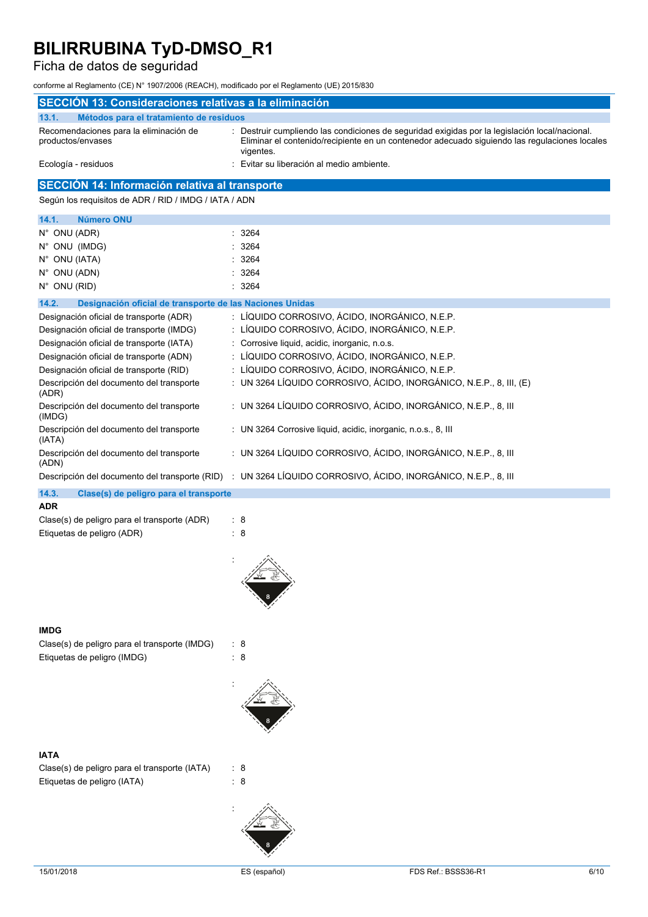### Ficha de datos de seguridad

conforme al Reglamento (CE) N° 1907/2006 (REACH), modificado por el Reglamento (UE) 2015/830

| SECCIÓN 13: Consideraciones relativas a la eliminación            |                                                                                                                                                                                                              |  |  |  |
|-------------------------------------------------------------------|--------------------------------------------------------------------------------------------------------------------------------------------------------------------------------------------------------------|--|--|--|
| 13.1.<br>Métodos para el tratamiento de residuos                  |                                                                                                                                                                                                              |  |  |  |
| Recomendaciones para la eliminación de<br>productos/envases       | : Destruir cumpliendo las condiciones de seguridad exigidas por la legislación local/nacional.<br>Eliminar el contenido/recipiente en un contenedor adecuado siguiendo las regulaciones locales<br>vigentes. |  |  |  |
| Ecología - residuos                                               | Evitar su liberación al medio ambiente.                                                                                                                                                                      |  |  |  |
| <b>SECCIÓN 14: Información relativa al transporte</b>             |                                                                                                                                                                                                              |  |  |  |
| Según los requisitos de ADR / RID / IMDG / IATA / ADN             |                                                                                                                                                                                                              |  |  |  |
| <b>Número ONU</b><br>14.1.                                        |                                                                                                                                                                                                              |  |  |  |
| $N^{\circ}$ ONU (ADR)                                             | 3264                                                                                                                                                                                                         |  |  |  |
| $N^{\circ}$ ONU (IMDG)                                            | 3264                                                                                                                                                                                                         |  |  |  |
| N° ONU (IATA)                                                     | 3264                                                                                                                                                                                                         |  |  |  |
| N° ONU (ADN)                                                      | 3264                                                                                                                                                                                                         |  |  |  |
| N° ONU (RID)                                                      | 3264                                                                                                                                                                                                         |  |  |  |
| 14.2.<br>Designación oficial de transporte de las Naciones Unidas |                                                                                                                                                                                                              |  |  |  |
| Designación oficial de transporte (ADR)                           | : LÍQUIDO CORROSIVO, ÁCIDO, INORGÁNICO, N.E.P.                                                                                                                                                               |  |  |  |
| Designación oficial de transporte (IMDG)                          | : LÍQUIDO CORROSIVO, ÁCIDO, INORGÁNICO, N.E.P.                                                                                                                                                               |  |  |  |
| Designación oficial de transporte (IATA)                          | : Corrosive liquid, acidic, inorganic, n.o.s.                                                                                                                                                                |  |  |  |
| Designación oficial de transporte (ADN)                           | LÍQUIDO CORROSIVO, ÁCIDO, INORGÁNICO, N.E.P.                                                                                                                                                                 |  |  |  |
| Designación oficial de transporte (RID)                           | LÍQUIDO CORROSIVO, ÁCIDO, INORGÁNICO, N.E.P.                                                                                                                                                                 |  |  |  |
| Descripción del documento del transporte<br>(ADR)                 | : UN 3264 LÍQUIDO CORROSIVO, ÁCIDO, INORGÁNICO, N.E.P., 8, III, (E)                                                                                                                                          |  |  |  |
| Descripción del documento del transporte<br>(IMDG)                | : UN 3264 LÍQUIDO CORROSIVO, ÁCIDO, INORGÁNICO, N.E.P., 8, III                                                                                                                                               |  |  |  |
| Descripción del documento del transporte<br>(IATA)                | : UN 3264 Corrosive liquid, acidic, inorganic, n.o.s., 8, III                                                                                                                                                |  |  |  |
| Descripción del documento del transporte<br>(ADN)                 | : UN 3264 LÍQUIDO CORROSIVO, ÁCIDO, INORGÁNICO, N.E.P., 8, III                                                                                                                                               |  |  |  |
|                                                                   | Descripción del documento del transporte (RID) : UN 3264 LÍQUIDO CORROSIVO, ÁCIDO, INORGÁNICO, N.E.P., 8, III                                                                                                |  |  |  |
| Clase(s) de peligro para el transporte<br>14.3.                   |                                                                                                                                                                                                              |  |  |  |
| <b>ADR</b>                                                        |                                                                                                                                                                                                              |  |  |  |
| Clase(s) de peligro para el transporte (ADR)                      | : 8                                                                                                                                                                                                          |  |  |  |
| Etiquetas de peligro (ADR)                                        | : 8                                                                                                                                                                                                          |  |  |  |
|                                                                   |                                                                                                                                                                                                              |  |  |  |

#### **IMDG**

| Clase(s) de peligro para el transporte (IMDG) | : 8 |
|-----------------------------------------------|-----|
| Etiquetas de peligro (IMDG)                   | : 8 |



#### **IATA**

Clase(s) de peligro para el transporte (IATA) : 8 Etiquetas de peligro (IATA) : 8



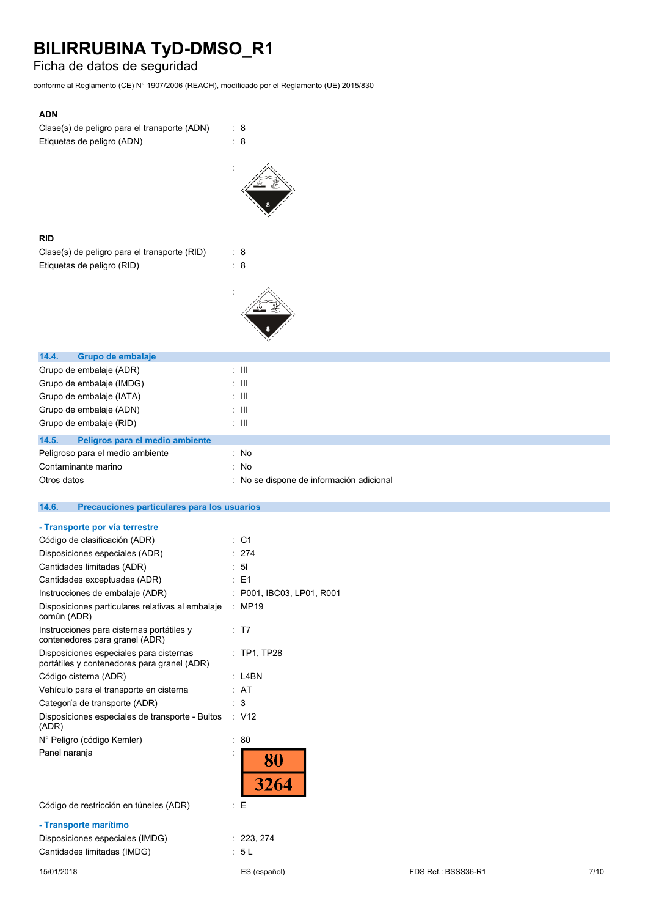### Ficha de datos de seguridad

conforme al Reglamento (CE) N° 1907/2006 (REACH), modificado por el Reglamento (UE) 2015/830

| <b>ADN</b>                                                               |                                        |
|--------------------------------------------------------------------------|----------------------------------------|
| Clase(s) de peligro para el transporte (ADN)                             | : 8                                    |
| Etiquetas de peligro (ADN)                                               | 8<br>÷                                 |
|                                                                          |                                        |
|                                                                          |                                        |
|                                                                          |                                        |
|                                                                          |                                        |
|                                                                          |                                        |
| <b>RID</b>                                                               |                                        |
| Clase(s) de peligro para el transporte (RID)                             | : 8                                    |
| Etiquetas de peligro (RID)                                               | $\therefore$ 8                         |
|                                                                          |                                        |
|                                                                          |                                        |
|                                                                          |                                        |
|                                                                          |                                        |
|                                                                          |                                        |
|                                                                          |                                        |
| 14.4.<br>Grupo de embalaje<br>Grupo de embalaje (ADR)                    | $\pm$ 111                              |
| Grupo de embalaje (IMDG)                                                 | Ш                                      |
| Grupo de embalaje (IATA)                                                 | $\mathbf{III}$                         |
| Grupo de embalaje (ADN)                                                  | $\mathbf{III}$                         |
| Grupo de embalaje (RID)                                                  | $\mathbb{Z}$ - $\mathbb{H}$            |
| 14.5.<br>Peligros para el medio ambiente                                 |                                        |
| Peligroso para el medio ambiente                                         | : No                                   |
| Contaminante marino                                                      | No                                     |
| Otros datos                                                              | No se dispone de información adicional |
|                                                                          |                                        |
|                                                                          |                                        |
| 14.6.<br>Precauciones particulares para los usuarios                     |                                        |
| - Transporte por vía terrestre                                           |                                        |
| Código de clasificación (ADR)                                            | $:$ C1                                 |
| Disposiciones especiales (ADR)                                           | 274                                    |
| Cantidades limitadas (ADR)                                               | 5 <sub>l</sub>                         |
| Cantidades exceptuadas (ADR)                                             | : E1                                   |
| Instrucciones de embalaje (ADR)                                          | P001, IBC03, LP01, R001                |
| Disposiciones particulares relativas al embalaje : MP19                  |                                        |
| común (ADR)<br>Instrucciones para cisternas portátiles y                 | : T7                                   |
| contenedores para granel (ADR)                                           |                                        |
| Disposiciones especiales para cisternas                                  | : TP1, TP28                            |
| portátiles y contenedores para granel (ADR)                              |                                        |
| Código cisterna (ADR)                                                    | : L4BN<br>: AT                         |
| Vehículo para el transporte en cisterna<br>Categoría de transporte (ADR) | 3                                      |
| Disposiciones especiales de transporte - Bultos                          | $\therefore$ V12                       |
| (ADR)                                                                    |                                        |
| N° Peligro (código Kemler)                                               | $\therefore 80$                        |
| Panel naranja                                                            |                                        |
|                                                                          | 80                                     |
|                                                                          | 3264                                   |
| Código de restricción en túneles (ADR)                                   | Е<br>÷                                 |
|                                                                          |                                        |
| - Transporte marítimo                                                    |                                        |
| Disposiciones especiales (IMDG)<br>Cantidades limitadas (IMDG)           | : 223, 274<br>: 5L                     |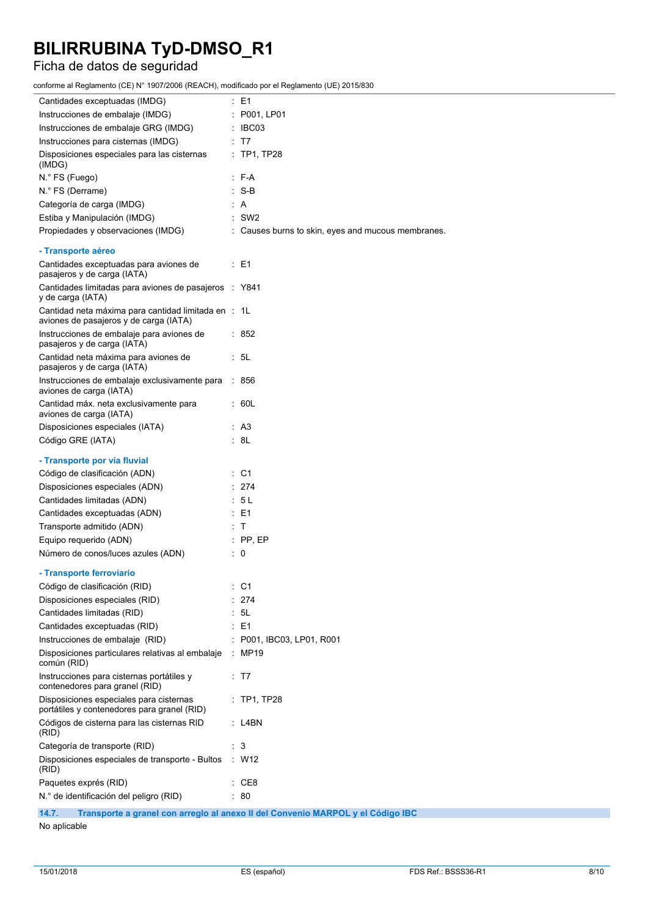### Ficha de datos de seguridad

conforme al Reglamento (CE) N° 1907/2006 (REACH), modificado por el Reglamento (UE) 2015/830

| Cantidades exceptuadas (IMDG)                                                                 | : E1                                                                            |
|-----------------------------------------------------------------------------------------------|---------------------------------------------------------------------------------|
| Instrucciones de embalaje (IMDG)                                                              | : P001, LP01                                                                    |
| Instrucciones de embalaje GRG (IMDG)                                                          | : IBC03                                                                         |
| Instrucciones para cisternas (IMDG)                                                           | : T7                                                                            |
| Disposiciones especiales para las cisternas<br>(IMDG)                                         | : TP1, TP28                                                                     |
| N.º FS (Fuego)                                                                                | $: F-A$                                                                         |
| N.º FS (Derrame)                                                                              | $: S-B$                                                                         |
| Categoría de carga (IMDG)                                                                     | : A                                                                             |
| Estiba y Manipulación (IMDG)                                                                  | $:$ SW2                                                                         |
| Propiedades y observaciones (IMDG)                                                            | : Causes burns to skin, eyes and mucous membranes.                              |
|                                                                                               |                                                                                 |
| - Transporte aéreo                                                                            |                                                                                 |
| Cantidades exceptuadas para aviones de<br>pasajeros y de carga (IATA)                         | $\therefore$ E1                                                                 |
| Cantidades limitadas para aviones de pasajeros : Y841<br>y de carga (IATA)                    |                                                                                 |
| Cantidad neta máxima para cantidad limitada en : 1L<br>aviones de pasajeros y de carga (IATA) |                                                                                 |
| Instrucciones de embalaje para aviones de<br>pasajeros y de carga (IATA)                      | : 852                                                                           |
| Cantidad neta máxima para aviones de<br>pasajeros y de carga (IATA)                           | : 5L                                                                            |
| Instrucciones de embalaje exclusivamente para : 856<br>aviones de carga (IATA)                |                                                                                 |
| Cantidad máx. neta exclusivamente para<br>aviones de carga (IATA)                             | : 60L                                                                           |
| Disposiciones especiales (IATA)                                                               | : A3                                                                            |
| Código GRE (IATA)                                                                             | : 8L                                                                            |
|                                                                                               |                                                                                 |
| - Transporte por vía fluvial                                                                  |                                                                                 |
| Código de clasificación (ADN)                                                                 | $\therefore$ C1                                                                 |
| Disposiciones especiales (ADN)                                                                | : 274                                                                           |
| Cantidades limitadas (ADN)                                                                    | : 5L                                                                            |
| Cantidades exceptuadas (ADN)                                                                  | $E = 1$                                                                         |
| Transporte admitido (ADN)                                                                     | : T                                                                             |
| Equipo requerido (ADN)                                                                        | $:$ PP, EP                                                                      |
| Número de conos/luces azules (ADN)                                                            | $\therefore$ 0                                                                  |
| - Transporte ferroviario                                                                      |                                                                                 |
| Código de clasificación (RID)                                                                 | C <sub>1</sub>                                                                  |
| Disposiciones especiales (RID)                                                                | 274                                                                             |
| Cantidades limitadas (RID)                                                                    | 5L                                                                              |
| Cantidades exceptuadas (RID)                                                                  | E1                                                                              |
| Instrucciones de embalaje (RID)                                                               | P001, IBC03, LP01, R001                                                         |
| Disposiciones particulares relativas al embalaje<br>común (RID)                               | MP19                                                                            |
| Instrucciones para cisternas portátiles y<br>contenedores para granel (RID)                   | : T7                                                                            |
| Disposiciones especiales para cisternas<br>portátiles y contenedores para granel (RID)        | $:$ TP1, TP28                                                                   |
| Códigos de cisterna para las cisternas RID<br>(RID)                                           | : L4BN                                                                          |
| Categoría de transporte (RID)                                                                 | 3                                                                               |
| Disposiciones especiales de transporte - Bultos<br>(RID)                                      | W <sub>12</sub><br>÷.                                                           |
| Paquetes exprés (RID)                                                                         | CE8                                                                             |
| N.º de identificación del peligro (RID)                                                       | 80                                                                              |
|                                                                                               |                                                                                 |
| 14.7.                                                                                         | Transporte a granel con arregio al anexo II del Convenio MARPOL y el Código IBC |

No aplicable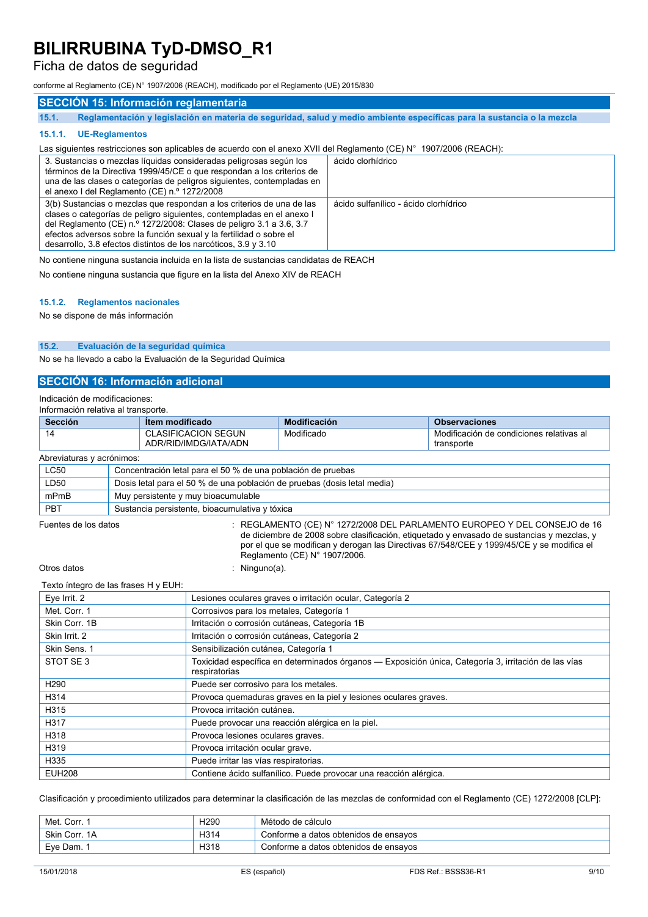### Ficha de datos de seguridad

conforme al Reglamento (CE) N° 1907/2006 (REACH), modificado por el Reglamento (UE) 2015/830

### **SECCIÓN 15: Información reglamentaria**

15.1. Reglamentación y legislación en materia de seguridad, salud y medio ambiente específicas para la sustancia o la mezcla

#### **15.1.1. UE-Reglamentos**

### Las siguientes restricciones son aplicables de acuerdo con el anexo XVII del Reglamento (CE) N° 1907/2006 (REACH):

| 3. Sustancias o mezclas líquidas consideradas peligrosas según los<br>términos de la Directiva 1999/45/CE o que respondan a los criterios de<br>una de las clases o categorías de peligros siguientes, contempladas en<br>el anexo I del Reglamento (CE) n.º 1272/2008                                                                                          | ácido clorhídrico                     |
|-----------------------------------------------------------------------------------------------------------------------------------------------------------------------------------------------------------------------------------------------------------------------------------------------------------------------------------------------------------------|---------------------------------------|
| 3(b) Sustancias o mezclas que respondan a los criterios de una de las<br>clases o categorías de peligro siguientes, contempladas en el anexo l<br>del Reglamento (CE) n.º 1272/2008: Clases de peligro 3.1 a 3.6, 3.7<br>efectos adversos sobre la función sexual y la fertilidad o sobre el<br>desarrollo, 3.8 efectos distintos de los narcóticos, 3.9 y 3.10 | ácido sulfanílico - ácido clorhídrico |

No contiene ninguna sustancia incluida en la lista de sustancias candidatas de REACH

No contiene ninguna sustancia que figure en la lista del Anexo XIV de REACH

#### **15.1.2. Reglamentos nacionales**

No se dispone de más información

#### **15.2. Evaluación de la seguridad química**

No se ha llevado a cabo la Evaluación de la Seguridad Química

### **SECCIÓN 16: Información adicional**

Indicación de modificaciones:

| Información relativa al transporte. |               |                                                                          |                               |                                                                                                                                                                                                                                                                          |  |  |  |
|-------------------------------------|---------------|--------------------------------------------------------------------------|-------------------------------|--------------------------------------------------------------------------------------------------------------------------------------------------------------------------------------------------------------------------------------------------------------------------|--|--|--|
| <b>Sección</b>                      |               | <b>Item modificado</b>                                                   | <b>Modificación</b>           | <b>Observaciones</b>                                                                                                                                                                                                                                                     |  |  |  |
| 14                                  |               | <b>CLASIFICACION SEGUN</b><br>ADR/RID/IMDG/IATA/ADN                      | Modificado                    | Modificación de condiciones relativas al<br>transporte                                                                                                                                                                                                                   |  |  |  |
| Abreviaturas y acrónimos:           |               |                                                                          |                               |                                                                                                                                                                                                                                                                          |  |  |  |
| <b>LC50</b>                         |               | Concentración letal para el 50 % de una población de pruebas             |                               |                                                                                                                                                                                                                                                                          |  |  |  |
| LD50                                |               | Dosis letal para el 50 % de una población de pruebas (dosis letal media) |                               |                                                                                                                                                                                                                                                                          |  |  |  |
| mPmB                                |               | Muy persistente y muy bioacumulable                                      |                               |                                                                                                                                                                                                                                                                          |  |  |  |
| <b>PBT</b>                          |               | Sustancia persistente, bioacumulativa y tóxica                           |                               |                                                                                                                                                                                                                                                                          |  |  |  |
| Fuentes de los datos                |               |                                                                          | Reglamento (CE) N° 1907/2006. | $\pm$ REGLAMENTO (CE) N° 1272/2008 DEL PARLAMENTO EUROPEO Y DEL CONSEJO de 16<br>de diciembre de 2008 sobre clasificación, etiquetado y envasado de sustancias y mezclas, y<br>por el que se modifican y derogan las Directivas 67/548/CEE y 1999/45/CE y se modifica el |  |  |  |
| Otros datos                         | : Ninguno(a). |                                                                          |                               |                                                                                                                                                                                                                                                                          |  |  |  |

#### Texto íntegro de las frases H y EUH:

| Eye Irrit. 2     | Lesiones oculares graves o irritación ocular, Categoría 2                                                             |  |  |  |
|------------------|-----------------------------------------------------------------------------------------------------------------------|--|--|--|
| Met. Corr. 1     | Corrosivos para los metales, Categoría 1                                                                              |  |  |  |
| Skin Corr. 1B    | Irritación o corrosión cutáneas, Categoría 1B                                                                         |  |  |  |
| Skin Irrit. 2    | Irritación o corrosión cutáneas, Categoría 2                                                                          |  |  |  |
| Skin Sens. 1     | Sensibilización cutánea, Categoría 1                                                                                  |  |  |  |
| STOT SE 3        | Toxicidad específica en determinados órganos — Exposición única, Categoría 3, irritación de las vías<br>respiratorias |  |  |  |
| H <sub>290</sub> | Puede ser corrosivo para los metales.                                                                                 |  |  |  |
| H314             | Provoca quemaduras graves en la piel y lesiones oculares graves.                                                      |  |  |  |
| H315             | Provoca irritación cutánea.                                                                                           |  |  |  |
| H317             | Puede provocar una reacción alérgica en la piel.                                                                      |  |  |  |
| H318             | Provoca lesiones oculares graves.                                                                                     |  |  |  |
| H319             | Provoca irritación ocular grave.                                                                                      |  |  |  |
| H335             | Puede irritar las vías respiratorias.                                                                                 |  |  |  |
| <b>EUH208</b>    | Contiene ácido sulfanílico. Puede provocar una reacción alérgica.                                                     |  |  |  |

Clasificación y procedimiento utilizados para determinar la clasificación de las mezclas de conformidad con el Reglamento (CE) 1272/2008 [CLP]:

| Met. Corr     | H <sub>290</sub> | Método de cálculo                     |
|---------------|------------------|---------------------------------------|
| Skin Corr, 1A | H314             | Conforme a datos obtenidos de ensayos |
| Eve Dam.      | H318             | Conforme a datos obtenidos de ensavos |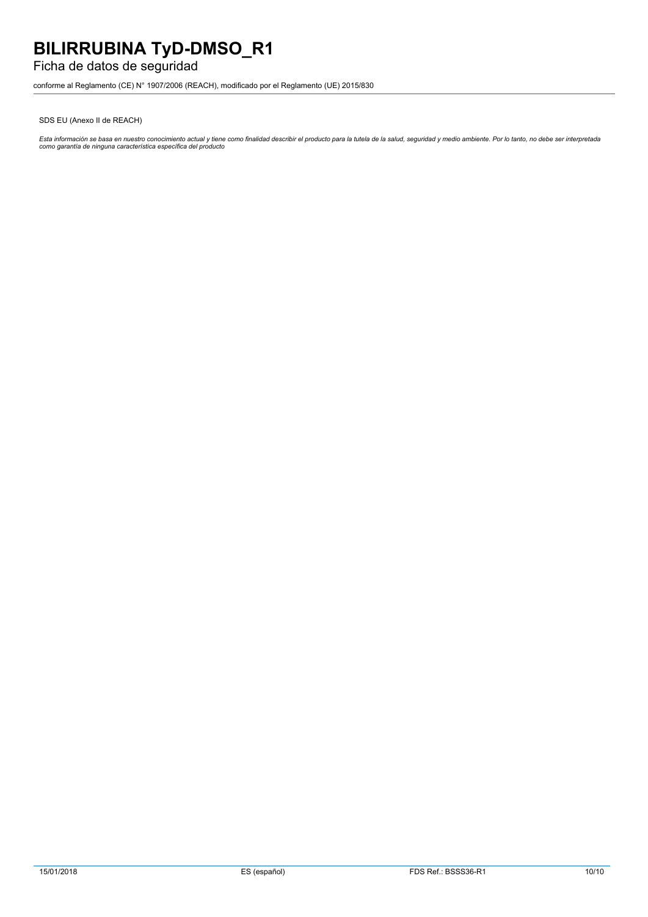### Ficha de datos de seguridad

conforme al Reglamento (CE) N° 1907/2006 (REACH), modificado por el Reglamento (UE) 2015/830

SDS EU (Anexo II de REACH)

Esta información se basa en nuestro conocimiento actual y tiene como finalidad describir el producto para la tutela de la salud, seguridad y medio ambiente. Por lo tanto, no debe ser interpretada<br>como garantía de ninguna c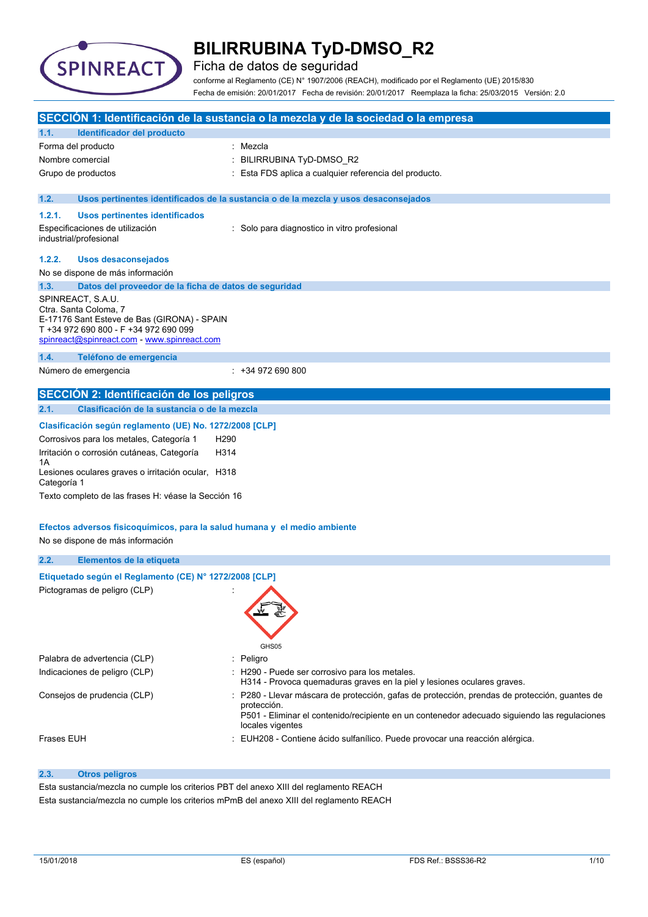

Ficha de datos de seguridad

conforme al Reglamento (CE) N° 1907/2006 (REACH), modificado por el Reglamento (UE) 2015/830 Fecha de emisión: 20/01/2017 Fecha de revisión: 20/01/2017 Reemplaza la ficha: 25/03/2015 Versión: 2.0

|                   |                                                                                      |                  | SECCIÓN 1: Identificación de la sustancia o la mezcla y de la sociedad o la empresa                                                                                                                                            |
|-------------------|--------------------------------------------------------------------------------------|------------------|--------------------------------------------------------------------------------------------------------------------------------------------------------------------------------------------------------------------------------|
| 1.1.              | Identificador del producto                                                           |                  |                                                                                                                                                                                                                                |
|                   | Forma del producto                                                                   |                  | Mezcla                                                                                                                                                                                                                         |
| Nombre comercial  |                                                                                      |                  | BILIRRUBINA TyD-DMSO_R2                                                                                                                                                                                                        |
|                   | Grupo de productos                                                                   |                  | Esta FDS aplica a cualquier referencia del producto.                                                                                                                                                                           |
|                   |                                                                                      |                  |                                                                                                                                                                                                                                |
| 1.2.              |                                                                                      |                  | Usos pertinentes identificados de la sustancia o de la mezcla y usos desaconsejados                                                                                                                                            |
| 1.2.1.            | Usos pertinentes identificados                                                       |                  |                                                                                                                                                                                                                                |
|                   | Especificaciones de utilización<br>industrial/profesional                            |                  | : Solo para diagnostico in vitro profesional                                                                                                                                                                                   |
| 1.2.2.            | <b>Usos desaconsejados</b>                                                           |                  |                                                                                                                                                                                                                                |
|                   | No se dispone de más información                                                     |                  |                                                                                                                                                                                                                                |
| 1.3.              | Datos del proveedor de la ficha de datos de seguridad                                |                  |                                                                                                                                                                                                                                |
|                   | SPINREACT, S.A.U.                                                                    |                  |                                                                                                                                                                                                                                |
|                   | Ctra. Santa Coloma, 7                                                                |                  |                                                                                                                                                                                                                                |
|                   | E-17176 Sant Esteve de Bas (GIRONA) - SPAIN<br>T +34 972 690 800 - F +34 972 690 099 |                  |                                                                                                                                                                                                                                |
|                   | spinreact@spinreact.com - www.spinreact.com                                          |                  |                                                                                                                                                                                                                                |
| 1.4.              | Teléfono de emergencia                                                               |                  |                                                                                                                                                                                                                                |
|                   | Número de emergencia                                                                 |                  | $: +34972690800$                                                                                                                                                                                                               |
|                   |                                                                                      |                  |                                                                                                                                                                                                                                |
|                   | SECCIÓN 2: Identificación de los peligros                                            |                  |                                                                                                                                                                                                                                |
| 2.1.              | Clasificación de la sustancia o de la mezcla                                         |                  |                                                                                                                                                                                                                                |
|                   | Clasificación según reglamento (UE) No. 1272/2008 [CLP]                              |                  |                                                                                                                                                                                                                                |
|                   | Corrosivos para los metales, Categoría 1                                             | H <sub>290</sub> |                                                                                                                                                                                                                                |
|                   | Irritación o corrosión cutáneas, Categoría                                           | H314             |                                                                                                                                                                                                                                |
| 1Α                |                                                                                      |                  |                                                                                                                                                                                                                                |
| Categoría 1       | Lesiones oculares graves o irritación ocular, H318                                   |                  |                                                                                                                                                                                                                                |
|                   | Texto completo de las frases H: véase la Sección 16                                  |                  |                                                                                                                                                                                                                                |
|                   |                                                                                      |                  |                                                                                                                                                                                                                                |
|                   | Efectos adversos fisicoquímicos, para la salud humana y el medio ambiente            |                  |                                                                                                                                                                                                                                |
|                   | No se dispone de más información                                                     |                  |                                                                                                                                                                                                                                |
| 2.2.              | Elementos de la etiqueta                                                             |                  |                                                                                                                                                                                                                                |
|                   |                                                                                      |                  |                                                                                                                                                                                                                                |
|                   | Etiquetado según el Reglamento (CE) Nº 1272/2008 [CLP]                               |                  |                                                                                                                                                                                                                                |
|                   | Pictogramas de peligro (CLP)                                                         |                  |                                                                                                                                                                                                                                |
|                   | Palabra de advertencia (CLP)                                                         | ÷                | GHS05<br>Peligro                                                                                                                                                                                                               |
|                   | Indicaciones de peligro (CLP)                                                        |                  | : H290 - Puede ser corrosivo para los metales.                                                                                                                                                                                 |
|                   |                                                                                      |                  | H314 - Provoca quemaduras graves en la piel y lesiones oculares graves.                                                                                                                                                        |
|                   | Consejos de prudencia (CLP)                                                          |                  | P280 - Llevar máscara de protección, gafas de protección, prendas de protección, guantes de<br>protección.<br>P501 - Eliminar el contenido/recipiente en un contenedor adecuado siguiendo las regulaciones<br>locales vigentes |
| <b>Frases EUH</b> |                                                                                      |                  | EUH208 - Contiene ácido sulfanílico. Puede provocar una reacción alérgica.                                                                                                                                                     |

### **2.3. Otros peligros**

Esta sustancia/mezcla no cumple los criterios PBT del anexo XIII del reglamento REACH Esta sustancia/mezcla no cumple los criterios mPmB del anexo XIII del reglamento REACH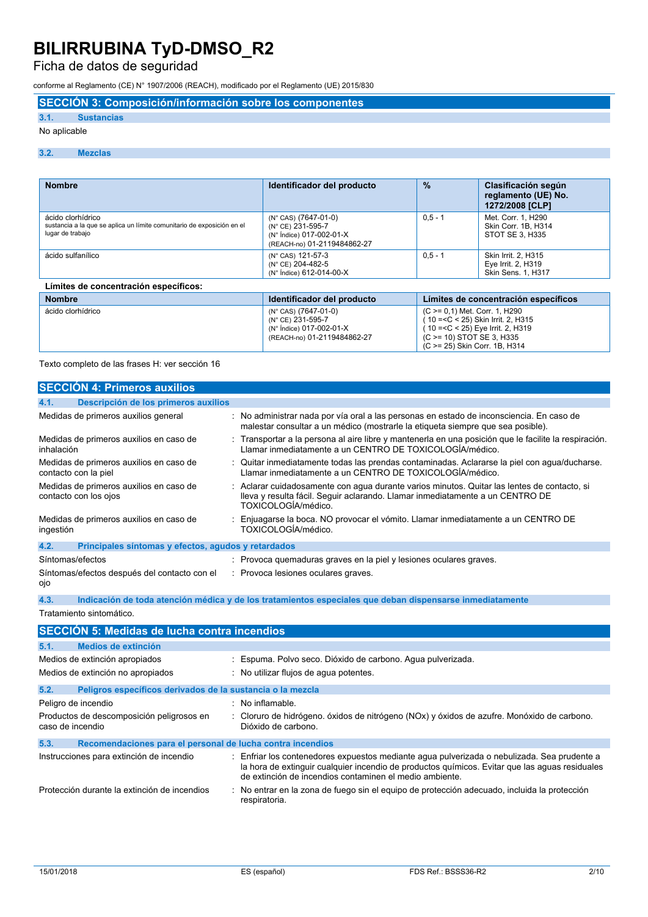Ficha de datos de seguridad

conforme al Reglamento (CE) N° 1907/2006 (REACH), modificado por el Reglamento (UE) 2015/830

**SECCIÓN 3: Composición/información sobre los componentes**

### **3.1. Sustancias**

### No aplicable

#### **3.2. Mezclas**

| <b>Nombre</b>                                                                                                   | Identificador del producto                                                                           | $\frac{9}{6}$ | Clasificación según<br>reglamento (UE) No.<br>1272/2008 [CLP]                                                                           |
|-----------------------------------------------------------------------------------------------------------------|------------------------------------------------------------------------------------------------------|---------------|-----------------------------------------------------------------------------------------------------------------------------------------|
| ácido clorhídrico<br>sustancia a la que se aplica un límite comunitario de exposición en el<br>lugar de trabajo | (N° CAS) (7647-01-0)<br>(N° CE) 231-595-7<br>(N° Índice) 017-002-01-X<br>(REACH-no) 01-2119484862-27 | $0.5 - 1$     | Met. Corr. 1. H290<br>Skin Corr. 1B. H314<br>STOT SE 3. H335                                                                            |
| ácido sulfanílico                                                                                               | (N° CAS) 121-57-3<br>(N° CE) 204-482-5<br>(N° Índice) 612-014-00-X                                   | $0.5 - 1$     | Skin Irrit. 2. H315<br>Eye Irrit. 2, H319<br>Skin Sens. 1, H317                                                                         |
| Límites de concentración específicos:                                                                           |                                                                                                      |               |                                                                                                                                         |
| <b>Nombre</b>                                                                                                   | Identificador del producto                                                                           |               | Límites de concentración específicos                                                                                                    |
| ácido clorhídrico                                                                                               | (N° CAS) (7647-01-0)<br>(N° CE) 231-595-7<br>(N° Índice) 017-002-01-X<br>(REACH-no) 01-2119484862-27 |               | (C >= 0,1) Met. Corr. 1, H290<br>10 = < C < 25) Skin Irrit. 2. H315<br>$10 = C < 25$ ) Eye Irrit. 2, H319<br>(C > = 10) STOT SE 3, H335 |

Texto completo de las frases H: ver sección 16

| <b>SECCIÓN 4: Primeros auxilios</b>                              |                                                                                                                                                                                                   |
|------------------------------------------------------------------|---------------------------------------------------------------------------------------------------------------------------------------------------------------------------------------------------|
| Descripción de los primeros auxilios<br>4.1.                     |                                                                                                                                                                                                   |
| Medidas de primeros auxilios general                             | No administrar nada por vía oral a las personas en estado de inconsciencia. En caso de<br>malestar consultar a un médico (mostrarle la etiqueta siempre que sea posible).                         |
| Medidas de primeros auxilios en caso de<br>inhalación            | Transportar a la persona al aire libre y mantenerla en una posición que le facilite la respiración.<br>Llamar inmediatamente a un CENTRO DE TOXICOLOGÍA/médico.                                   |
| Medidas de primeros auxilios en caso de<br>contacto con la piel  | Quitar inmediatamente todas las prendas contaminadas. Aclararse la piel con agua/ducharse.<br>Llamar inmediatamente a un CENTRO DE TOXICOLOGÍA/médico.                                            |
| Medidas de primeros auxilios en caso de<br>contacto con los ojos | Aclarar cuidadosamente con agua durante varios minutos. Quitar las lentes de contacto, si<br>lleva y resulta fácil. Seguir aclarando. Llamar inmediatamente a un CENTRO DE<br>TOXICOLOGÍA/médico. |
| Medidas de primeros auxilios en caso de<br>ingestión             | Enjuagarse la boca. NO provocar el vómito. Llamar inmediatamente a un CENTRO DE<br>TOXICOLOGÍA/médico.                                                                                            |
| 4.2.<br>Principales síntomas y efectos, agudos y retardados      |                                                                                                                                                                                                   |
| Síntomas/efectos                                                 | : Provoca quemaduras graves en la piel y lesiones oculares graves.                                                                                                                                |
| Síntomas/efectos después del contacto con el<br>ojo              | : Provoca lesiones oculares graves.                                                                                                                                                               |
| 4.3.                                                             | Indicación de toda atención médica y de los tratamientos especiales que deban dispensarse inmediatamente                                                                                          |
| Tratamiento sintomático.                                         |                                                                                                                                                                                                   |
| <b>SECCIÓN 5: Medidas de lucha contra incendios</b>              |                                                                                                                                                                                                   |
| 5.1.<br>Medios de extinción                                      |                                                                                                                                                                                                   |
| Medios de extinción apropiados                                   | Espuma. Polvo seco. Dióxido de carbono. Agua pulverizada.                                                                                                                                         |
| Medios de extinción no apropiados                                | No utilizar flujos de agua potentes.                                                                                                                                                              |

| 5.2.                                                          | Peligros específicos derivados de la sustancia o la mezcla |  |                                                                                                                                                                                                                                                        |
|---------------------------------------------------------------|------------------------------------------------------------|--|--------------------------------------------------------------------------------------------------------------------------------------------------------------------------------------------------------------------------------------------------------|
|                                                               | Peligro de incendio                                        |  | No inflamable.                                                                                                                                                                                                                                         |
| Productos de descomposición peligrosos en<br>caso de incendio |                                                            |  | : Cloruro de hidrógeno, óxidos de nitrógeno (NOx) y óxidos de azufre. Monóxido de carbono,<br>Dióxido de carbono.                                                                                                                                      |
| 5.3.                                                          | Recomendaciones para el personal de lucha contra incendios |  |                                                                                                                                                                                                                                                        |
|                                                               | Instrucciones para extinción de incendio                   |  | Enfriar los contenedores expuestos mediante agua pulverizada o nebulizada. Sea prudente a<br>la hora de extinguir cualquier incendio de productos químicos. Evitar que las aguas residuales<br>de extinción de incendios contaminen el medio ambiente. |
|                                                               | Protección durante la extinción de incendios               |  | : No entrar en la zona de fuego sin el equipo de protección adecuado, incluida la protección<br>respiratoria.                                                                                                                                          |

(C >= 25) Skin Corr. 1B, H314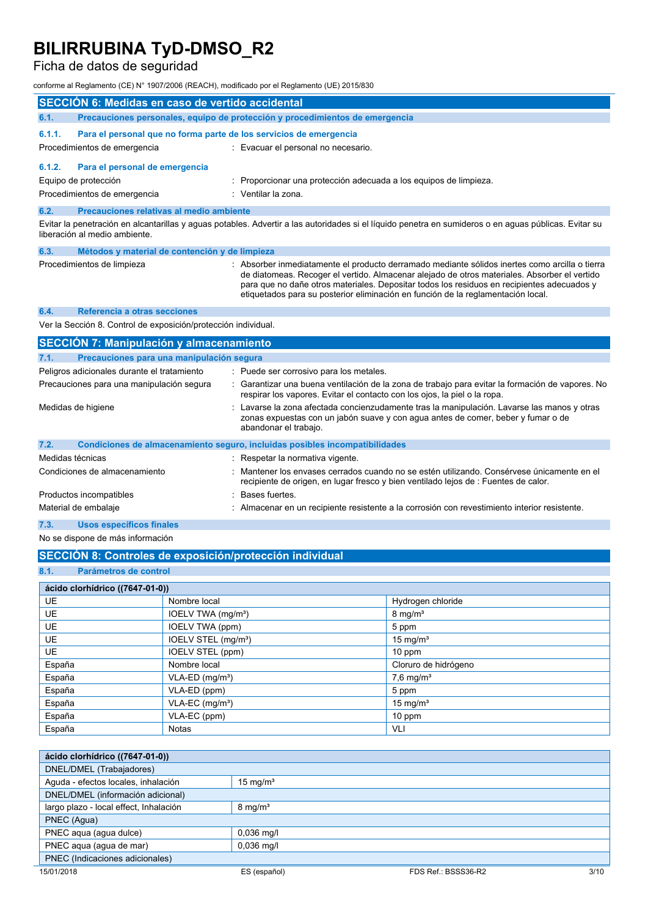### Ficha de datos de seguridad

conforme al Reglamento (CE) N° 1907/2006 (REACH), modificado por el Reglamento (UE) 2015/830

|                  | conforme al Reglamento (CE) N° 1907/2006 (REACH), modificado por el Reglamento (UE) 2015/830 |                                                                                                                                                                                                                                                                                                                                                                                  |
|------------------|----------------------------------------------------------------------------------------------|----------------------------------------------------------------------------------------------------------------------------------------------------------------------------------------------------------------------------------------------------------------------------------------------------------------------------------------------------------------------------------|
|                  | <b>SECCIÓN 6: Medidas en caso de vertido accidental</b>                                      |                                                                                                                                                                                                                                                                                                                                                                                  |
| 6.1.             |                                                                                              | Precauciones personales, equipo de protección y procedimientos de emergencia                                                                                                                                                                                                                                                                                                     |
| 6.1.1.           | Para el personal que no forma parte de los servicios de emergencia                           |                                                                                                                                                                                                                                                                                                                                                                                  |
|                  | Procedimientos de emergencia                                                                 | : Evacuar el personal no necesario.                                                                                                                                                                                                                                                                                                                                              |
| 6.1.2.           | Para el personal de emergencia                                                               |                                                                                                                                                                                                                                                                                                                                                                                  |
|                  | Equipo de protección                                                                         | Proporcionar una protección adecuada a los equipos de limpieza.                                                                                                                                                                                                                                                                                                                  |
|                  | Procedimientos de emergencia                                                                 | Ventilar la zona.                                                                                                                                                                                                                                                                                                                                                                |
| 6.2.             | Precauciones relativas al medio ambiente                                                     |                                                                                                                                                                                                                                                                                                                                                                                  |
|                  | liberación al medio ambiente.                                                                | Evitar la penetración en alcantarillas y aguas potables. Advertir a las autoridades si el líquido penetra en sumideros o en aguas públicas. Evitar su                                                                                                                                                                                                                            |
| 6.3.             | Métodos y material de contención y de limpieza                                               |                                                                                                                                                                                                                                                                                                                                                                                  |
|                  | Procedimientos de limpieza                                                                   | : Absorber inmediatamente el producto derramado mediante sólidos inertes como arcilla o tierra<br>de diatomeas. Recoger el vertido. Almacenar alejado de otros materiales. Absorber el vertido<br>para que no dañe otros materiales. Depositar todos los residuos en recipientes adecuados y<br>etiquetados para su posterior eliminación en función de la reglamentación local. |
| 6.4.             | Referencia a otras secciones                                                                 |                                                                                                                                                                                                                                                                                                                                                                                  |
|                  | Ver la Sección 8. Control de exposición/protección individual.                               |                                                                                                                                                                                                                                                                                                                                                                                  |
|                  | <b>SECCIÓN 7: Manipulación y almacenamiento</b>                                              |                                                                                                                                                                                                                                                                                                                                                                                  |
| 7.1.             | Precauciones para una manipulación segura                                                    |                                                                                                                                                                                                                                                                                                                                                                                  |
|                  | Peligros adicionales durante el tratamiento                                                  | : Puede ser corrosivo para los metales.                                                                                                                                                                                                                                                                                                                                          |
|                  | Precauciones para una manipulación segura                                                    | Garantizar una buena ventilación de la zona de trabajo para evitar la formación de vapores. No<br>respirar los vapores. Evitar el contacto con los ojos, la piel o la ropa.                                                                                                                                                                                                      |
|                  | Medidas de higiene                                                                           | Lavarse la zona afectada concienzudamente tras la manipulación. Lavarse las manos y otras<br>zonas expuestas con un jabón suave y con agua antes de comer, beber y fumar o de<br>abandonar el trabajo.                                                                                                                                                                           |
| 7.2.             |                                                                                              | Condiciones de almacenamiento seguro, incluidas posibles incompatibilidades                                                                                                                                                                                                                                                                                                      |
| Medidas técnicas |                                                                                              | Respetar la normativa vigente.                                                                                                                                                                                                                                                                                                                                                   |
|                  | Condiciones de almacenamiento                                                                | Mantener los envases cerrados cuando no se estén utilizando. Consérvese únicamente en el<br>recipiente de origen, en lugar fresco y bien ventilado lejos de : Fuentes de calor.                                                                                                                                                                                                  |
|                  | Productos incompatibles                                                                      | Bases fuertes.                                                                                                                                                                                                                                                                                                                                                                   |
|                  | Material de embalaje                                                                         | Almacenar en un recipiente resistente a la corrosión con revestimiento interior resistente.                                                                                                                                                                                                                                                                                      |

### **7.3. Usos específicos finales**

No se dispone de más información

### **SECCIÓN 8: Controles de exposición/protección individual**

**8.1. Parámetros de control**

| ácido clorhídrico ((7647-01-0)) |                                 |                         |  |  |  |  |  |
|---------------------------------|---------------------------------|-------------------------|--|--|--|--|--|
| <b>UE</b>                       | Nombre local                    | Hydrogen chloride       |  |  |  |  |  |
| <b>UE</b>                       | IOELV TWA (mg/m <sup>3</sup> )  | $8 \text{ mg/m}^3$      |  |  |  |  |  |
| UE                              | IOELV TWA (ppm)                 | 5 ppm                   |  |  |  |  |  |
| <b>UE</b>                       | IOELV STEL (mg/m <sup>3</sup> ) | 15 mg/ $m3$             |  |  |  |  |  |
| <b>UE</b>                       | IOELV STEL (ppm)                | $10$ ppm                |  |  |  |  |  |
| España                          | Nombre local                    | Cloruro de hidrógeno    |  |  |  |  |  |
| España                          | $VLA-ED$ (mg/m <sup>3</sup> )   | $7,6$ mg/m <sup>3</sup> |  |  |  |  |  |
| España                          | VLA-ED (ppm)                    | 5 ppm                   |  |  |  |  |  |
| España                          | $VLA-EC$ (mg/m <sup>3</sup> )   | 15 mg/ $m3$             |  |  |  |  |  |
| España                          | VLA-EC (ppm)                    | 10 ppm                  |  |  |  |  |  |
| España                          | <b>Notas</b>                    | VLI                     |  |  |  |  |  |

| ácido clorhídrico ((7647-01-0))        |                    |                     |      |
|----------------------------------------|--------------------|---------------------|------|
| DNEL/DMEL (Trabajadores)               |                    |                     |      |
| Aguda - efectos locales, inhalación    | 15 mg/ $m3$        |                     |      |
| DNEL/DMEL (información adicional)      |                    |                     |      |
| largo plazo - local effect, Inhalación | $8 \text{ mg/m}^3$ |                     |      |
| PNEC (Agua)                            |                    |                     |      |
| PNEC aqua (agua dulce)                 | $0,036$ mg/l       |                     |      |
| PNEC agua (agua de mar)                | $0,036$ mg/l       |                     |      |
| PNEC (Indicaciones adicionales)        |                    |                     |      |
| 15/01/2018                             | ES (español)       | FDS Ref.: BSSS36-R2 | 3/10 |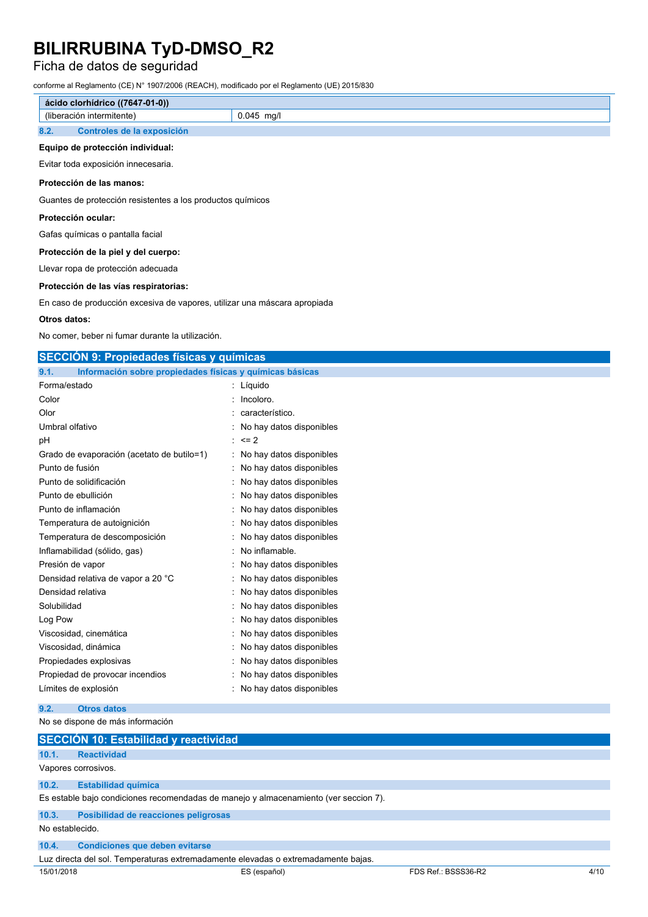### Ficha de datos de seguridad

conforme al Reglamento (CE) N° 1907/2006 (REACH), modificado por el Reglamento (UE) 2015/830

| ácido clorhídrico ((7647-01-0)) |                            |              |
|---------------------------------|----------------------------|--------------|
|                                 | (liberación intermitente)  | $0.045$ mg/l |
| 8.2.                            | Controles de la exposición |              |

### **Equipo de protección individual:**

Evitar toda exposición innecesaria.

#### **Protección de las manos:**

Guantes de protección resistentes a los productos químicos

#### **Protección ocular:**

Gafas químicas o pantalla facial

#### **Protección de la piel y del cuerpo:**

Llevar ropa de protección adecuada

#### **Protección de las vías respiratorias:**

En caso de producción excesiva de vapores, utilizar una máscara apropiada

#### **Otros datos:**

No comer, beber ni fumar durante la utilización.

| <b>SECCIÓN 9: Propiedades físicas y químicas</b>                                     |  |                                             |  |  |
|--------------------------------------------------------------------------------------|--|---------------------------------------------|--|--|
| Información sobre propiedades físicas y químicas básicas<br>9.1.                     |  |                                             |  |  |
| Forma/estado                                                                         |  | : Líquido                                   |  |  |
| Color                                                                                |  | Incoloro.                                   |  |  |
| Olor                                                                                 |  | característico.                             |  |  |
| Umbral olfativo                                                                      |  | No hay datos disponibles                    |  |  |
| рH                                                                                   |  | $= 2$                                       |  |  |
| Grado de evaporación (acetato de butilo=1)                                           |  | : No hay datos disponibles                  |  |  |
| Punto de fusión                                                                      |  | : No hay datos disponibles                  |  |  |
| Punto de solidificación                                                              |  | No hay datos disponibles                    |  |  |
| Punto de ebullición                                                                  |  | No hay datos disponibles                    |  |  |
| Punto de inflamación                                                                 |  | No hay datos disponibles                    |  |  |
| Temperatura de autoignición                                                          |  | No hay datos disponibles                    |  |  |
| Temperatura de descomposición                                                        |  | No hay datos disponibles                    |  |  |
| Inflamabilidad (sólido, gas)                                                         |  | No inflamable.                              |  |  |
| Presión de vapor                                                                     |  | No hay datos disponibles                    |  |  |
| Densidad relativa de vapor a 20 °C                                                   |  | No hay datos disponibles                    |  |  |
| Densidad relativa                                                                    |  | No hay datos disponibles                    |  |  |
| Solubilidad                                                                          |  | No hay datos disponibles                    |  |  |
| Log Pow                                                                              |  | No hay datos disponibles                    |  |  |
| Viscosidad, cinemática                                                               |  | No hay datos disponibles                    |  |  |
| Viscosidad, dinámica                                                                 |  | No hay datos disponibles                    |  |  |
| Propiedades explosivas                                                               |  | No hay datos disponibles                    |  |  |
| Propiedad de provocar incendios                                                      |  | No hay datos disponibles                    |  |  |
| Límites de explosión                                                                 |  | No hay datos disponibles                    |  |  |
| 9.2.<br><b>Otros datos</b>                                                           |  |                                             |  |  |
| No se dispone de más información                                                     |  |                                             |  |  |
| <b>SECCION 10: Estabilidad y reactividad</b>                                         |  |                                             |  |  |
| 10.1.<br><b>Reactividad</b>                                                          |  |                                             |  |  |
| Vapores corrosivos.                                                                  |  |                                             |  |  |
| 10.2.<br><b>Estabilidad química</b>                                                  |  |                                             |  |  |
| Es estable bajo condiciones recomendadas de manejo y almacenamiento (ver seccion 7). |  |                                             |  |  |
| 10.3.<br>Posibilidad de reacciones peligrosas                                        |  |                                             |  |  |
| No establecido.                                                                      |  |                                             |  |  |
| 10.4.<br><b>Condiciones que deben evitarse</b>                                       |  |                                             |  |  |
| Luz directa del sol. Temperaturas extremadamente elevadas o extremadamente bajas.    |  |                                             |  |  |
| 15/01/2018                                                                           |  | FDS Ref.: BSSS36-R2<br>ES (español)<br>4/10 |  |  |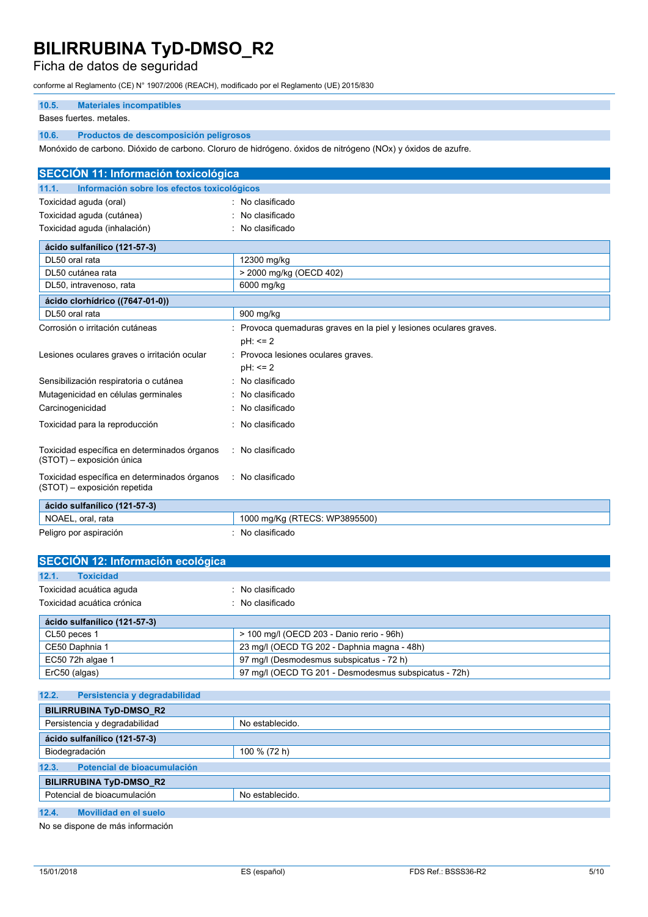### Ficha de datos de seguridad

conforme al Reglamento (CE) N° 1907/2006 (REACH), modificado por el Reglamento (UE) 2015/830

### **10.5. Materiales incompatibles**

#### Bases fuertes. metales.

### **10.6. Productos de descomposición peligrosos**

Monóxido de carbono. Dióxido de carbono. Cloruro de hidrógeno. óxidos de nitrógeno (NOx) y óxidos de azufre.

| <b>SECCIÓN 11: Información toxicológica</b>                                  |                                                                              |  |  |
|------------------------------------------------------------------------------|------------------------------------------------------------------------------|--|--|
| Información sobre los efectos toxicológicos<br>11.1.                         |                                                                              |  |  |
| Toxicidad aguda (oral)                                                       | : No clasificado                                                             |  |  |
| Toxicidad aguda (cutánea)                                                    | No clasificado                                                               |  |  |
| Toxicidad aguda (inhalación)                                                 | : No clasificado                                                             |  |  |
| ácido sulfanílico (121-57-3)                                                 |                                                                              |  |  |
| DL50 oral rata                                                               | 12300 mg/kg                                                                  |  |  |
| DL50 cutánea rata                                                            | > 2000 mg/kg (OECD 402)                                                      |  |  |
| DL50, intravenoso, rata                                                      | 6000 mg/kg                                                                   |  |  |
| ácido clorhídrico ((7647-01-0))                                              |                                                                              |  |  |
| DL50 oral rata                                                               | 900 mg/kg                                                                    |  |  |
| Corrosión o irritación cutáneas                                              | Provoca quemaduras graves en la piel y lesiones oculares graves.<br>pH: <= 2 |  |  |
| Lesiones oculares graves o irritación ocular                                 | Provoca lesiones oculares graves.<br>pH: <= 2                                |  |  |
| Sensibilización respiratoria o cutánea                                       | No clasificado                                                               |  |  |
| Mutagenicidad en células germinales                                          | No clasificado                                                               |  |  |
| Carcinogenicidad                                                             | No clasificado                                                               |  |  |
| Toxicidad para la reproducción                                               | No clasificado                                                               |  |  |
| Toxicidad específica en determinados órganos<br>(STOT) - exposición única    | : No clasificado                                                             |  |  |
| Toxicidad específica en determinados órganos<br>(STOT) - exposición repetida | : No clasificado                                                             |  |  |
| ácido sulfanílico (121-57-3)                                                 |                                                                              |  |  |
| NOAEL, oral, rata                                                            | 1000 mg/Kg (RTECS: WP3895500)                                                |  |  |
| Peligro por aspiración                                                       | : No clasificado                                                             |  |  |
| SECCIÓN 12: Información ecológica                                            |                                                                              |  |  |
| <b>Toxicidad</b><br>12.1.                                                    |                                                                              |  |  |
| Toxicidad acuática aguda                                                     | No clasificado                                                               |  |  |
| Toxicidad acuática crónica                                                   | No clasificado                                                               |  |  |
| ácido sulfanílico (121-57-3)                                                 |                                                                              |  |  |
| CL50 peces 1                                                                 | > 100 mg/l (OECD 203 - Danio rerio - 96h)                                    |  |  |
| CE50 Daphnia 1                                                               | 23 mg/l (OECD TG 202 - Daphnia magna - 48h)                                  |  |  |
| EC50 72h algae 1                                                             | 97 mg/l (Desmodesmus subspicatus - 72 h)                                     |  |  |
| ErC50 (algas)                                                                | 97 mg/l (OECD TG 201 - Desmodesmus subspicatus - 72h)                        |  |  |
| 12.2.<br>Persistencia y degradabilidad                                       |                                                                              |  |  |
| <b>BILIRRUBINA TyD-DMSO_R2</b>                                               |                                                                              |  |  |
| Persistencia y degradabilidad                                                | No establecido.                                                              |  |  |
| ácido sulfanílico (121-57-3)                                                 |                                                                              |  |  |
| Biodegradación                                                               | 100 % (72 h)                                                                 |  |  |
| Potencial de bioacumulación<br>12.3.                                         |                                                                              |  |  |
| <b>BILIRRUBINA TyD-DMSO_R2</b>                                               |                                                                              |  |  |
| Potencial de bioacumulación                                                  | No establecido.                                                              |  |  |
| 12.4.<br>Movilidad en el suelo                                               |                                                                              |  |  |

No se dispone de más información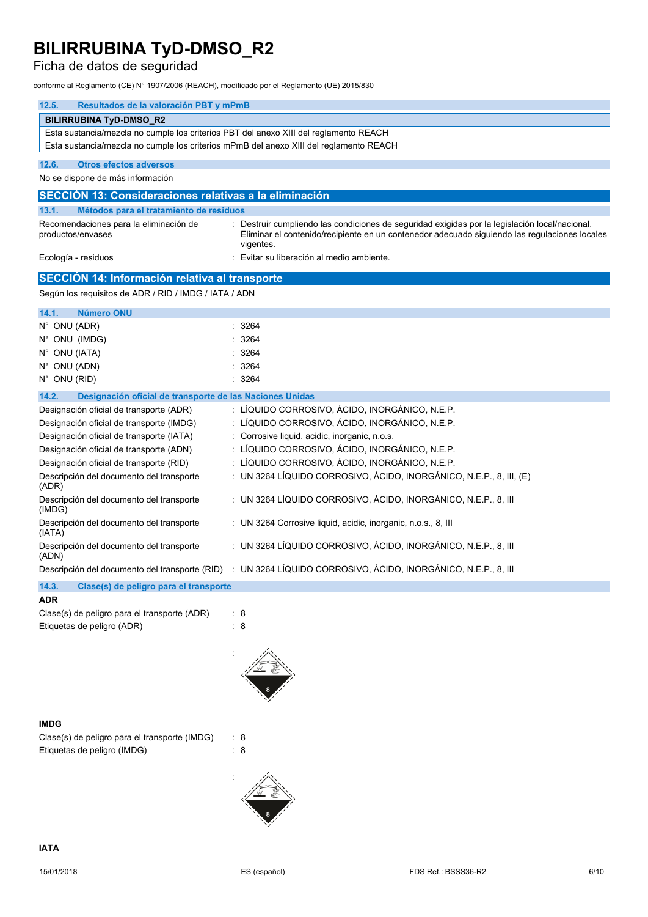### Ficha de datos de seguridad

conforme al Reglamento (CE) N° 1907/2006 (REACH), modificado por el Reglamento (UE) 2015/830

| 12.5.<br>Resultados de la valoración PBT y mPmB                                        |                                                                                                                                                                                                            |  |  |  |
|----------------------------------------------------------------------------------------|------------------------------------------------------------------------------------------------------------------------------------------------------------------------------------------------------------|--|--|--|
| <b>BILIRRUBINA TyD-DMSO_R2</b>                                                         |                                                                                                                                                                                                            |  |  |  |
| Esta sustancia/mezcla no cumple los criterios PBT del anexo XIII del reglamento REACH  |                                                                                                                                                                                                            |  |  |  |
| Esta sustancia/mezcla no cumple los criterios mPmB del anexo XIII del reglamento REACH |                                                                                                                                                                                                            |  |  |  |
| 12.6.<br><b>Otros efectos adversos</b>                                                 |                                                                                                                                                                                                            |  |  |  |
| No se dispone de más información                                                       |                                                                                                                                                                                                            |  |  |  |
| SECCIÓN 13: Consideraciones relativas a la eliminación                                 |                                                                                                                                                                                                            |  |  |  |
| 13.1.<br>Métodos para el tratamiento de residuos                                       |                                                                                                                                                                                                            |  |  |  |
| Recomendaciones para la eliminación de<br>productos/envases                            | Destruir cumpliendo las condiciones de seguridad exigidas por la legislación local/nacional.<br>Eliminar el contenido/recipiente en un contenedor adecuado siguiendo las regulaciones locales<br>vigentes. |  |  |  |
| Ecología - residuos                                                                    | Evitar su liberación al medio ambiente.                                                                                                                                                                    |  |  |  |
| SECCIÓN 14: Información relativa al transporte                                         |                                                                                                                                                                                                            |  |  |  |
| Según los requisitos de ADR / RID / IMDG / IATA / ADN                                  |                                                                                                                                                                                                            |  |  |  |
| 14.1.<br><b>Número ONU</b>                                                             |                                                                                                                                                                                                            |  |  |  |
| N° ONU (ADR)                                                                           | 3264                                                                                                                                                                                                       |  |  |  |
| N° ONU (IMDG)                                                                          | 3264                                                                                                                                                                                                       |  |  |  |
| N° ONU (IATA)                                                                          | 3264                                                                                                                                                                                                       |  |  |  |
| N° ONU (ADN)                                                                           | 3264                                                                                                                                                                                                       |  |  |  |
| N° ONU (RID)                                                                           | : 3264                                                                                                                                                                                                     |  |  |  |
| 14.2.<br>Designación oficial de transporte de las Naciones Unidas                      |                                                                                                                                                                                                            |  |  |  |
| Designación oficial de transporte (ADR)                                                | : LÍQUIDO CORROSIVO, ÁCIDO, INORGÁNICO, N.E.P.                                                                                                                                                             |  |  |  |
| Designación oficial de transporte (IMDG)                                               | : LÍQUIDO CORROSIVO, ÁCIDO, INORGÁNICO, N.E.P.                                                                                                                                                             |  |  |  |
| Designación oficial de transporte (IATA)                                               | : Corrosive liquid, acidic, inorganic, n.o.s.                                                                                                                                                              |  |  |  |
| Designación oficial de transporte (ADN)                                                | LÍQUIDO CORROSIVO, ÁCIDO, INORGÁNICO, N.E.P.                                                                                                                                                               |  |  |  |
| Designación oficial de transporte (RID)                                                | : LÍQUIDO CORROSIVO, ÁCIDO, INORGÁNICO, N.E.P.                                                                                                                                                             |  |  |  |
| Descripción del documento del transporte<br>(ADR)                                      | : UN 3264 LÍQUIDO CORROSIVO, ÁCIDO, INORGÁNICO, N.E.P., 8, III, (E)                                                                                                                                        |  |  |  |
| Descripción del documento del transporte<br>(IMDG)                                     | : UN 3264 LÍQUIDO CORROSIVO, ÁCIDO, INORGÁNICO, N.E.P., 8, III                                                                                                                                             |  |  |  |
| Descripción del documento del transporte<br>(IATA)                                     | : UN 3264 Corrosive liquid, acidic, inorganic, n.o.s., 8, III                                                                                                                                              |  |  |  |
| Descripción del documento del transporte<br>(ADN)                                      | : UN 3264 LÍQUIDO CORROSIVO, ÁCIDO, INORGÁNICO, N.E.P., 8, III                                                                                                                                             |  |  |  |
|                                                                                        | Descripción del documento del transporte (RID) : UN 3264 LÍQUIDO CORROSIVO, ÁCIDO, INORGÁNICO, N.E.P., 8, III                                                                                              |  |  |  |
| 14.3.<br>Clase(s) de peligro para el transporte                                        |                                                                                                                                                                                                            |  |  |  |
| <b>ADR</b>                                                                             |                                                                                                                                                                                                            |  |  |  |
| Clase(s) de peligro para el transporte (ADR)                                           | - 8                                                                                                                                                                                                        |  |  |  |

| Clase(s) de peligro para el transporte (ADR) | : 8 |
|----------------------------------------------|-----|
| Etiquetas de peligro (ADR)                   | : 8 |

### **IMDG**

| Clase(s) de peligro para el transporte (IMDG) | : 8 |
|-----------------------------------------------|-----|
| Etiquetas de peligro (IMDG)                   | : 8 |



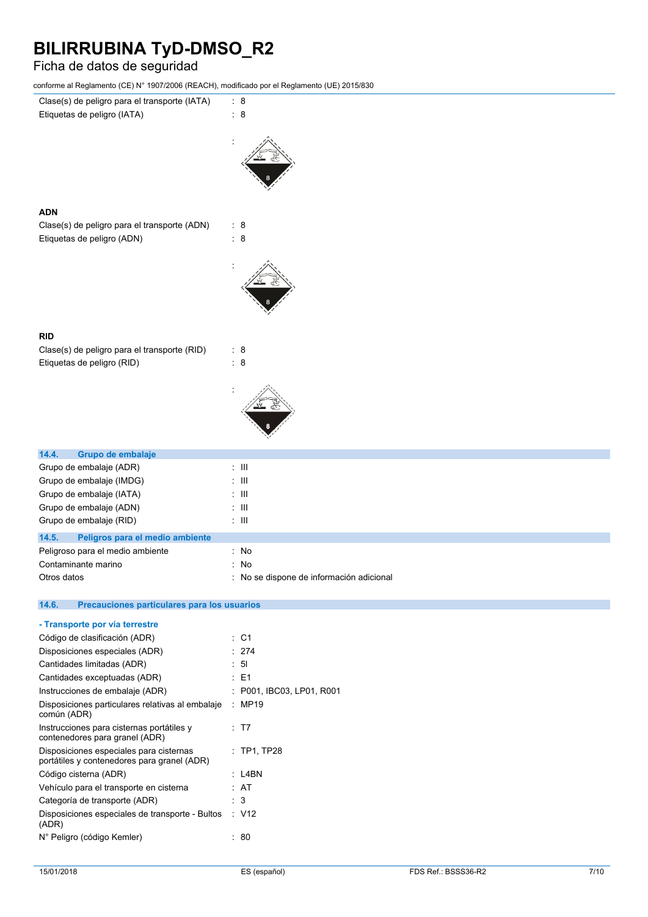### Ficha de datos de seguridad

**ADN**

**RID**

conforme al Reglamento (CE) N° 1907/2006 (REACH), modificado por el Reglamento (UE) 2015/830



| Grupo de embalaje (RID)                  | ÷ III.                                   |
|------------------------------------------|------------------------------------------|
| 14.5.<br>Peligros para el medio ambiente |                                          |
| Peligroso para el medio ambiente         | : No                                     |
| Contaminante marino                      | : No                                     |
| Otros datos                              | : No se dispone de información adicional |

| - Transporte por vía terrestre                                                         |                         |
|----------------------------------------------------------------------------------------|-------------------------|
| Código de clasificación (ADR)                                                          | : C1                    |
| Disposiciones especiales (ADR)                                                         | : 274                   |
| Cantidades limitadas (ADR)                                                             | : 51                    |
| Cantidades exceptuadas (ADR)                                                           | : E1                    |
| Instrucciones de embalaje (ADR)                                                        | P001, IBC03, LP01, R001 |
| Disposiciones particulares relativas al embalaje<br>común (ADR)                        | : MP19                  |
| Instrucciones para cisternas portátiles y<br>contenedores para granel (ADR)            | : T7                    |
| Disposiciones especiales para cisternas<br>portátiles y contenedores para granel (ADR) | $:$ TP1, TP28           |
| Código cisterna (ADR)                                                                  | : L4BN                  |
| Vehículo para el transporte en cisterna                                                | : AT                    |
| Categoría de transporte (ADR)                                                          | : 3                     |
| Disposiciones especiales de transporte - Bultos<br>(ADR)                               | : V12                   |
| N° Peligro (código Kemler)                                                             | 80                      |
|                                                                                        |                         |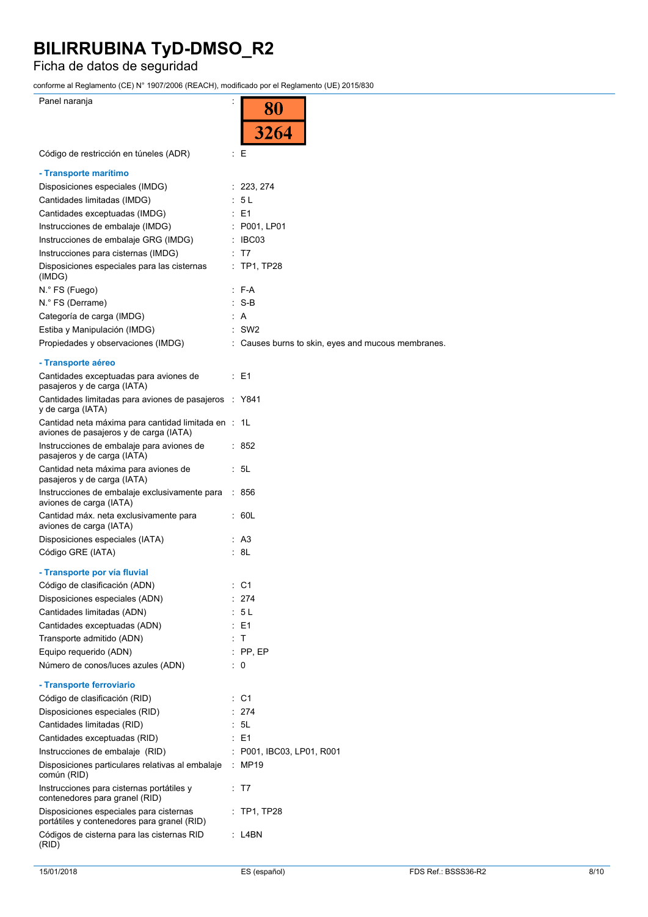### Ficha de datos de seguridad

conforme al Reglamento (CE) N° 1907/2006 (REACH), modificado por el Reglamento (UE) 2015/830

| comonic arregiamento (OE) Nº Toonzooo (NEAOH), modificado por en Regiamento (OE) zo ioroco    |    |                                                    |
|-----------------------------------------------------------------------------------------------|----|----------------------------------------------------|
| Panel naranja                                                                                 |    | 80                                                 |
|                                                                                               |    | 3264                                               |
| Código de restricción en túneles (ADR)                                                        |    | Ε                                                  |
| - Transporte marítimo                                                                         |    |                                                    |
| Disposiciones especiales (IMDG)                                                               |    | : 223, 274                                         |
| Cantidades limitadas (IMDG)                                                                   |    | 5 L                                                |
| Cantidades exceptuadas (IMDG)                                                                 |    | : E1                                               |
| Instrucciones de embalaje (IMDG)                                                              |    | : P001, LP01                                       |
| Instrucciones de embalaje GRG (IMDG)                                                          |    | $\therefore$ IBC03                                 |
| Instrucciones para cisternas (IMDG)                                                           |    | - T7                                               |
| Disposiciones especiales para las cisternas<br>(IMDG)                                         |    | $:$ TP1, TP28                                      |
| N.º FS (Fuego)                                                                                |    | $:$ F-A                                            |
| N.° FS (Derrame)                                                                              |    | -S-B                                               |
| Categoría de carga (IMDG)                                                                     |    | A                                                  |
| Estiba y Manipulación (IMDG)                                                                  |    | SW <sub>2</sub>                                    |
| Propiedades y observaciones (IMDG)                                                            |    | : Causes burns to skin, eyes and mucous membranes. |
| - Transporte aéreo                                                                            |    |                                                    |
| Cantidades exceptuadas para aviones de<br>pasajeros y de carga (IATA)                         |    | : E1                                               |
| Cantidades limitadas para aviones de pasajeros<br>y de carga (IATA)                           |    | : Y841                                             |
| Cantidad neta máxima para cantidad limitada en : 1L<br>aviones de pasajeros y de carga (IATA) |    |                                                    |
| Instrucciones de embalaje para aviones de<br>pasajeros y de carga (IATA)                      |    | : 852                                              |
| Cantidad neta máxima para aviones de<br>pasajeros y de carga (IATA)                           |    | : 5L                                               |
| Instrucciones de embalaje exclusivamente para<br>aviones de carga (IATA)                      |    | : 856                                              |
| Cantidad máx. neta exclusivamente para<br>aviones de carga (IATA)                             |    | : 60L                                              |
| Disposiciones especiales (IATA)                                                               |    | : A3                                               |
| Código GRE (IATA)                                                                             |    | : 8L                                               |
| - Transporte por vía fluvial                                                                  |    |                                                    |
| Código de clasificación (ADN)                                                                 |    | : C1                                               |
| Disposiciones especiales (ADN)                                                                |    | 274                                                |
| Cantidades limitadas (ADN)                                                                    |    | 5 L                                                |
| Cantidades exceptuadas (ADN)                                                                  |    | : E1                                               |
| Transporte admitido (ADN)                                                                     |    | $\top$                                             |
| Equipo requerido (ADN)                                                                        |    | $:$ PP, EP                                         |
| Número de conos/luces azules (ADN)                                                            |    | : 0                                                |
| - Transporte ferroviario                                                                      |    |                                                    |
| Código de clasificación (RID)                                                                 | t. | C <sub>1</sub>                                     |
| Disposiciones especiales (RID)                                                                |    | 274                                                |
| Cantidades limitadas (RID)                                                                    |    | 5L                                                 |
| Cantidades exceptuadas (RID)                                                                  | ÷. | E <sub>1</sub>                                     |
| Instrucciones de embalaje (RID)                                                               |    | P001, IBC03, LP01, R001                            |
| Disposiciones particulares relativas al embalaje<br>común (RID)                               |    | MP19                                               |
| Instrucciones para cisternas portátiles y<br>contenedores para granel (RID)                   |    | : T7                                               |
| Disposiciones especiales para cisternas<br>portátiles y contenedores para granel (RID)        |    | $:$ TP1, TP28                                      |
| Códigos de cisterna para las cisternas RID<br>(RID)                                           |    | : L4BN                                             |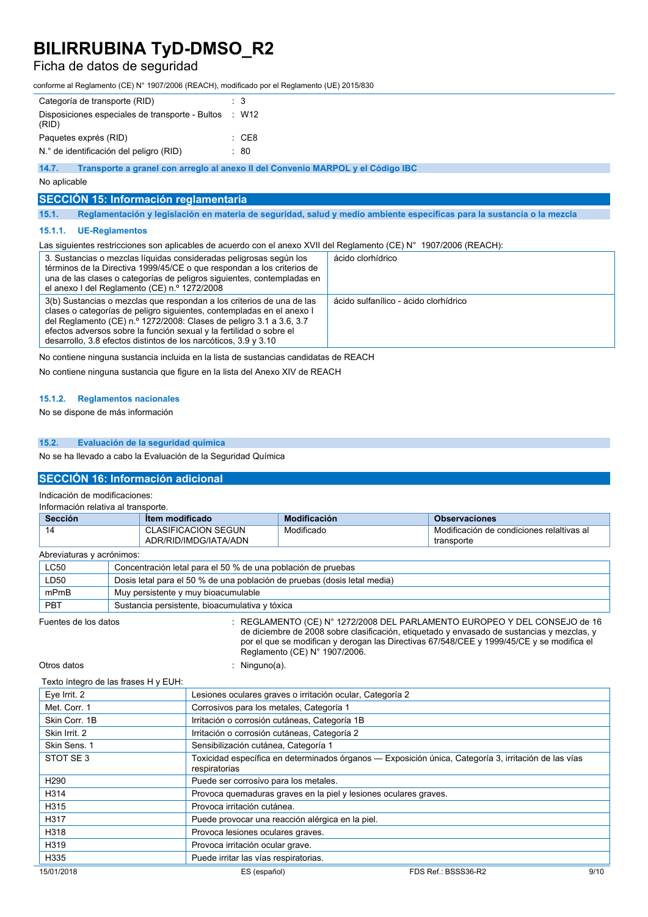### Ficha de datos de seguridad

conforme al Reglamento (CE) N° 1907/2006 (REACH), modificado por el Reglamento (UE) 2015/830

| Categoría de transporte (RID)                                                            | $\therefore$ 3                                                                                                         |  |  |
|------------------------------------------------------------------------------------------|------------------------------------------------------------------------------------------------------------------------|--|--|
| Disposiciones especiales de transporte - Bultos<br>(RID)                                 | W12<br>- 50                                                                                                            |  |  |
| Paquetes exprés (RID)                                                                    | $\therefore$ CE8                                                                                                       |  |  |
| N.º de identificación del peligro (RID)                                                  | $\therefore 80$                                                                                                        |  |  |
| Transporte a granel con arregio al anexo II del Convenio MARPOL y el Código IBC<br>14.7. |                                                                                                                        |  |  |
| No aplicable                                                                             |                                                                                                                        |  |  |
| SECCIÓN 15: Información reglamentaria                                                    |                                                                                                                        |  |  |
| 15.1.                                                                                    | Reglamentación y legislación en materia de seguridad, salud y medio ambiente específicas para la sustancia o la mezcla |  |  |
| <b>UE-Reglamentos</b><br>15.1.1.                                                         |                                                                                                                        |  |  |

#### Las siguientes restricciones son aplicables de acuerdo con el anexo XVII del Reglamento (CE) N° 1907/2006 (REACH):

| 3. Sustancias o mezclas líquidas consideradas peligrosas según los<br>términos de la Directiva 1999/45/CE o que respondan a los criterios de<br>una de las clases o categorías de peligros siguientes, contempladas en<br>el anexo I del Reglamento (CE) n.º 1272/2008                                                                                          | ácido clorhídrico                     |
|-----------------------------------------------------------------------------------------------------------------------------------------------------------------------------------------------------------------------------------------------------------------------------------------------------------------------------------------------------------------|---------------------------------------|
| 3(b) Sustancias o mezclas que respondan a los criterios de una de las<br>clases o categorías de peligro siguientes, contempladas en el anexo l<br>del Reglamento (CE) n.º 1272/2008: Clases de peligro 3.1 a 3.6, 3.7<br>efectos adversos sobre la función sexual y la fertilidad o sobre el<br>desarrollo, 3.8 efectos distintos de los narcóticos, 3.9 y 3.10 | ácido sulfanílico - ácido clorhídrico |

No contiene ninguna sustancia incluida en la lista de sustancias candidatas de REACH

No contiene ninguna sustancia que figure en la lista del Anexo XIV de REACH

### **15.1.2. Reglamentos nacionales**

No se dispone de más información

#### **15.2. Evaluación de la seguridad química**

No se ha llevado a cabo la Evaluación de la Seguridad Química

### **SECCIÓN 16: Información adicional**

Indicación de modificaciones:

| Información relativa al transporte. |                                                              |                                                                          |                                                                                                                                                                       |
|-------------------------------------|--------------------------------------------------------------|--------------------------------------------------------------------------|-----------------------------------------------------------------------------------------------------------------------------------------------------------------------|
| Sección                             | <b>Item modificado</b>                                       | Modificación                                                             | <b>Observaciones</b>                                                                                                                                                  |
| 14                                  | <b>CLASIFICACION SEGUN</b><br>ADR/RID/IMDG/IATA/ADN          | Modificado                                                               | Modificación de condiciones relaltivas al<br>transporte                                                                                                               |
| Abreviaturas y acrónimos:           |                                                              |                                                                          |                                                                                                                                                                       |
| <b>LC50</b>                         | Concentración letal para el 50 % de una población de pruebas |                                                                          |                                                                                                                                                                       |
| LD50                                |                                                              | Dosis letal para el 50 % de una población de pruebas (dosis letal media) |                                                                                                                                                                       |
| mPmB                                | Muy persistente y muy bioacumulable                          |                                                                          |                                                                                                                                                                       |
| <b>PBT</b>                          | Sustancia persistente, bioacumulativa y tóxica               |                                                                          |                                                                                                                                                                       |
| Fuentes de los datos                |                                                              |                                                                          | REGLAMENTO (CE) N° 1272/2008 DEL PARLAMENTO EUROPEO Y DEL CONSEJO de 16<br>de diciembre de 2008 sobre clasificación, etiquetado y envasado de sustancias y mezclas, y |

Reglamento (CE) N° 1907/2006.

Otros datos : Ninguno(a).

Texto íntegro de las frases H y EUH:

| Eye Irrit. 2     | Lesiones oculares graves o irritación ocular, Categoría 2                                                             |                     |      |
|------------------|-----------------------------------------------------------------------------------------------------------------------|---------------------|------|
| Met. Corr. 1     | Corrosivos para los metales, Categoría 1                                                                              |                     |      |
| Skin Corr. 1B    | Irritación o corrosión cutáneas, Categoría 1B                                                                         |                     |      |
| Skin Irrit. 2    | Irritación o corrosión cutáneas, Categoría 2                                                                          |                     |      |
| Skin Sens. 1     | Sensibilización cutánea, Categoría 1                                                                                  |                     |      |
| STOT SE3         | Toxicidad específica en determinados órganos - Exposición única, Categoría 3, irritación de las vías<br>respiratorias |                     |      |
| H <sub>290</sub> | Puede ser corrosivo para los metales.                                                                                 |                     |      |
| H314             | Provoca quemaduras graves en la piel y lesiones oculares graves.                                                      |                     |      |
| H315             | Provoca irritación cutánea.                                                                                           |                     |      |
| H317             | Puede provocar una reacción alérgica en la piel.                                                                      |                     |      |
| H318             | Provoca lesiones oculares graves.                                                                                     |                     |      |
| H319             | Provoca irritación ocular grave.                                                                                      |                     |      |
| H335             | Puede irritar las vías respiratorias.                                                                                 |                     |      |
| 15/01/2018       | ES (español)                                                                                                          | FDS Ref.: BSSS36-R2 | 9/10 |

por el que se modifican y derogan las Directivas 67/548/CEE y 1999/45/CE y se modifica el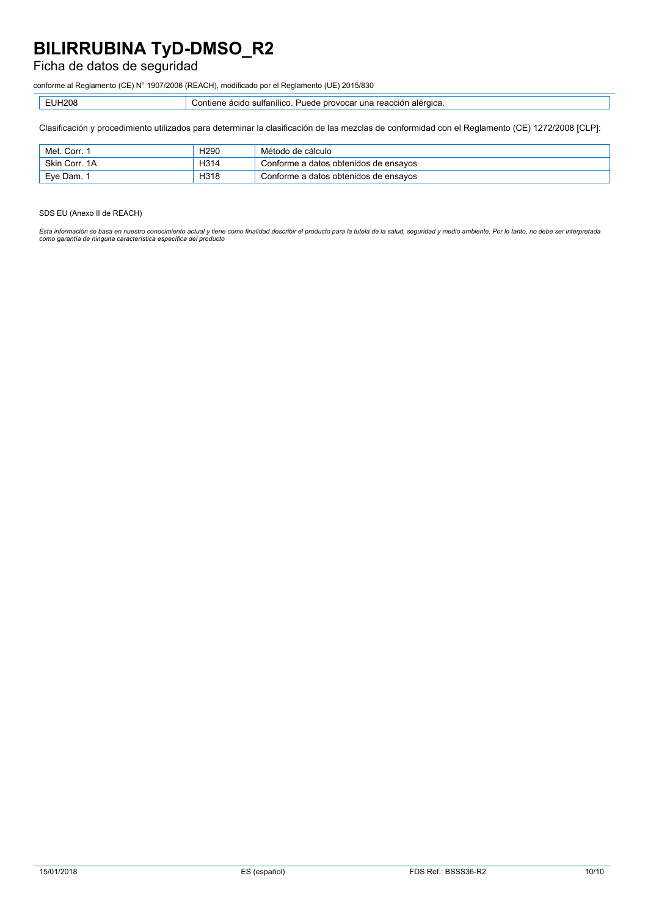### Ficha de datos de seguridad

conforme al Reglamento (CE) N° 1907/2006 (REACH), modificado por el Reglamento (UE) 2015/830

| H208<br>- - | $\sum$<br>sultanilicc<br>acigo<br>novocar<br>una<br>шене<br>1 I L<br><b>uita</b><br>$^{\circ}$ alt.<br>JU.<br>.<br>.<br>- - |
|-------------|-----------------------------------------------------------------------------------------------------------------------------|
|             |                                                                                                                             |

Clasificación y procedimiento utilizados para determinar la clasificación de las mezclas de conformidad con el Reglamento (CE) 1272/2008 [CLP]:

| Met. Corr. ;  | H <sub>290</sub> | Método de cálculo                     |
|---------------|------------------|---------------------------------------|
| Skin Corr. 1A | H314             | Conforme a datos obtenidos de ensayos |
| Eve Dam. 1    | H318             | Conforme a datos obtenidos de ensayos |

#### SDS EU (Anexo II de REACH)

Esta información se basa en nuestro conocimiento actual y tiene como finalidad describir el producto para la tutela de la salud, seguridad y medio ambiente. Por lo tanto, no debe ser interpretada<br>como garantía de ninguna c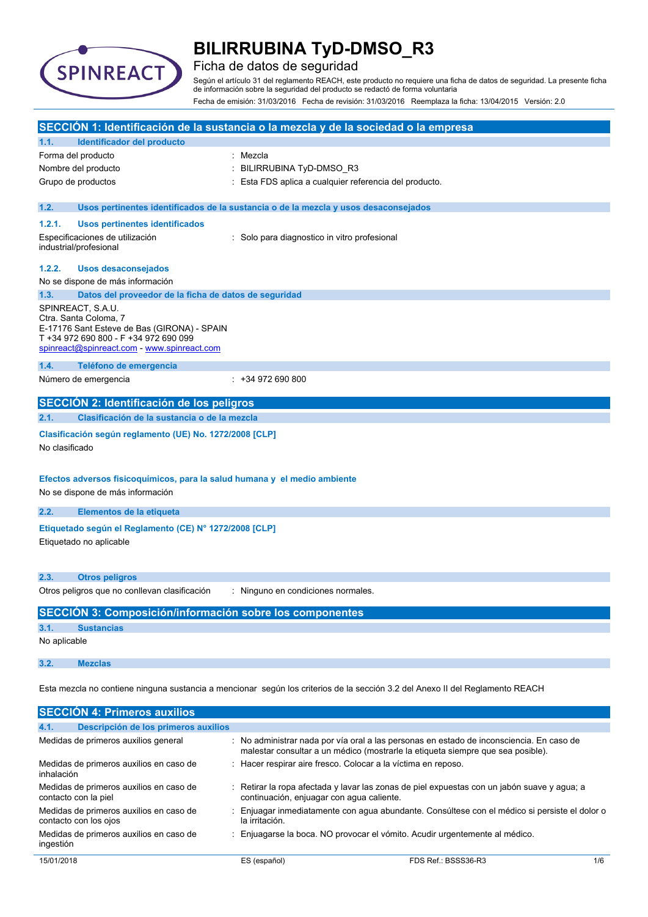

### Ficha de datos de seguridad

Según el artículo 31 del reglamento REACH, este producto no requiere una ficha de datos de seguridad. La presente ficha de información sobre la seguridad del producto se redactó de forma voluntaria Fecha de emisión: 31/03/2016 Fecha de revisión: 31/03/2016 Reemplaza la ficha: 13/04/2015 Versión: 2.0

| SECCIÓN 1: Identificación de la sustancia o la mezcla y de la sociedad o la empresa                                                                                               |  |
|-----------------------------------------------------------------------------------------------------------------------------------------------------------------------------------|--|
| Identificador del producto<br>1.1.                                                                                                                                                |  |
| Forma del producto<br>: Mezcla                                                                                                                                                    |  |
| Nombre del producto<br>: BILIRRUBINA TyD-DMSO_R3                                                                                                                                  |  |
| : Esta FDS aplica a cualquier referencia del producto.<br>Grupo de productos                                                                                                      |  |
|                                                                                                                                                                                   |  |
| 1.2.<br>Usos pertinentes identificados de la sustancia o de la mezcla y usos desaconsejados                                                                                       |  |
| 1.2.1.<br><b>Usos pertinentes identificados</b>                                                                                                                                   |  |
| Especificaciones de utilización<br>: Solo para diagnostico in vitro profesional<br>industrial/profesional                                                                         |  |
| 1.2.2.<br><b>Usos desaconsejados</b>                                                                                                                                              |  |
| No se dispone de más información                                                                                                                                                  |  |
| Datos del proveedor de la ficha de datos de seguridad<br>1.3.                                                                                                                     |  |
| SPINREACT, S.A.U.<br>Ctra. Santa Coloma, 7<br>E-17176 Sant Esteve de Bas (GIRONA) - SPAIN<br>T +34 972 690 800 - F +34 972 690 099<br>spinreact@spinreact.com - www.spinreact.com |  |
| 1.4.<br>Teléfono de emergencia                                                                                                                                                    |  |
| Número de emergencia<br>$: +34972690800$                                                                                                                                          |  |
| SECCIÓN 2: Identificación de los peligros                                                                                                                                         |  |
| Clasificación de la sustancia o de la mezcla<br>2.1.                                                                                                                              |  |
| Clasificación según reglamento (UE) No. 1272/2008 [CLP]<br>No clasificado                                                                                                         |  |
| Efectos adversos fisicoquímicos, para la salud humana y el medio ambiente<br>No se dispone de más información                                                                     |  |
| 2.2.<br>Elementos de la etiqueta                                                                                                                                                  |  |
| Etiquetado según el Reglamento (CE) Nº 1272/2008 [CLP]<br>Etiquetado no aplicable                                                                                                 |  |
| 2.3.<br><b>Otros peligros</b>                                                                                                                                                     |  |
| Otros peligros que no conllevan clasificación<br>: Ninguno en condiciones normales.                                                                                               |  |
| SECCIÓN 3: Composición/información sobre los componentes                                                                                                                          |  |
| 3.1.<br><b>Sustancias</b>                                                                                                                                                         |  |
| No aplicable                                                                                                                                                                      |  |
| 3.2.<br><b>Mezclas</b>                                                                                                                                                            |  |
| Esta mezcla no contiene ninguna sustancia a mencionar según los criterios de la sección 3.2 del Anexo II del Reglamento REACH                                                     |  |
| <b>SECCIÓN 4: Primeros auxilios</b>                                                                                                                                               |  |

| 4.1.       | Descripción de los primeros auxilios                             |                                                                                 |                                                                                             |     |
|------------|------------------------------------------------------------------|---------------------------------------------------------------------------------|---------------------------------------------------------------------------------------------|-----|
|            | Medidas de primeros auxilios general                             | malestar consultar a un médico (mostrarle la etiqueta siempre que sea posible). | : No administrar nada por vía oral a las personas en estado de inconsciencia. En caso de    |     |
| inhalación | Medidas de primeros auxilios en caso de                          | : Hacer respirar aire fresco. Colocar a la víctima en reposo.                   |                                                                                             |     |
|            | Medidas de primeros auxilios en caso de<br>contacto con la piel  | continuación, enjuagar con agua caliente.                                       | : Retirar la ropa afectada y lavar las zonas de piel expuestas con un jabón suave y agua; a |     |
|            | Medidas de primeros auxilios en caso de<br>contacto con los ojos | la irritación.                                                                  | Enjuagar inmediatamente con agua abundante. Consúltese con el médico si persiste el dolor o |     |
| ingestión  | Medidas de primeros auxilios en caso de                          | Enjuagarse la boca. NO provocar el vómito. Acudir urgentemente al médico.       |                                                                                             |     |
| 15/01/2018 |                                                                  | ES (español)                                                                    | FDS Ref.: BSSS36-R3                                                                         | 1/6 |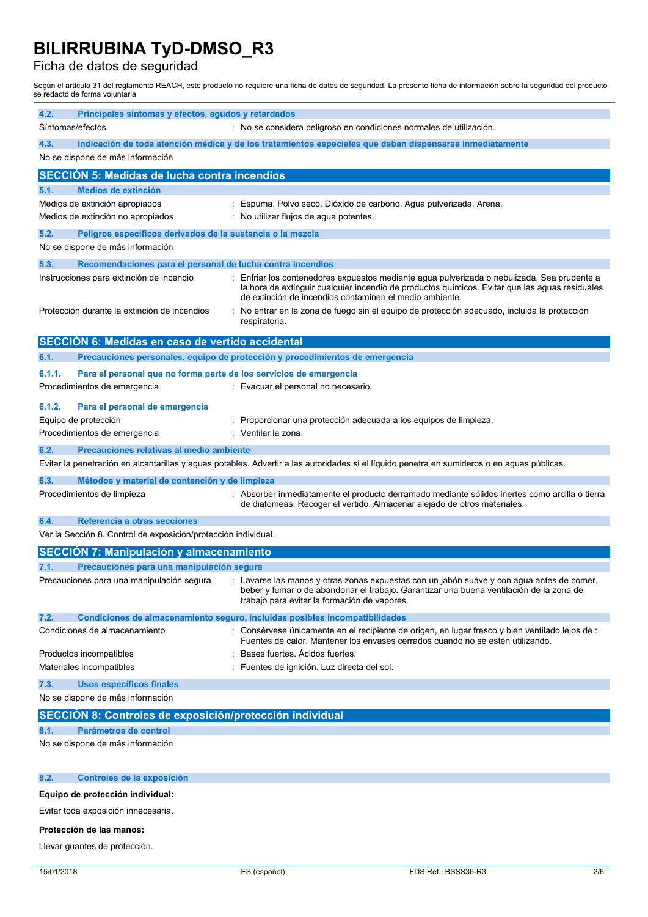### Ficha de datos de seguridad

Según el artículo 31 del reglamento REACH, este producto no requiere una ficha de datos de seguridad. La presente ficha de información sobre la seguridad del producto se redactó de forma voluntaria

| 4.2.<br>Principales síntomas y efectos, agudos y retardados<br>Síntomas/efectos | : No se considera peligroso en condiciones normales de utilización.                                                                                                                                                                                      |
|---------------------------------------------------------------------------------|----------------------------------------------------------------------------------------------------------------------------------------------------------------------------------------------------------------------------------------------------------|
|                                                                                 |                                                                                                                                                                                                                                                          |
| 4.3.<br>No se dispone de más información                                        | Indicación de toda atención médica y de los tratamientos especiales que deban dispensarse inmediatamente                                                                                                                                                 |
| <b>SECCIÓN 5: Medidas de lucha contra incendios</b>                             |                                                                                                                                                                                                                                                          |
| Medios de extinción<br>5.1.                                                     |                                                                                                                                                                                                                                                          |
| Medios de extinción apropiados                                                  | : Espuma. Polvo seco. Dióxido de carbono. Agua pulverizada. Arena.                                                                                                                                                                                       |
| Medios de extinción no apropiados                                               | : No utilizar flujos de agua potentes.                                                                                                                                                                                                                   |
| 5.2.<br>Peligros específicos derivados de la sustancia o la mezcla              |                                                                                                                                                                                                                                                          |
| No se dispone de más información                                                |                                                                                                                                                                                                                                                          |
| 5.3.<br>Recomendaciones para el personal de lucha contra incendios              |                                                                                                                                                                                                                                                          |
| Instrucciones para extinción de incendio                                        | : Enfriar los contenedores expuestos mediante agua pulverizada o nebulizada. Sea prudente a<br>la hora de extinguir cualquier incendio de productos químicos. Evitar que las aguas residuales<br>de extinción de incendios contaminen el medio ambiente. |
| Protección durante la extinción de incendios                                    | : No entrar en la zona de fuego sin el equipo de protección adecuado, incluida la protección<br>respiratoria.                                                                                                                                            |
| <b>SECCIÓN 6: Medidas en caso de vertido accidental</b>                         |                                                                                                                                                                                                                                                          |
| 6.1.                                                                            | Precauciones personales, equipo de protección y procedimientos de emergencia                                                                                                                                                                             |
| 6.1.1.<br>Para el personal que no forma parte de los servicios de emergencia    |                                                                                                                                                                                                                                                          |
| Procedimientos de emergencia                                                    | : Evacuar el personal no necesario.                                                                                                                                                                                                                      |
|                                                                                 |                                                                                                                                                                                                                                                          |
| 6.1.2.<br>Para el personal de emergencia                                        |                                                                                                                                                                                                                                                          |
| Equipo de protección<br>Procedimientos de emergencia                            | : Proporcionar una protección adecuada a los equipos de limpieza.<br>: Ventilar la zona.                                                                                                                                                                 |
|                                                                                 |                                                                                                                                                                                                                                                          |
| 6.2.<br>Precauciones relativas al medio ambiente                                |                                                                                                                                                                                                                                                          |
|                                                                                 | Evitar la penetración en alcantarillas y aguas potables. Advertir a las autoridades si el líquido penetra en sumideros o en aguas públicas.                                                                                                              |
| 6.3.<br>Métodos y material de contención y de limpieza                          |                                                                                                                                                                                                                                                          |
| Procedimientos de limpieza                                                      | : Absorber inmediatamente el producto derramado mediante sólidos inertes como arcilla o tierra<br>de diatomeas. Recoger el vertido. Almacenar alejado de otros materiales.                                                                               |
| 6.4.<br>Referencia a otras secciones                                            |                                                                                                                                                                                                                                                          |
| Ver la Sección 8. Control de exposición/protección individual.                  |                                                                                                                                                                                                                                                          |
| <b>SECCIÓN 7: Manipulación y almacenamiento</b>                                 |                                                                                                                                                                                                                                                          |
| Precauciones para una manipulación segura<br>7.1.                               |                                                                                                                                                                                                                                                          |
| Precauciones para una manipulación segura                                       | : Lavarse las manos y otras zonas expuestas con un jabón suave y con agua antes de comer,<br>beber y fumar o de abandonar el trabajo. Garantizar una buena ventilación de la zona de<br>trabajo para evitar la formación de vapores.                     |
| 7.2.                                                                            | Condiciones de almacenamiento seguro, incluidas posibles incompatibilidades                                                                                                                                                                              |
| Condiciones de almacenamiento                                                   | : Consérvese únicamente en el recipiente de origen, en lugar fresco y bien ventilado lejos de :<br>Fuentes de calor. Mantener los envases cerrados cuando no se estén utilizando.                                                                        |
| Productos incompatibles                                                         | Bases fuertes. Acidos fuertes.                                                                                                                                                                                                                           |
| Materiales incompatibles                                                        | Fuentes de ignición. Luz directa del sol.                                                                                                                                                                                                                |
| 7.3.<br><b>Usos específicos finales</b>                                         |                                                                                                                                                                                                                                                          |
| No se dispone de más información                                                |                                                                                                                                                                                                                                                          |
| SECCION 8: Controles de exposición/protección individual                        |                                                                                                                                                                                                                                                          |
| Parámetros de control<br>8.1.                                                   |                                                                                                                                                                                                                                                          |
| No se dispone de más información                                                |                                                                                                                                                                                                                                                          |
|                                                                                 |                                                                                                                                                                                                                                                          |
| Controles de la exposición<br>8.2.                                              |                                                                                                                                                                                                                                                          |
| Equipo de protección individual:                                                |                                                                                                                                                                                                                                                          |

Evitar toda exposición innecesaria.

#### **Protección de las manos:**

Llevar guantes de protección.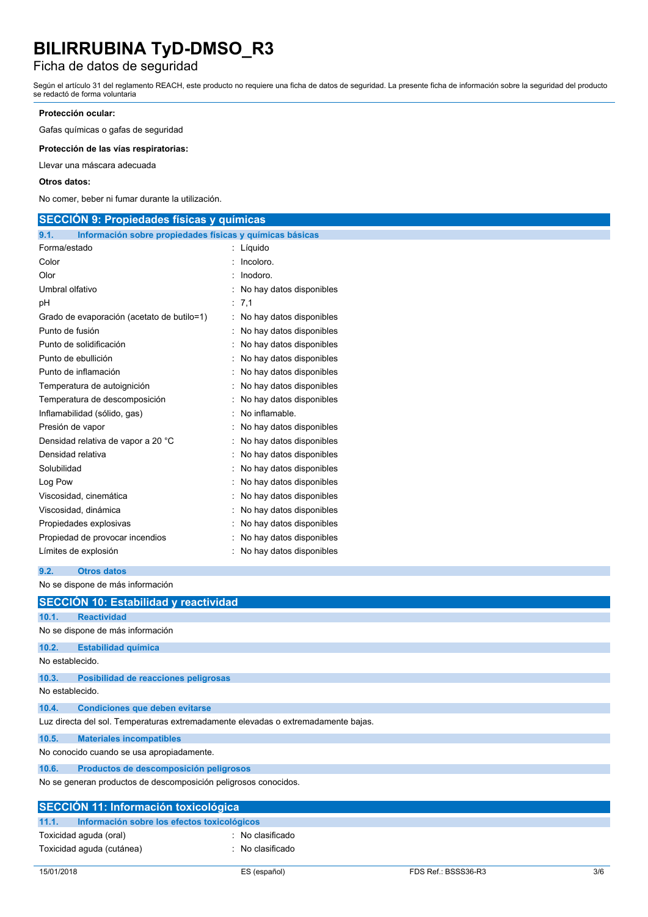### Ficha de datos de seguridad

Según el artículo 31 del reglamento REACH, este producto no requiere una ficha de datos de seguridad. La presente ficha de información sobre la seguridad del producto se redactó de forma voluntaria

### **Protección ocular:**

Gafas químicas o gafas de seguridad

**Protección de las vías respiratorias:**

Llevar una máscara adecuada

#### **Otros datos:**

No comer, beber ni fumar durante la utilización.

| <b>SECCION 9: Propiedades físicas y químicas</b>                 |                            |
|------------------------------------------------------------------|----------------------------|
| Información sobre propiedades físicas y químicas básicas<br>9.1. |                            |
| Forma/estado                                                     | : Líquido                  |
| Color                                                            | Incoloro.                  |
| Olor                                                             | Inodoro.                   |
| Umbral olfativo                                                  | : No hay datos disponibles |
| рH                                                               | : 7,1                      |
| Grado de evaporación (acetato de butilo=1)                       | : No hay datos disponibles |
| Punto de fusión                                                  | : No hay datos disponibles |
| Punto de solidificación                                          | No hay datos disponibles   |
| Punto de ebullición                                              | No hay datos disponibles   |
| Punto de inflamación                                             | No hay datos disponibles   |
| Temperatura de autoignición                                      | No hay datos disponibles   |
| Temperatura de descomposición                                    | : No hay datos disponibles |
| Inflamabilidad (sólido, gas)                                     | No inflamable.             |
| Presión de vapor                                                 | : No hay datos disponibles |
| Densidad relativa de vapor a 20 °C                               | : No hay datos disponibles |
| Densidad relativa                                                | : No hay datos disponibles |
| Solubilidad                                                      | No hay datos disponibles   |
| Log Pow                                                          | No hay datos disponibles   |
| Viscosidad, cinemática                                           | No hay datos disponibles   |
| Viscosidad, dinámica                                             | No hay datos disponibles   |
| Propiedades explosivas                                           | No hay datos disponibles   |
| Propiedad de provocar incendios                                  | No hay datos disponibles   |
| Límites de explosión                                             | No hay datos disponibles   |
|                                                                  |                            |

```
9.2. Otros datos
```
No se dispone de más información

|                 | SECCIÓN 10: Estabilidad y reactividad                                             |
|-----------------|-----------------------------------------------------------------------------------|
| 10.1.           | <b>Reactividad</b>                                                                |
|                 | No se dispone de más información                                                  |
| 10.2.           | <b>Estabilidad química</b>                                                        |
| No establecido. |                                                                                   |
| 10.3.           | Posibilidad de reacciones peligrosas                                              |
| No establecido. |                                                                                   |
| 10.4.           | <b>Condiciones que deben evitarse</b>                                             |
|                 | Luz directa del sol. Temperaturas extremadamente elevadas o extremadamente bajas. |
| 10.5.           | <b>Materiales incompatibles</b>                                                   |
|                 | No conocido cuando se usa apropiadamente.                                         |
| 10.6.           | Productos de descomposición peligrosos                                            |
|                 | No se generan productos de descomposición peligrosos conocidos.                   |
|                 | <b>SECCIÓN 11: Información toxicológica</b>                                       |
| 11.1.           | Información sobre los efectos toxicológicos                                       |
|                 | Toxicidad aguda (oral)<br>: No clasificado                                        |
|                 | Toxicidad aguda (cutánea)<br>: No clasificado                                     |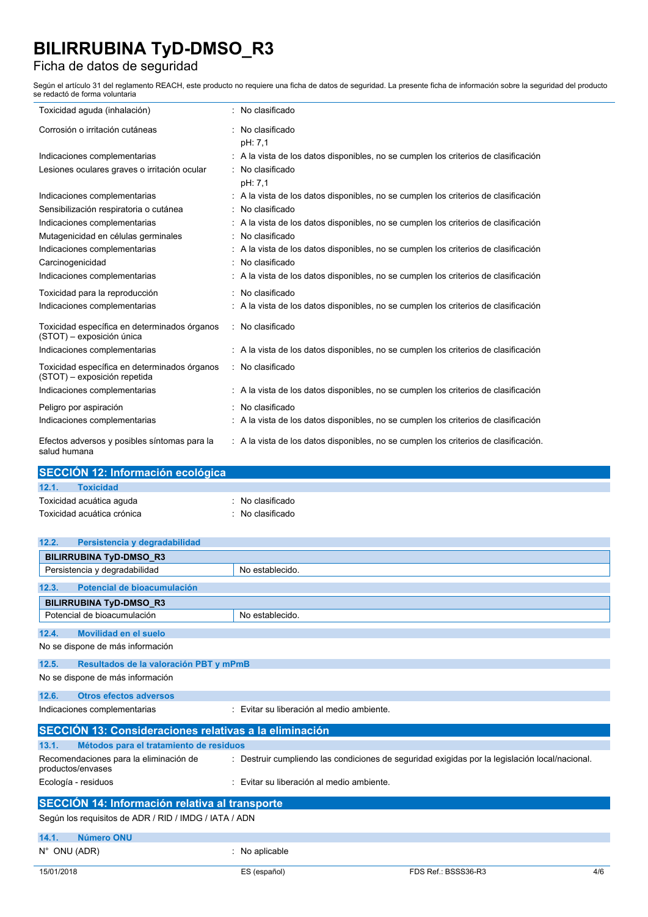### Ficha de datos de seguridad

Según el artículo 31 del reglamento REACH, este producto no requiere una ficha de datos de seguridad. La presente ficha de información sobre la seguridad del producto se redactó de forma voluntaria

| Toxicidad aguda (inhalación)                                                 | : No clasificado                                                                     |
|------------------------------------------------------------------------------|--------------------------------------------------------------------------------------|
| Corrosión o irritación cutáneas                                              | : No clasificado<br>pH: 7,1                                                          |
| Indicaciones complementarias                                                 | : A la vista de los datos disponibles, no se cumplen los criterios de clasificación  |
| Lesiones oculares graves o irritación ocular                                 | : No clasificado<br>pH: 7,1                                                          |
| Indicaciones complementarias                                                 | : A la vista de los datos disponibles, no se cumplen los criterios de clasificación  |
| Sensibilización respiratoria o cutánea                                       | : No clasificado                                                                     |
| Indicaciones complementarias                                                 | : A la vista de los datos disponibles, no se cumplen los criterios de clasificación  |
| Mutagenicidad en células germinales                                          | : No clasificado                                                                     |
| Indicaciones complementarias                                                 | : A la vista de los datos disponibles, no se cumplen los criterios de clasificación  |
| Carcinogenicidad                                                             | : No clasificado                                                                     |
| Indicaciones complementarias                                                 | : A la vista de los datos disponibles, no se cumplen los criterios de clasificación  |
| Toxicidad para la reproducción                                               | : No clasificado                                                                     |
| Indicaciones complementarias                                                 | : A la vista de los datos disponibles, no se cumplen los criterios de clasificación  |
| Toxicidad específica en determinados órganos<br>(STOT) - exposición única    | : No clasificado                                                                     |
| Indicaciones complementarias                                                 | : A la vista de los datos disponibles, no se cumplen los criterios de clasificación  |
| Toxicidad específica en determinados órganos<br>(STOT) - exposición repetida | : No clasificado                                                                     |
| Indicaciones complementarias                                                 | : A la vista de los datos disponibles, no se cumplen los criterios de clasificación  |
| Peligro por aspiración                                                       | : No clasificado                                                                     |
| Indicaciones complementarias                                                 | : A la vista de los datos disponibles, no se cumplen los criterios de clasificación  |
| Efectos adversos y posibles síntomas para la<br>salud humana                 | : A la vista de los datos disponibles, no se cumplen los criterios de clasificación. |

|       | SECCIÓN 12: Información ecológica |                |  |  |
|-------|-----------------------------------|----------------|--|--|
| 12.1. | <b>Toxicidad</b>                  |                |  |  |
|       | Toxicidad acuática aguda          | No clasificado |  |  |
|       | Toxicidad acuática crónica        | No clasificado |  |  |
|       |                                   |                |  |  |

| 12.2.                                                       | Persistencia y degradabilidad          |                                                                                                |  |  |  |  |
|-------------------------------------------------------------|----------------------------------------|------------------------------------------------------------------------------------------------|--|--|--|--|
| <b>BILIRRUBINA TyD-DMSO_R3</b>                              |                                        |                                                                                                |  |  |  |  |
| Persistencia y degradabilidad                               |                                        | No establecido.                                                                                |  |  |  |  |
| 12.3.                                                       | Potencial de bioacumulación            |                                                                                                |  |  |  |  |
| <b>BILIRRUBINA TyD-DMSO_R3</b>                              |                                        |                                                                                                |  |  |  |  |
| Potencial de bioacumulación                                 |                                        | No establecido.                                                                                |  |  |  |  |
| Movilidad en el suelo<br>12.4.                              |                                        |                                                                                                |  |  |  |  |
| No se dispone de más información                            |                                        |                                                                                                |  |  |  |  |
| 12.5.                                                       | Resultados de la valoración PBT y mPmB |                                                                                                |  |  |  |  |
| No se dispone de más información                            |                                        |                                                                                                |  |  |  |  |
| 12.6.                                                       | <b>Otros efectos adversos</b>          |                                                                                                |  |  |  |  |
| Indicaciones complementarias                                |                                        | : Evitar su liberación al medio ambiente.                                                      |  |  |  |  |
| SECCIÓN 13: Consideraciones relativas a la eliminación      |                                        |                                                                                                |  |  |  |  |
| 13.1.<br>Métodos para el tratamiento de residuos            |                                        |                                                                                                |  |  |  |  |
| Recomendaciones para la eliminación de<br>productos/envases |                                        | : Destruir cumpliendo las condiciones de seguridad exigidas por la legislación local/nacional. |  |  |  |  |
| Ecología - residuos                                         |                                        | : Evitar su liberación al medio ambiente.                                                      |  |  |  |  |
| <b>SECCIÓN 14: Información relativa al transporte</b>       |                                        |                                                                                                |  |  |  |  |
| Según los requisitos de ADR / RID / IMDG / IATA / ADN       |                                        |                                                                                                |  |  |  |  |
| Número ONU<br>14.1.                                         |                                        |                                                                                                |  |  |  |  |
| $N^{\circ}$ ONU (ADR)                                       |                                        | : No aplicable                                                                                 |  |  |  |  |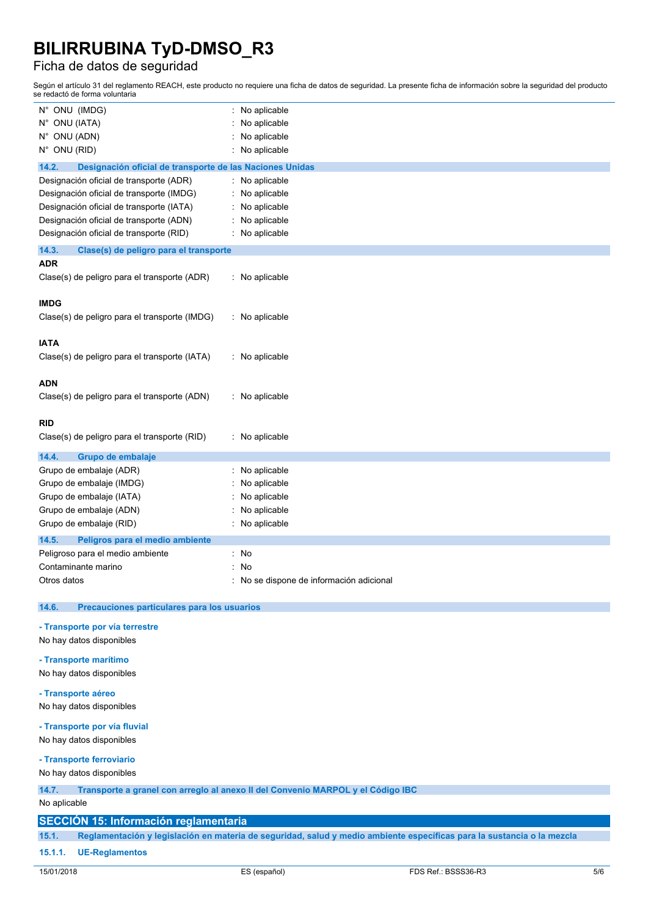### Ficha de datos de seguridad

Según el artículo 31 del reglamento REACH, este producto no requiere una ficha de datos de seguridad. La presente ficha de información sobre la seguridad del producto se redactó de forma voluntaria

| N° ONU (IMDG)                                                     | No aplicable<br>t.                     |  |  |  |  |  |
|-------------------------------------------------------------------|----------------------------------------|--|--|--|--|--|
| N° ONU (IATA)                                                     | No aplicable                           |  |  |  |  |  |
| N° ONU (ADN)                                                      | No aplicable                           |  |  |  |  |  |
| N° ONU (RID)                                                      | No aplicable                           |  |  |  |  |  |
| 14.2.<br>Designación oficial de transporte de las Naciones Unidas |                                        |  |  |  |  |  |
| Designación oficial de transporte (ADR)<br>No aplicable           |                                        |  |  |  |  |  |
| Designación oficial de transporte (IMDG)                          | No aplicable                           |  |  |  |  |  |
| Designación oficial de transporte (IATA)                          | No aplicable                           |  |  |  |  |  |
| Designación oficial de transporte (ADN)                           | No aplicable                           |  |  |  |  |  |
| Designación oficial de transporte (RID)                           | No aplicable                           |  |  |  |  |  |
| 14.3.<br>Clase(s) de peligro para el transporte                   |                                        |  |  |  |  |  |
| <b>ADR</b>                                                        |                                        |  |  |  |  |  |
| Clase(s) de peligro para el transporte (ADR)                      | : No aplicable                         |  |  |  |  |  |
|                                                                   |                                        |  |  |  |  |  |
| <b>IMDG</b>                                                       |                                        |  |  |  |  |  |
| Clase(s) de peligro para el transporte (IMDG)                     | : No aplicable                         |  |  |  |  |  |
|                                                                   |                                        |  |  |  |  |  |
| <b>IATA</b>                                                       |                                        |  |  |  |  |  |
| Clase(s) de peligro para el transporte (IATA)                     | : No aplicable                         |  |  |  |  |  |
|                                                                   |                                        |  |  |  |  |  |
| <b>ADN</b>                                                        |                                        |  |  |  |  |  |
| Clase(s) de peligro para el transporte (ADN)                      | : No aplicable                         |  |  |  |  |  |
| <b>RID</b>                                                        |                                        |  |  |  |  |  |
| Clase(s) de peligro para el transporte (RID)                      | : No aplicable                         |  |  |  |  |  |
|                                                                   |                                        |  |  |  |  |  |
| 14.4.<br>Grupo de embalaje                                        |                                        |  |  |  |  |  |
| Grupo de embalaje (ADR)                                           | No aplicable                           |  |  |  |  |  |
| Grupo de embalaje (IMDG)                                          | No aplicable                           |  |  |  |  |  |
| Grupo de embalaje (IATA)                                          | No aplicable                           |  |  |  |  |  |
| Grupo de embalaje (ADN)                                           | No aplicable                           |  |  |  |  |  |
| Grupo de embalaje (RID)                                           | No aplicable                           |  |  |  |  |  |
| 14.5.<br>Peligros para el medio ambiente                          |                                        |  |  |  |  |  |
| Peligroso para el medio ambiente                                  | No<br>t.                               |  |  |  |  |  |
| Contaminante marino                                               | No                                     |  |  |  |  |  |
| Otros datos                                                       | No se dispone de información adicional |  |  |  |  |  |
|                                                                   |                                        |  |  |  |  |  |
| 14.6.<br>Precauciones particulares para los usuarios              |                                        |  |  |  |  |  |
| - Transporte por vía terrestre                                    |                                        |  |  |  |  |  |
| No hay datos disponibles                                          |                                        |  |  |  |  |  |
| - Transporte marítimo                                             |                                        |  |  |  |  |  |
| No hay datos disponibles                                          |                                        |  |  |  |  |  |
|                                                                   |                                        |  |  |  |  |  |
| - Transporte aéreo                                                |                                        |  |  |  |  |  |
| No hay datos disponibles                                          |                                        |  |  |  |  |  |

#### **- Transporte por vía fluvial**

No hay datos disponibles

### **- Transporte ferroviario**

No hay datos disponibles

### **14.7. Transporte a granel con arreglo al anexo II del Convenio MARPOL y el Código IBC**

No aplicable

### **SECCIÓN 15: Información reglamentaria**

15.1. Reglamentación y legislación en materia de seguridad, salud y medio ambiente específicas para la sustancia o la mezcla

#### **15.1.1. UE-Reglamentos**